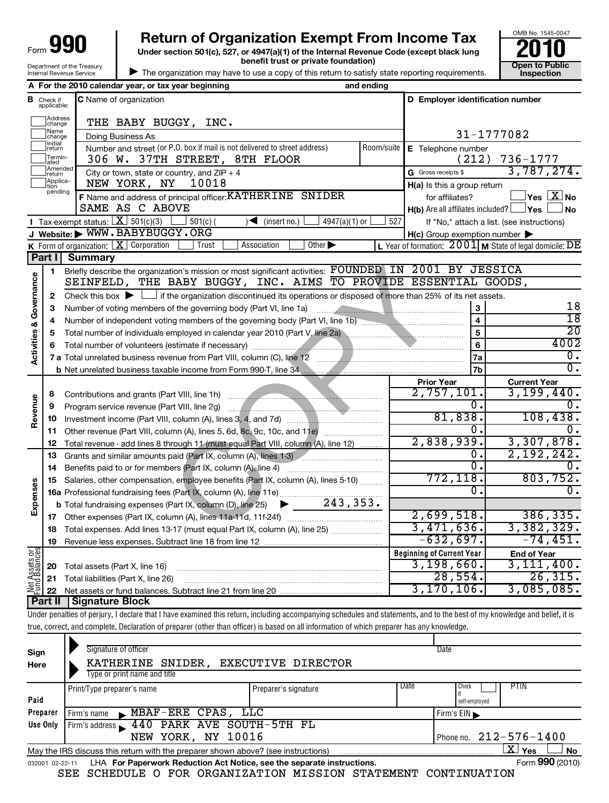| aqu<br>Form                |
|----------------------------|
| Department of the Treasury |
| Internal Revenue Service   |

# **990** Return of Organization Exempt From Income Tax  $\frac{6008 \text{ No. }1545-004}{2010}$ <br>Under section 501(c), 527, or 4947(a)(1) of the Internal Revenue Code (except black lung

**Under section 501(c), 527, or 4947(a)(1) of the Internal Revenue Code (except black lung benefit trust or private foundation) Construction Construction Construction Construction** 



| The organization may have to use a copy of this return to satisfy state reporting requirements.

|                                    |                             | A For the 2010 calendar year, or tax year beginning                                                                                                           | and ending |                                                     |                                                           |  |
|------------------------------------|-----------------------------|---------------------------------------------------------------------------------------------------------------------------------------------------------------|------------|-----------------------------------------------------|-----------------------------------------------------------|--|
| в                                  | Check if<br>applicable:     | <b>C</b> Name of organization                                                                                                                                 |            | D Employer identification number                    |                                                           |  |
|                                    | Address<br>change           | THE BABY BUGGY, INC.                                                                                                                                          |            |                                                     |                                                           |  |
|                                    | Name<br>change              | Doing Business As                                                                                                                                             |            |                                                     | 31-1777082                                                |  |
|                                    | Initial<br> return          | Number and street (or P.O. box if mail is not delivered to street address)                                                                                    | Room/suite | E Telephone number                                  |                                                           |  |
|                                    | Termin-<br>ated             | 306 W. 37TH STREET, 8TH FLOOR                                                                                                                                 |            | (212)                                               | $736 - 1777$                                              |  |
|                                    | Amended<br>Ireturn          | City or town, state or country, and $ZIP + 4$                                                                                                                 |            | G Gross receipts \$                                 | 3,787,274.                                                |  |
|                                    | Applica-<br>tion<br>pending | NEW YORK, NY<br>10018                                                                                                                                         |            | H(a) Is this a group return                         |                                                           |  |
|                                    |                             | F Name and address of principal officer: KATHERINE SNIDER                                                                                                     |            | for affiliates?                                     | $\mathsf{Yes}\ \boxed{\mathbf{X}}\ \mathsf{No}$           |  |
|                                    |                             | SAME AS C ABOVE                                                                                                                                               |            | $H(b)$ Are all affiliates included? $\Box$ Yes      | ∫No                                                       |  |
|                                    |                             | Tax-exempt status: $X \overline{301(c)(3)}$<br>$501(c)$ (<br>$\sqrt{\bullet}$ (insert no.)<br>$4947(a)(1)$ or                                                 | 527        |                                                     | If "No," attach a list. (see instructions)                |  |
|                                    |                             | J Website: WWW.BABYBUGGY.ORG                                                                                                                                  |            | $H(c)$ Group exemption number $\blacktriangleright$ |                                                           |  |
|                                    |                             | K Form of organization: $X$ Corporation<br>Other $\blacktriangleright$<br>Association<br>Trust                                                                |            |                                                     | L Year of formation: $2001$ M State of legal domicile: DE |  |
|                                    | Part I                      | <b>Summary</b>                                                                                                                                                |            |                                                     |                                                           |  |
|                                    | 1.                          | Briefly describe the organization's mission or most significant activities: FOUNDED IN 2001 BY JESSICA                                                        |            |                                                     |                                                           |  |
|                                    |                             | SEINFELD, THE BABY BUGGY, INC. AIMS TO PROVIDE ESSENTIAL GOODS,                                                                                               |            |                                                     |                                                           |  |
| <b>Activities &amp; Governance</b> | $\mathbf{2}$                | Check this box $\blacktriangleright$ $\Box$ if the organization discontinued its operations or disposed of more than 25% of its net assets.                   |            |                                                     | 18                                                        |  |
|                                    | 3<br>4                      |                                                                                                                                                               |            | 3<br>$\overline{\mathbf{4}}$                        | $\overline{18}$                                           |  |
|                                    | 5                           | Number of independent voting members of the governing body (Part VI, line 1b)<br>Total number of individuals employed in calendar year 2010 (Part V, line 2a) |            | 5                                                   | $\overline{20}$                                           |  |
|                                    | 6                           |                                                                                                                                                               |            | 6                                                   | 4002                                                      |  |
|                                    |                             |                                                                                                                                                               |            | 7a                                                  | О.                                                        |  |
|                                    |                             |                                                                                                                                                               |            | 7b                                                  | $\overline{\mathfrak{o}}$ .                               |  |
|                                    |                             |                                                                                                                                                               |            | <b>Prior Year</b>                                   | <b>Current Year</b>                                       |  |
|                                    | 8                           |                                                                                                                                                               |            | $\overline{2,757,101}$ .                            | 3,199,440.                                                |  |
|                                    | 9                           |                                                                                                                                                               |            | Ο.                                                  | О.                                                        |  |
| Revenue                            | 10                          |                                                                                                                                                               |            | 81,838.                                             | 108,438.                                                  |  |
|                                    | 11                          |                                                                                                                                                               |            | 0.                                                  | 0.                                                        |  |
|                                    | 12                          | Total revenue - add lines 8 through 11 (must equal Part VIII, column (A), line 12)                                                                            |            | 2,838,939.                                          | 3,307,878.                                                |  |
|                                    | 13                          | Grants and similar amounts paid (Part IX, column (A), lines 1-3)<br>the contract of the contract of                                                           |            | 0.                                                  | 2,192,242.                                                |  |
|                                    | 14                          | Benefits paid to or for members (Part IX, column (A), line 4)                                                                                                 |            | 0.                                                  | 0.                                                        |  |
|                                    | 15                          | Salaries, other compensation, employee benefits (Part IX, column (A), lines 5-10)                                                                             |            | 772, 118.                                           | 803,752.                                                  |  |
| Expenses                           |                             |                                                                                                                                                               |            | 0.                                                  | 0.                                                        |  |
|                                    |                             |                                                                                                                                                               |            |                                                     |                                                           |  |
|                                    |                             |                                                                                                                                                               |            | 2,699,518.<br>3,471,636.                            | 386, 335.<br>3,382,329.                                   |  |
|                                    | 18                          | Total expenses. Add lines 13-17 (must equal Part IX, column (A), line 25) <i></i>                                                                             |            | $-632,697.$                                         | $-74, 451.$                                               |  |
|                                    | 19                          |                                                                                                                                                               |            | <b>Beginning of Current Year</b>                    |                                                           |  |
| $rac{\text{or}}{\text{cos}}$       |                             |                                                                                                                                                               |            | 3,198,660.                                          | <b>End of Year</b><br>3,111,400.                          |  |
|                                    | 20                          | Total assets (Part X, line 16)                                                                                                                                |            | 28,554.                                             | 26, 315.                                                  |  |
| Net Assets<br>Fund Balanc          | 21<br>22                    | Total liabilities (Part X, line 26)                                                                                                                           |            | 3, 170, 106.                                        | 3,085,085.                                                |  |
|                                    |                             | <b>Part II   Signature Block</b>                                                                                                                              |            |                                                     |                                                           |  |
|                                    |                             |                                                                                                                                                               |            |                                                     |                                                           |  |

Under penalties of perjury, I declare that I have examined this return, including accompanying schedules and statements, and to the best of my knowledge and belief, it is true, correct, and complete. Declaration of preparer (other than officer) is based on all information of which preparer has any knowledge.

| Sign<br>Here             | Signature of officer<br>KATHERINE SNIDER, EXECUTIVE DIRECTOR<br>Type or print name and title |                      |      | Date                                  |
|--------------------------|----------------------------------------------------------------------------------------------|----------------------|------|---------------------------------------|
| Paid                     | Print/Type preparer's name                                                                   | Preparer's signature | Date | <b>PTIN</b><br>Check<br>self-employed |
| Preparer                 | MBAF-ERE CPAS, LLC<br>Firm's name<br>$\mathbf{r}$                                            |                      |      | Firm's EIN                            |
| Use Only                 | 440 PARK AVE SOUTH-5TH FL<br>Firm's address<br>NEW YORK, NY 10016                            |                      |      | Phone no. $212 - 576 - 1400$          |
|                          | May the IRS discuss this return with the preparer shown above? (see instructions)            |                      |      | $\mathbf{X}$<br>Yes<br>No             |
| $02 - 22 - 11$<br>032001 | LHA For Paperwork Reduction Act Notice, see the separate instructions.                       |                      |      | Form 990 (2010)                       |
|                          | SCHEDULE O FOR ORGANIZATION MISSION STATEMENT<br>SEE                                         |                      |      | CONTINUATION                          |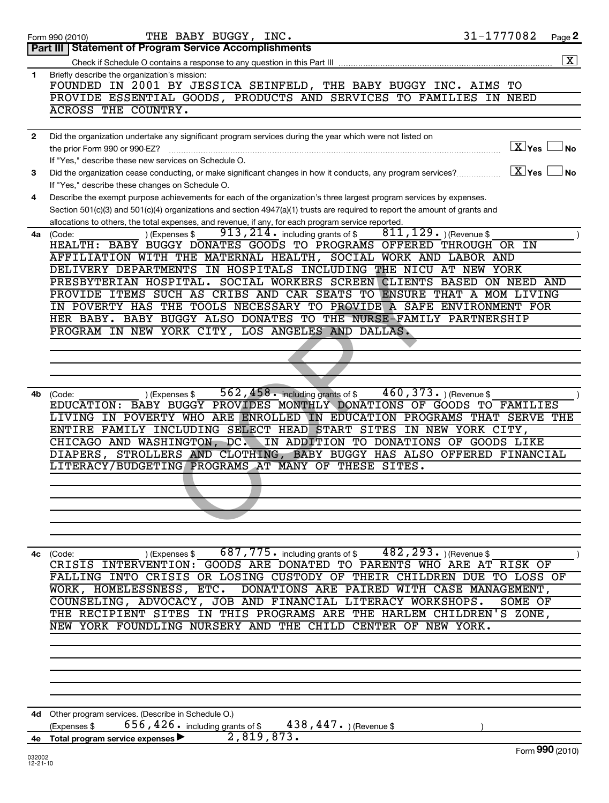|              | THE BABY BUGGY, INC.<br>Form 990 (2010)                                                                                                         | 31-1777082 |                   | Page 2             |
|--------------|-------------------------------------------------------------------------------------------------------------------------------------------------|------------|-------------------|--------------------|
|              | Part III   Statement of Program Service Accomplishments                                                                                         |            |                   |                    |
|              |                                                                                                                                                 |            |                   | $\boxed{\text{X}}$ |
| 1            | Briefly describe the organization's mission:                                                                                                    |            |                   |                    |
|              | FOUNDED IN 2001 BY JESSICA SEINFELD, THE BABY BUGGY INC. AIMS TO                                                                                |            |                   |                    |
|              | PROVIDE ESSENTIAL GOODS, PRODUCTS AND SERVICES TO FAMILIES IN NEED                                                                              |            |                   |                    |
|              | ACROSS THE COUNTRY.                                                                                                                             |            |                   |                    |
|              |                                                                                                                                                 |            |                   |                    |
| $\mathbf{2}$ | Did the organization undertake any significant program services during the year which were not listed on                                        |            |                   |                    |
|              | the prior Form 990 or 990-EZ?                                                                                                                   |            | $X$ Yes $\Box$ No |                    |
|              | If "Yes," describe these new services on Schedule O.                                                                                            |            |                   |                    |
| 3            | Did the organization cease conducting, or make significant changes in how it conducts, any program services?                                    |            | $X$ Yes           | <b>No</b>          |
|              | If "Yes," describe these changes on Schedule O.                                                                                                 |            |                   |                    |
| 4            | Describe the exempt purpose achievements for each of the organization's three largest program services by expenses.                             |            |                   |                    |
|              | Section 501(c)(3) and 501(c)(4) organizations and section 4947(a)(1) trusts are required to report the amount of grants and                     |            |                   |                    |
|              | allocations to others, the total expenses, and revenue, if any, for each program service reported.                                              |            |                   |                    |
| 4a l         | 913, 214. including grants of $$811,129$ . (Revenue \$<br>) (Expenses \$<br>(Code:                                                              |            |                   |                    |
|              | HEALTH: BABY BUGGY DONATES GOODS TO PROGRAMS OFFERED THROUGH OR IN                                                                              |            |                   |                    |
|              | AFFILIATION WITH THE MATERNAL HEALTH, SOCIAL WORK AND LABOR AND                                                                                 |            |                   |                    |
|              | DELIVERY DEPARTMENTS IN HOSPITALS INCLUDING THE NICU AT NEW YORK                                                                                |            |                   |                    |
|              | PRESBYTERIAN HOSPITAL. SOCIAL WORKERS SCREEN CLIENTS BASED ON NEED AND<br>PROVIDE ITEMS SUCH AS CRIBS AND CAR SEATS TO ENSURE THAT A MOM LIVING |            |                   |                    |
|              | IN POVERTY HAS THE TOOLS NECESSARY TO PROVIDE A SAFE ENVIRONMENT FOR                                                                            |            |                   |                    |
|              | HER BABY. BABY BUGGY ALSO DONATES TO THE NURSE-FAMILY PARTNERSHIP                                                                               |            |                   |                    |
|              | PROGRAM IN NEW YORK CITY, LOS ANGELES AND DALLAS.                                                                                               |            |                   |                    |
|              |                                                                                                                                                 |            |                   |                    |
|              |                                                                                                                                                 |            |                   |                    |
|              |                                                                                                                                                 |            |                   |                    |
|              |                                                                                                                                                 |            |                   |                    |
| 4b           | $562$ , $458$ $\cdot$ including grants of $\degree$ 460 , 373 $\cdot$ ) (Revenue $\degree$<br>) (Expenses \$<br>(Code:                          |            |                   |                    |
|              | EDUCATION: BABY BUGGY PROVIDES MONTHLY DONATIONS OF GOODS TO FAMILIES                                                                           |            |                   |                    |
|              | LIVING IN POVERTY WHO ARE ENROLLED IN EDUCATION PROGRAMS THAT SERVE THE                                                                         |            |                   |                    |
|              | ENTIRE FAMILY INCLUDING SELECT HEAD START SITES IN NEW YORK CITY,                                                                               |            |                   |                    |
|              | CHICAGO AND WASHINGTON, DC. IN ADDITION TO DONATIONS OF GOODS LIKE                                                                              |            |                   |                    |
|              | DIAPERS, STROLLERS AND CLOTHING, BABY BUGGY HAS ALSO OFFERED FINANCIAL                                                                          |            |                   |                    |
|              | LITERACY/BUDGETING PROGRAMS AT MANY OF THESE SITES.                                                                                             |            |                   |                    |
|              |                                                                                                                                                 |            |                   |                    |
|              |                                                                                                                                                 |            |                   |                    |
|              |                                                                                                                                                 |            |                   |                    |
|              |                                                                                                                                                 |            |                   |                    |
|              |                                                                                                                                                 |            |                   |                    |
|              |                                                                                                                                                 |            |                   |                    |
| 4с           | ) (Expenses \$687, 775. including grants of \$482, 293. ) (Revenue \$<br>(Code:                                                                 |            |                   |                    |
|              | CRISIS INTERVENTION: GOODS ARE DONATED TO PARENTS WHO ARE AT RISK OF                                                                            |            |                   |                    |
|              | FALLING INTO CRISIS OR LOSING CUSTODY OF THEIR CHILDREN DUE TO LOSS OF                                                                          |            |                   |                    |
|              | WORK, HOMELESSNESS, ETC. DONATIONS ARE PAIRED WITH CASE MANAGEMENT,                                                                             |            |                   |                    |
|              | COUNSELING, ADVOCACY, JOB AND FINANCIAL LITERACY WORKSHOPS.                                                                                     |            | SOME OF           |                    |
|              | THE RECIPIENT SITES IN THIS PROGRAMS ARE THE HARLEM CHILDREN'S ZONE,                                                                            |            |                   |                    |
|              | NEW YORK FOUNDLING NURSERY AND THE CHILD CENTER OF NEW YORK.                                                                                    |            |                   |                    |
|              |                                                                                                                                                 |            |                   |                    |
|              |                                                                                                                                                 |            |                   |                    |
|              |                                                                                                                                                 |            |                   |                    |
|              |                                                                                                                                                 |            |                   |                    |
|              |                                                                                                                                                 |            |                   |                    |
|              |                                                                                                                                                 |            |                   |                    |
|              | 4d Other program services. (Describe in Schedule O.)                                                                                            |            |                   |                    |
|              | 656, 426. including grants of \$438, 447. ) (Revenue \$<br>(Expenses \$<br>2,819,873.                                                           |            |                   |                    |
|              | 4e Total program service expenses                                                                                                               |            |                   | Form 990 (2010)    |
| COUCED       |                                                                                                                                                 |            |                   |                    |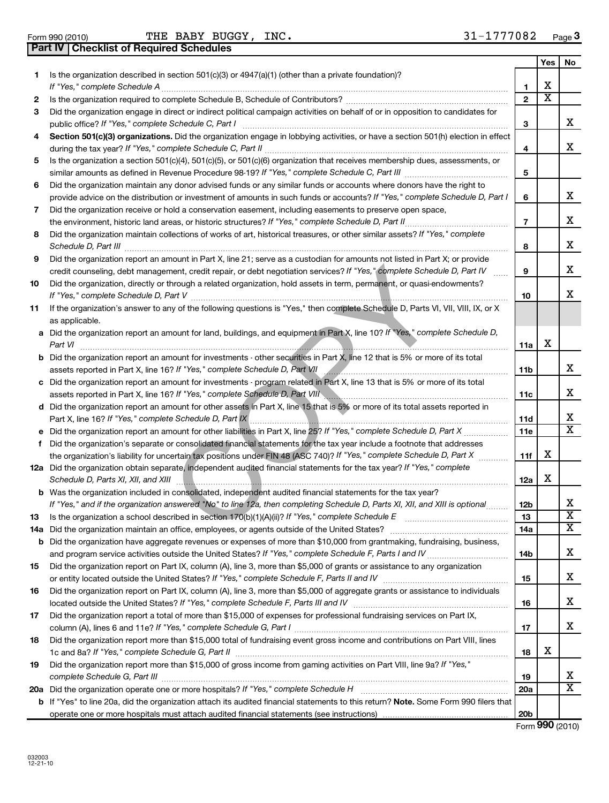Form 990 (2010) BUGGY, INC. 3 $1\text{--}1777\text{082}$  Page **Part IV Checklist of Required Schedules**

|     |                                                                                                                                                                                                                                                       |                 | Yes    | No                    |
|-----|-------------------------------------------------------------------------------------------------------------------------------------------------------------------------------------------------------------------------------------------------------|-----------------|--------|-----------------------|
| 1.  | Is the organization described in section 501(c)(3) or 4947(a)(1) (other than a private foundation)?                                                                                                                                                   |                 |        |                       |
|     | If "Yes," complete Schedule A                                                                                                                                                                                                                         | 1               | х<br>х |                       |
| 2   | Is the organization required to complete Schedule B, Schedule of Contributors? [[[[[[[[[[[[[[[[[[[[[[[[[[]]]]]                                                                                                                                        | $\mathbf{2}$    |        |                       |
| 3   | Did the organization engage in direct or indirect political campaign activities on behalf of or in opposition to candidates for                                                                                                                       |                 |        |                       |
|     | public office? If "Yes," complete Schedule C, Part I                                                                                                                                                                                                  | З               |        | x                     |
| 4   | Section 501(c)(3) organizations. Did the organization engage in lobbying activities, or have a section 501(h) election in effect                                                                                                                      |                 |        | x                     |
|     |                                                                                                                                                                                                                                                       | 4               |        |                       |
| 5   | Is the organization a section 501(c)(4), 501(c)(5), or 501(c)(6) organization that receives membership dues, assessments, or                                                                                                                          |                 |        |                       |
|     |                                                                                                                                                                                                                                                       | 5               |        |                       |
| 6   | Did the organization maintain any donor advised funds or any similar funds or accounts where donors have the right to<br>provide advice on the distribution or investment of amounts in such funds or accounts? If "Yes," complete Schedule D, Part I |                 |        | x                     |
|     | Did the organization receive or hold a conservation easement, including easements to preserve open space,                                                                                                                                             | 6               |        |                       |
| 7   |                                                                                                                                                                                                                                                       | 7               |        | x                     |
| 8   | Did the organization maintain collections of works of art, historical treasures, or other similar assets? If "Yes," complete                                                                                                                          |                 |        |                       |
|     |                                                                                                                                                                                                                                                       | 8               |        | x                     |
| 9   | Did the organization report an amount in Part X, line 21; serve as a custodian for amounts not listed in Part X; or provide                                                                                                                           |                 |        |                       |
|     | credit counseling, debt management, credit repair, or debt negotiation services? If "Yes," complete Schedule D, Part IV                                                                                                                               | 9               |        | x                     |
| 10  | Did the organization, directly or through a related organization, hold assets in term, permanent, or quasi-endowments?                                                                                                                                |                 |        |                       |
|     |                                                                                                                                                                                                                                                       | 10              |        | x                     |
| 11  | If the organization's answer to any of the following questions is "Yes," then complete Schedule D, Parts VI, VII, VIII, IX, or X                                                                                                                      |                 |        |                       |
|     | as applicable.                                                                                                                                                                                                                                        |                 |        |                       |
|     | a Did the organization report an amount for land, buildings, and equipment in Part X, line 10? If "Yes," complete Schedule D,                                                                                                                         |                 |        |                       |
|     | Part VI                                                                                                                                                                                                                                               | 11a             | х      |                       |
|     | <b>b</b> Did the organization report an amount for investments - other securities in Part X, line 12 that is 5% or more of its total                                                                                                                  |                 |        |                       |
|     | assets reported in Part X, line 16? If "Yes," complete Schedule D, Part VII<br><u> 1988 - Andreas Andrews, american american al III e al III e al III e al III e al III e al III e al III e al I</u>                                                  | 11b             |        | x                     |
|     | c Did the organization report an amount for investments - program related in Part X, line 13 that is 5% or more of its total                                                                                                                          |                 |        |                       |
|     | assets reported in Part X, line 16? If "Yes," complete Schedule D, Part VIII                                                                                                                                                                          | 11c             |        | x                     |
|     | d Did the organization report an amount for other assets in Part X, line 15 that is 5% or more of its total assets reported in                                                                                                                        |                 |        | х                     |
|     | Part X, line 16? If "Yes," complete Schedule D, Part IX                                                                                                                                                                                               | 11d             |        | X                     |
|     |                                                                                                                                                                                                                                                       | 11e             |        |                       |
| f   | Did the organization's separate or consolidated financial statements for the tax year include a footnote that addresses<br>the organization's liability for uncertain tax positions under FIN 48 (ASC 740)? If "Yes," complete Schedule D, Part X     | 11f             | х      |                       |
|     | 12a Did the organization obtain separate, independent audited financial statements for the tax year? If "Yes," complete                                                                                                                               |                 |        |                       |
|     | Schedule D, Parts XI, XII, and XIII                                                                                                                                                                                                                   | 12a             | х      |                       |
|     | <b>b</b> Was the organization included in consolidated, independent audited financial statements for the tax year?                                                                                                                                    |                 |        |                       |
|     | If "Yes," and if the organization answered "No" to line 12a, then completing Schedule D, Parts XI, XII, and XIII is optional                                                                                                                          | 12b             |        | х                     |
| 13. | Is the organization a school described in section 170(b)(1)(A)(ii)? If "Yes," complete Schedule E                                                                                                                                                     | 13              |        | X.                    |
|     |                                                                                                                                                                                                                                                       | 14a             |        | $\overline{\text{X}}$ |
|     | <b>b</b> Did the organization have aggregate revenues or expenses of more than \$10,000 from grantmaking, fundraising, business,                                                                                                                      |                 |        |                       |
|     |                                                                                                                                                                                                                                                       | 14b             |        | x                     |
| 15  | Did the organization report on Part IX, column (A), line 3, more than \$5,000 of grants or assistance to any organization                                                                                                                             |                 |        |                       |
|     |                                                                                                                                                                                                                                                       | 15              |        | х                     |
| 16  | Did the organization report on Part IX, column (A), line 3, more than \$5,000 of aggregate grants or assistance to individuals                                                                                                                        |                 |        |                       |
|     |                                                                                                                                                                                                                                                       | 16              |        | х                     |
| 17  | Did the organization report a total of more than \$15,000 of expenses for professional fundraising services on Part IX,                                                                                                                               |                 |        |                       |
|     |                                                                                                                                                                                                                                                       | 17              |        | x                     |
| 18  | Did the organization report more than \$15,000 total of fundraising event gross income and contributions on Part VIII, lines                                                                                                                          |                 |        |                       |
|     |                                                                                                                                                                                                                                                       | 18              | х      |                       |
| 19  | Did the organization report more than \$15,000 of gross income from gaming activities on Part VIII, line 9a? If "Yes,"                                                                                                                                |                 |        |                       |
|     |                                                                                                                                                                                                                                                       | 19              |        | x                     |
|     | 20a Did the organization operate one or more hospitals? If "Yes," complete Schedule H [1] [1] [1] [1] [1] [1] the organization operate one or more hospitals? If "Yes," complete Schedule H [1] [1] [1] [1] [1] [1] [1] [1] [1                        | 20a             |        | x                     |
|     | b If "Yes" to line 20a, did the organization attach its audited financial statements to this return? Note. Some Form 990 filers that                                                                                                                  |                 |        |                       |
|     |                                                                                                                                                                                                                                                       | 20 <sub>b</sub> |        |                       |

Form (2010) **990**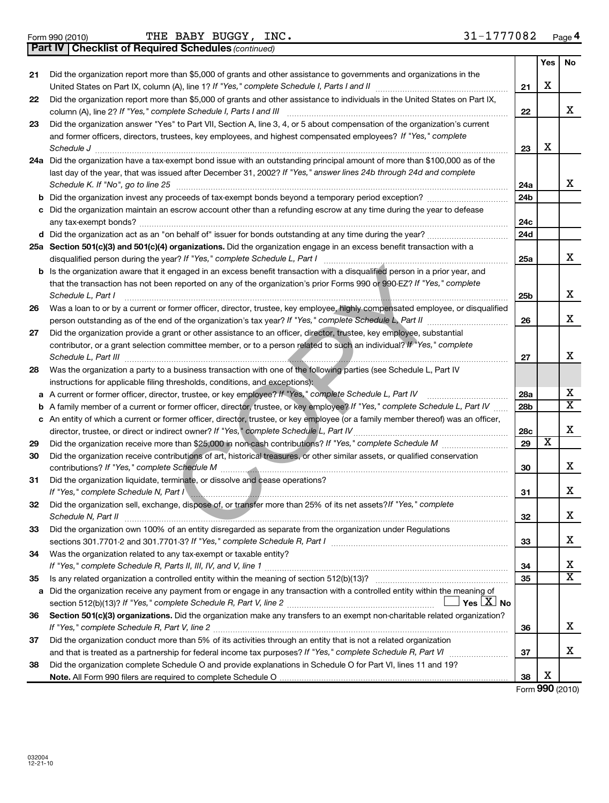**37**

|    | 31-1777082<br>THE BABY BUGGY, INC.<br>Form 990 (2010)                                                                                                                                                |                 |                         | Page 4                  |
|----|------------------------------------------------------------------------------------------------------------------------------------------------------------------------------------------------------|-----------------|-------------------------|-------------------------|
|    | Part IV   Checklist of Required Schedules (continued)                                                                                                                                                |                 |                         |                         |
|    |                                                                                                                                                                                                      |                 | Yes                     | <b>No</b>               |
| 21 | Did the organization report more than \$5,000 of grants and other assistance to governments and organizations in the                                                                                 |                 |                         |                         |
|    |                                                                                                                                                                                                      | 21              | X                       |                         |
| 22 | Did the organization report more than \$5,000 of grants and other assistance to individuals in the United States on Part IX,                                                                         |                 |                         |                         |
|    | column (A), line 2? If "Yes," complete Schedule I, Parts I and III                                                                                                                                   | 22              |                         | X                       |
| 23 | Did the organization answer "Yes" to Part VII, Section A, line 3, 4, or 5 about compensation of the organization's current                                                                           |                 |                         |                         |
|    | and former officers, directors, trustees, key employees, and highest compensated employees? If "Yes," complete                                                                                       |                 |                         |                         |
|    | Schedule J                                                                                                                                                                                           | 23              | X                       |                         |
|    | 24a Did the organization have a tax-exempt bond issue with an outstanding principal amount of more than \$100,000 as of the                                                                          |                 |                         |                         |
|    | last day of the year, that was issued after December 31, 2002? If "Yes," answer lines 24b through 24d and complete                                                                                   |                 |                         |                         |
|    | Schedule K. If "No", go to line 25                                                                                                                                                                   | 24a             |                         | X                       |
| b  | Did the organization invest any proceeds of tax-exempt bonds beyond a temporary period exception?                                                                                                    | 24b             |                         |                         |
| c  | Did the organization maintain an escrow account other than a refunding escrow at any time during the year to defease                                                                                 |                 |                         |                         |
|    |                                                                                                                                                                                                      | 24c             |                         |                         |
|    |                                                                                                                                                                                                      | 24d             |                         |                         |
|    | 25a Section 501(c)(3) and 501(c)(4) organizations. Did the organization engage in an excess benefit transaction with a<br>disqualified person during the year? If "Yes," complete Schedule L, Part I | 25a             |                         | X                       |
| b  | Is the organization aware that it engaged in an excess benefit transaction with a disqualified person in a prior year, and                                                                           |                 |                         |                         |
|    | that the transaction has not been reported on any of the organization's prior Forms 990 or 990-EZ? If "Yes," complete                                                                                |                 |                         |                         |
|    | Schedule L, Part I                                                                                                                                                                                   | 25 <sub>b</sub> |                         | X                       |
| 26 | Was a loan to or by a current or former officer, director, trustee, key employee, highly compensated employee, or disqualified                                                                       |                 |                         |                         |
|    | person outstanding as of the end of the organization's tax year? If "Yes," complete Schedule L, Part II                                                                                              | 26              |                         | X                       |
| 27 | Did the organization provide a grant or other assistance to an officer, director, trustee, key employee, substantial                                                                                 |                 |                         |                         |
|    | contributor, or a grant selection committee member, or to a person related to such an individual? If "Yes," complete                                                                                 | 27              |                         | х                       |
| 28 | Was the organization a party to a business transaction with one of the following parties (see Schedule L, Part IV                                                                                    |                 |                         |                         |
|    | instructions for applicable filing thresholds, conditions, and exceptions):                                                                                                                          |                 |                         |                         |
| а  | A current or former officer, director, trustee, or key employee? If "Yes," complete Schedule L, Part IV                                                                                              | 28a             |                         | х                       |
| b  | A family member of a current or former officer, director, trustee, or key employee? If "Yes," complete Schedule L, Part IV                                                                           | 28b             |                         | $\overline{\mathbf{X}}$ |
| с  | An entity of which a current or former officer, director, trustee, or key employee (or a family member thereof) was an officer,                                                                      |                 |                         |                         |
|    | director, trustee, or direct or indirect owner? If "Yes," complete Schedule L, Part IV                                                                                                               | 28c             |                         | X                       |
| 29 |                                                                                                                                                                                                      | 29              | $\overline{\mathbf{x}}$ |                         |
| 30 | Did the organization receive contributions of art, historical treasures, or other similar assets, or qualified conservation                                                                          |                 |                         |                         |
|    |                                                                                                                                                                                                      | 30              |                         | X                       |
| 31 | Did the organization liquidate, terminate, or dissolve and cease operations?                                                                                                                         |                 |                         |                         |
|    | If "Yes," complete Schedule N, Part I                                                                                                                                                                | -31             |                         | х                       |
| 32 | Did the organization sell, exchange, dispose of, or transfer more than 25% of its net assets? If "Yes," complete                                                                                     |                 |                         |                         |
|    | Schedule N, Part II                                                                                                                                                                                  | 32              |                         | x                       |
| 33 | Did the organization own 100% of an entity disregarded as separate from the organization under Regulations                                                                                           |                 |                         |                         |
|    |                                                                                                                                                                                                      | 33              |                         | x                       |
| 34 | Was the organization related to any tax-exempt or taxable entity?                                                                                                                                    |                 |                         |                         |
|    |                                                                                                                                                                                                      | 34              |                         | x                       |
| 35 |                                                                                                                                                                                                      | 35              |                         | $\overline{\mathbf{x}}$ |
| a  | Did the organization receive any payment from or engage in any transaction with a controlled entity within the meaning of                                                                            |                 |                         |                         |
|    | $\Box$ Yes $\mathsf{\perp} \mathtt{X}$ No                                                                                                                                                            |                 |                         |                         |
| 36 | Section 501(c)(3) organizations. Did the organization make any transfers to an exempt non-charitable related organization?                                                                           |                 |                         |                         |
|    | If "Yes," complete Schedule R, Part V, line 2                                                                                                                                                        | 36              |                         | x                       |
|    |                                                                                                                                                                                                      |                 |                         |                         |

**38 Note.**  All Form 990 filers are required to complete Schedule O and that is treated as a partnership for federal income tax purposes? If "Yes," complete Schedule R, Part VI medi Did the organization complete Schedule O and provide explanations in Schedule O for Part VI, lines 11 and 19?

Did the organization conduct more than 5% of its activities through an entity that is not a related organization

Form (2010) **990** X

X

**37**

**38**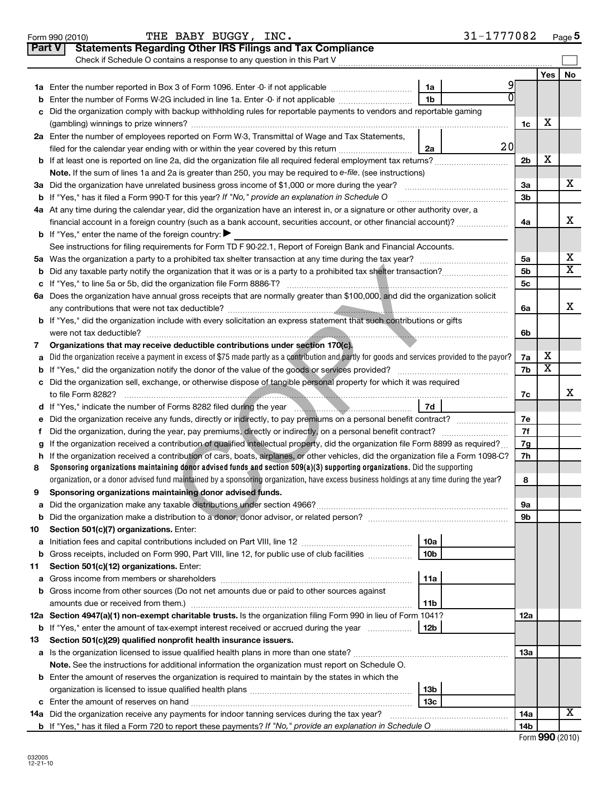|        | THE BABY BUGGY, INC.<br>Form 990 (2010)                                                                                                                     | 31-1777082     |                |                       | Page 5                  |
|--------|-------------------------------------------------------------------------------------------------------------------------------------------------------------|----------------|----------------|-----------------------|-------------------------|
| Part V | <b>Statements Regarding Other IRS Filings and Tax Compliance</b>                                                                                            |                |                |                       |                         |
|        | Check if Schedule O contains a response to any question in this Part V                                                                                      |                |                |                       |                         |
|        |                                                                                                                                                             |                |                | Yes                   | No                      |
|        | 1a Enter the number reported in Box 3 of Form 1096. Enter -0- if not applicable                                                                             | 1a             |                |                       |                         |
|        | <b>b</b> Enter the number of Forms W-2G included in line 1a. Enter -0- if not applicable                                                                    | 1 <sub>b</sub> |                |                       |                         |
|        | Did the organization comply with backup withholding rules for reportable payments to vendors and reportable gaming                                          |                |                |                       |                         |
|        |                                                                                                                                                             |                | 1c             | х                     |                         |
|        | 2a Enter the number of employees reported on Form W-3, Transmittal of Wage and Tax Statements,                                                              |                |                |                       |                         |
|        | filed for the calendar year ending with or within the year covered by this return <i>manumumumum</i>                                                        | 20<br>2a       |                |                       |                         |
|        |                                                                                                                                                             |                | 2b             | х                     |                         |
|        | Note. If the sum of lines 1a and 2a is greater than 250, you may be required to e-file. (see instructions)                                                  |                |                |                       |                         |
|        | 3a Did the organization have unrelated business gross income of \$1,000 or more during the year?                                                            |                | За             |                       | X.                      |
|        | <b>b</b> If "Yes," has it filed a Form 990-T for this year? If "No," provide an explanation in Schedule O                                                   |                | 3b             |                       |                         |
|        | 4a At any time during the calendar year, did the organization have an interest in, or a signature or other authority over, a                                |                |                |                       |                         |
|        | financial account in a foreign country (such as a bank account, securities account, or other financial account)?                                            |                | 4a             |                       | х                       |
|        | <b>b</b> If "Yes," enter the name of the foreign country: $\blacktriangleright$                                                                             |                |                |                       |                         |
|        | See instructions for filing requirements for Form TD F 90-22.1, Report of Foreign Bank and Financial Accounts.                                              |                |                |                       |                         |
|        |                                                                                                                                                             |                | 5a             |                       | х                       |
|        |                                                                                                                                                             |                | 5 <sub>b</sub> |                       | $\overline{\mathtt{x}}$ |
|        |                                                                                                                                                             |                | 5c             |                       |                         |
|        | 6a Does the organization have annual gross receipts that are normally greater than \$100,000, and did the organization solicit                              |                |                |                       |                         |
|        |                                                                                                                                                             |                | 6a             |                       | x                       |
|        | b If "Yes," did the organization include with every solicitation an express statement that such contributions or gifts                                      |                |                |                       |                         |
|        |                                                                                                                                                             |                | 6b             |                       |                         |
| 7      | Organizations that may receive deductible contributions under section 170(c).                                                                               |                |                |                       |                         |
| a      | Did the organization receive a payment in excess of \$75 made partly as a contribution and partly for goods and services provided to the payor?             |                | 7a             | х                     |                         |
|        |                                                                                                                                                             |                | 7b             | $\overline{\text{x}}$ |                         |
|        | c Did the organization sell, exchange, or otherwise dispose of tangible personal property for which it was required                                         |                |                |                       |                         |
|        |                                                                                                                                                             |                | 7c             |                       | x                       |
|        | d If "Yes," indicate the number of Forms 8282 filed during the year manufactured in the second of the number                                                | 7d             |                |                       |                         |
|        | e Did the organization receive any funds, directly or indirectly, to pay premiums on a personal benefit contract?                                           |                | 7е             |                       |                         |
| Ť.     |                                                                                                                                                             |                | 7f             |                       |                         |
| g      | If the organization received a contribution of qualified intellectual property, did the organization file Form 8899 as required?                            |                | 7g             |                       |                         |
|        | h If the organization received a contribution of cars, boats, airplanes, or other vehicles, did the organization file a Form 1098-C?                        |                | 7h             |                       |                         |
| 8      | Sponsoring organizations maintaining donor advised funds and section $509(a)(3)$ supporting organizations. Did the supporting                               |                |                |                       |                         |
|        | organization, or a donor advised fund maintained by a sponsoring organization, have excess business holdings at any time during the year?                   |                | 8              |                       |                         |
| 9      | Sponsoring organizations maintaining donor advised funds.                                                                                                   |                |                |                       |                         |
| а      |                                                                                                                                                             |                | 9а             |                       |                         |
| b      |                                                                                                                                                             |                | 9b             |                       |                         |
| 10     | Section 501(c)(7) organizations. Enter:                                                                                                                     |                |                |                       |                         |
| а      | Initiation fees and capital contributions included on Part VIII, line 12 <i>manual controllers</i> and capital contributions included on Part VIII, line 12 | 10a            |                |                       |                         |
| b      | Gross receipts, included on Form 990, Part VIII, line 12, for public use of club facilities                                                                 | 10b            |                |                       |                         |
| 11     | Section 501(c)(12) organizations. Enter:                                                                                                                    |                |                |                       |                         |
|        |                                                                                                                                                             | 11a            |                |                       |                         |
|        | b Gross income from other sources (Do not net amounts due or paid to other sources against                                                                  |                |                |                       |                         |
|        | amounts due or received from them.)                                                                                                                         | 11b            |                |                       |                         |
|        | 12a Section 4947(a)(1) non-exempt charitable trusts. Is the organization filing Form 990 in lieu of Form 1041?                                              |                | 12a            |                       |                         |
|        | <b>b</b> If "Yes," enter the amount of tax-exempt interest received or accrued during the year                                                              | 12b            |                |                       |                         |
| 13     | Section 501(c)(29) qualified nonprofit health insurance issuers.                                                                                            |                |                |                       |                         |
|        | a Is the organization licensed to issue qualified health plans in more than one state?                                                                      |                | 13a            |                       |                         |
|        | Note. See the instructions for additional information the organization must report on Schedule O.                                                           |                |                |                       |                         |
|        | <b>b</b> Enter the amount of reserves the organization is required to maintain by the states in which the                                                   |                |                |                       |                         |
|        |                                                                                                                                                             | 13b            |                |                       |                         |
|        |                                                                                                                                                             | 13с            |                |                       |                         |
|        |                                                                                                                                                             |                | <b>14a</b>     |                       | х                       |
|        |                                                                                                                                                             |                | 14b            |                       |                         |

|  |  | Form 990 (2010) |
|--|--|-----------------|
|--|--|-----------------|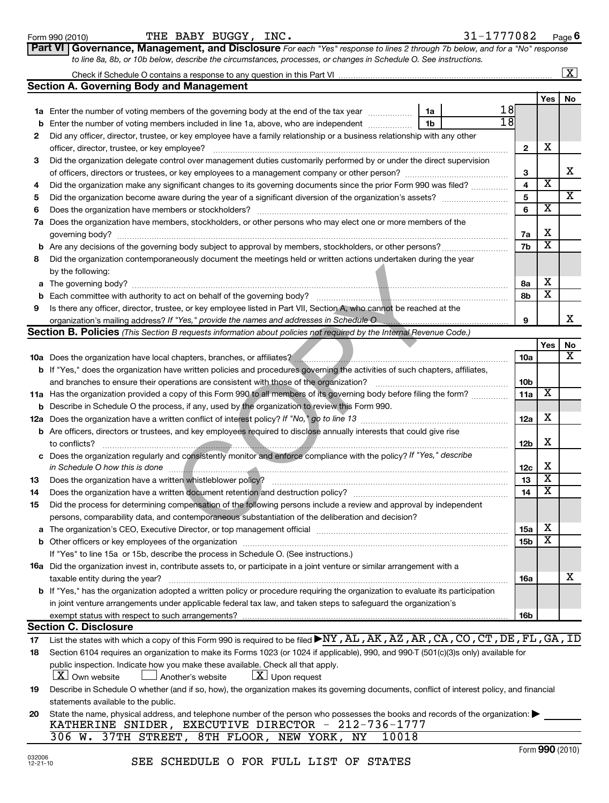# **a** Form 990 (2010) BUGGY, INC. 3 $1\text{--}1777\text{082}$  Page Check if Schedule O contains a response to any question in this Part VI Enter the number of voting members of the governing body at the end of the tax year **Section A. Governing Body and Management**

| 1a | Enter the number of voting members of the governing body at the end of the tax year<br>1a                                            | 18              |                         |    |
|----|--------------------------------------------------------------------------------------------------------------------------------------|-----------------|-------------------------|----|
| b  | 1 <sub>b</sub><br>Enter the number of voting members included in line 1a, above, who are independent                                 | $\overline{18}$ |                         |    |
| 2  | Did any officer, director, trustee, or key employee have a family relationship or a business relationship with any other             |                 |                         |    |
|    |                                                                                                                                      | $\mathbf{2}$    | х                       |    |
| 3  | Did the organization delegate control over management duties customarily performed by or under the direct supervision                |                 |                         |    |
|    |                                                                                                                                      | З               |                         | X  |
| 4  | Did the organization make any significant changes to its governing documents since the prior Form 990 was filed?                     | 4               | $\overline{\mathbf{x}}$ |    |
| 5  |                                                                                                                                      | 5               |                         | X  |
| 6  |                                                                                                                                      |                 | $\overline{\textbf{x}}$ |    |
|    | 7a Does the organization have members, stockholders, or other persons who may elect one or more members of the                       |                 |                         |    |
|    | governing body? <b>www.community.community.community.community.community.community.community.community.community.com</b>             | 7a              | х                       |    |
|    |                                                                                                                                      | 7b              | $\overline{\mathbf{x}}$ |    |
| 8  | Did the organization contemporaneously document the meetings held or written actions undertaken during the year                      |                 |                         |    |
|    | by the following:                                                                                                                    |                 |                         |    |
|    |                                                                                                                                      | 8а              | х                       |    |
| b  |                                                                                                                                      | 8b              | $\overline{\textbf{x}}$ |    |
| 9  | Is there any officer, director, trustee, or key employee listed in Part VII, Section A, who cannot be reached at the                 |                 |                         |    |
|    | organization's mailing address? If "Yes," provide the names and addresses in Schedule O                                              | 9               |                         | X  |
|    | <b>Section B. Policies</b> (This Section B requests information about policies not required by the Internal Revenue Code.)           |                 |                         |    |
|    |                                                                                                                                      |                 | Yes                     | No |
|    |                                                                                                                                      | 10a             |                         | x  |
|    |                                                                                                                                      |                 |                         |    |
|    | <b>b</b> If "Yes," does the organization have written policies and procedures governing the activities of such chapters, affiliates, |                 |                         |    |
|    | and branches to ensure their operations are consistent with those of the organization?                                               | 10b             |                         |    |
|    | 11a Has the organization provided a copy of this Form 990 to all members of its governing body before filing the form?               | 11a             | $\overline{\textbf{x}}$ |    |
| b  | Describe in Schedule O the process, if any, used by the organization to review this Form 990.                                        |                 |                         |    |
|    |                                                                                                                                      | 12a             | х                       |    |
|    | <b>b</b> Are officers, directors or trustees, and key employees required to disclose annually interests that could give rise         |                 |                         |    |
|    | to conflicts?                                                                                                                        | 12b             | х                       |    |
|    | Does the organization regularly and consistently monitor and enforce compliance with the policy? If "Yes," describe                  |                 |                         |    |
|    | in Schedule O how this is done                                                                                                       | 12c             | х                       |    |
| 13 | Does the organization have a written whistleblower policy?                                                                           | 13              | $\overline{\textbf{x}}$ |    |
| 14 | Does the organization have a written document retention and destruction policy?                                                      | 14              | $\overline{\textbf{x}}$ |    |
| 15 | Did the process for determining compensation of the following persons include a review and approval by independent                   |                 |                         |    |
|    | persons, comparability data, and contemporaneous substantiation of the deliberation and decision?                                    |                 |                         |    |
| а  | The organization's CEO, Executive Director, or top management official                                                               | 15a             | х                       |    |
|    | If "Yes" to line 15a or 15b, describe the process in Schedule O. (See instructions.)                                                 | 15b             | $\overline{\textbf{x}}$ |    |

| 16a Did the organization invest in, contribute assets to, or participate in a joint venture or similar arrangement with a              |
|----------------------------------------------------------------------------------------------------------------------------------------|
| taxable entity during the year?                                                                                                        |
| <b>b</b> If "Yes," has the organization adopted a written policy or procedure requiring the organization to evaluate its participation |

| <b>Section C. Disclosure</b>                                                                                                         |            |
|--------------------------------------------------------------------------------------------------------------------------------------|------------|
| exempt status with respect to such arrangements?                                                                                     | <b>16b</b> |
| in joint venture arrangements under applicable federal tax law, and taken steps to safeguard the organization's                      |            |
| <b>D</b> IT YES. THIS the organization adopted a whiten policy of procedure redulting the organization to evaluate its participation |            |

### **Section C. Disclosure**

- **17** List the states with which a copy of this Form 990 is required to be filed  $\blacktriangleright$ NY ,  $\rm AL$  ,  $\rm AK$  ,  $\rm AZ$  ,  $\rm AR$  ,  $\rm CA$  ,  $\rm CO$  ,  $\rm CT$  ,  $\rm DE$  ,  $\rm FL$  ,  $\rm GA$  ,  $\rm ID$
- **18** Section 6104 requires an organization to make its Forms 1023 (or 1024 if applicable), 990, and 990-T (501(c)(3)s only) available for public inspection. Indicate how you make these available. Check all that apply.
	- $\boxed{\textbf{X}}$  Own website  $\boxed{\textbf{X}}$  Another's website  $\boxed{\textbf{X}}$  Upon request
- **19** Describe in Schedule O whether (and if so, how), the organization makes its governing documents, conflict of interest policy, and financial statements available to the public.
- **20** State the name, physical address, and telephone number of the person who possesses the books and records of the organization:  $\blacktriangleright$ <br>KATHERINE SNIDER, EXECUTIVE DIRECTOR -  $212-736-1777$ KATHERINE SNIDER, EXECUTIVE DIRECTOR -

**16a**

X

**Part VI** Governance, Management, and Disclosure For each "Yes" response to lines 2 through 7b below, and for a "No" response *to line 8a, 8b, or 10b below, describe the circumstances, processes, or changes in Schedule O. See instructions.*

 $\lfloor x \rfloor$ 

Yes | No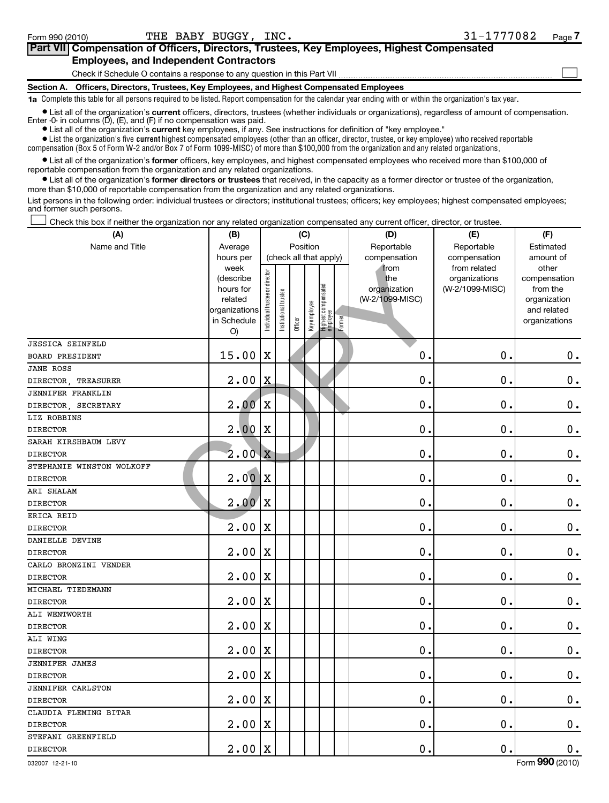| Part VII Compensation of Officers, Directors, Trustees, Key Employees, Highest Compensated                                                                        |  |
|-------------------------------------------------------------------------------------------------------------------------------------------------------------------|--|
| <b>Employees, and Independent Contractors</b>                                                                                                                     |  |
| Check if Schedule O contains a response to any question in this Part VII                                                                                          |  |
| Section A. Officers, Directors, Trustees, Key Employees, and Highest Compensated Employees                                                                        |  |
| $\bullet$ Complete this table for all persons required to be listed. Depart compensation for the calendar vear anding with or within the organization's tax vear. |  |

**1a**  Complete this table for all persons required to be listed. Report compensation for the calendar year ending with or within the organization's tax year.

**•** List all of the organization's current officers, directors, trustees (whether individuals or organizations), regardless of amount of compensation. Enter -0- in columns (D), (E), and (F) if no compensation was paid.

**•** List all of the organization's **current** key employees, if any. See instructions for definition of "key employee."

 $\bullet$  List the organization's five  $\tt current$  highest compensated employees (other than an officer, director, trustee, or key employee) who received reportable compensation (Box 5 of Form W-2 and/or Box 7 of Form 1099-MISC) of more than \$100,000 from the organization and any related organizations .

 $\bullet$  List all of the organization's former officers, key employees, and highest compensated employees who received more than \$100,000 of reportable compensation from the organization and any related organizations.

**•** List all of the organization's former directors or trustees that received, in the capacity as a former director or trustee of the organization, more than \$10,000 of reportable compensation from the organization and any related organizations.

List persons in the following order: individual trustees or directors; institutional trustees; officers; key employees; highest compensated employees; and former such persons.

Check this box if neither the organization nor any related organization compensated any current officer, director, or trustee.  $\pm$ 

| (A)                       | (B)                                                                                          |                                |                       | (C)                               |              |                                 |        | (D)                                                            | (E)                                                              | (F)                                                                                            |
|---------------------------|----------------------------------------------------------------------------------------------|--------------------------------|-----------------------|-----------------------------------|--------------|---------------------------------|--------|----------------------------------------------------------------|------------------------------------------------------------------|------------------------------------------------------------------------------------------------|
| Name and Title            | Average                                                                                      |                                |                       | Position                          |              |                                 |        | Reportable                                                     | Reportable                                                       | Estimated                                                                                      |
|                           | hours per<br>week<br>(describe<br>hours for<br>related<br>organizations<br>in Schedule<br>O) | Individual trustee or director | Institutional trustee | (check all that apply)<br>Officer | Key employee | Highest compensated<br>employee | Former | compensation<br>from<br>the<br>organization<br>(W-2/1099-MISC) | compensation<br>from related<br>organizations<br>(W-2/1099-MISC) | amount of<br>other<br>compensation<br>from the<br>organization<br>and related<br>organizations |
| <b>JESSICA SEINFELD</b>   |                                                                                              |                                |                       |                                   |              |                                 |        |                                                                |                                                                  |                                                                                                |
| <b>BOARD PRESIDENT</b>    | 15.00                                                                                        | $\mathbf X$                    |                       |                                   |              |                                 |        | 0.                                                             | 0.                                                               | $\mathbf 0$ .                                                                                  |
| <b>JANE ROSS</b>          |                                                                                              |                                |                       |                                   |              |                                 |        |                                                                |                                                                  |                                                                                                |
| DIRECTOR, TREASURER       | 2.00                                                                                         | X                              |                       |                                   |              |                                 |        | 0.                                                             | 0.                                                               | $\mathbf 0$ .                                                                                  |
| <b>JENNIFER FRANKLIN</b>  |                                                                                              |                                |                       |                                   |              |                                 |        |                                                                |                                                                  |                                                                                                |
| DIRECTOR, SECRETARY       | 2.00                                                                                         | $\mathbf X$                    |                       |                                   |              |                                 |        | 0.                                                             | 0.                                                               | $\mathbf 0$ .                                                                                  |
| LIZ ROBBINS               |                                                                                              |                                |                       |                                   |              |                                 |        |                                                                |                                                                  |                                                                                                |
| <b>DIRECTOR</b>           | 2.00                                                                                         | X                              |                       |                                   |              |                                 |        | 0.                                                             | 0.                                                               | $\mathbf 0$ .                                                                                  |
| SARAH KIRSHBAUM LEVY      |                                                                                              |                                |                       |                                   |              |                                 |        |                                                                |                                                                  |                                                                                                |
| <b>DIRECTOR</b>           | 2.00                                                                                         | Ιx                             |                       |                                   |              |                                 |        | 0.                                                             | 0.                                                               | $\mathbf 0$ .                                                                                  |
| STEPHANIE WINSTON WOLKOFF |                                                                                              |                                |                       |                                   |              |                                 |        |                                                                |                                                                  |                                                                                                |
| <b>DIRECTOR</b>           | 2.00                                                                                         | $\mathbf{X}$                   |                       |                                   |              |                                 |        | $\mathbf 0$ .                                                  | 0.                                                               | $\mathbf 0$ .                                                                                  |
| ARI SHALAM                |                                                                                              |                                |                       |                                   |              |                                 |        |                                                                |                                                                  |                                                                                                |
| <b>DIRECTOR</b>           | 2.00                                                                                         | $\mathbf x$                    |                       |                                   |              |                                 |        | $\mathbf 0$ .                                                  | 0.                                                               | $\mathbf 0$ .                                                                                  |
| ERICA REID                |                                                                                              |                                |                       |                                   |              |                                 |        |                                                                |                                                                  |                                                                                                |
| <b>DIRECTOR</b>           | 2.00                                                                                         | X                              |                       |                                   |              |                                 |        | 0.                                                             | 0.                                                               | $\mathbf 0$ .                                                                                  |
| DANIELLE DEVINE           |                                                                                              |                                |                       |                                   |              |                                 |        |                                                                |                                                                  |                                                                                                |
| <b>DIRECTOR</b>           | 2.00                                                                                         | $\mathbf X$                    |                       |                                   |              |                                 |        | 0.                                                             | 0.                                                               | $\mathbf 0$ .                                                                                  |
| CARLO BRONZINI VENDER     |                                                                                              |                                |                       |                                   |              |                                 |        |                                                                |                                                                  |                                                                                                |
| <b>DIRECTOR</b>           | 2.00                                                                                         | X                              |                       |                                   |              |                                 |        | $\mathbf 0$ .                                                  | 0.                                                               | $\mathbf 0$ .                                                                                  |
| MICHAEL TIEDEMANN         |                                                                                              |                                |                       |                                   |              |                                 |        |                                                                |                                                                  |                                                                                                |
| <b>DIRECTOR</b>           | 2.00                                                                                         | $\mathbf X$                    |                       |                                   |              |                                 |        | $\mathbf 0$ .                                                  | 0.                                                               | $\mathbf 0$ .                                                                                  |
| ALI WENTWORTH             |                                                                                              |                                |                       |                                   |              |                                 |        |                                                                |                                                                  |                                                                                                |
| <b>DIRECTOR</b>           | 2.00                                                                                         | X                              |                       |                                   |              |                                 |        | $\mathbf 0$ .                                                  | 0.                                                               | $\mathbf 0$ .                                                                                  |
| ALI WING                  |                                                                                              |                                |                       |                                   |              |                                 |        |                                                                |                                                                  |                                                                                                |
| <b>DIRECTOR</b>           | 2.00                                                                                         | $\mathbf X$                    |                       |                                   |              |                                 |        | 0.                                                             | 0.                                                               | $\mathbf 0$ .                                                                                  |
| <b>JENNIFER JAMES</b>     |                                                                                              |                                |                       |                                   |              |                                 |        |                                                                |                                                                  |                                                                                                |
| <b>DIRECTOR</b>           | 2.00                                                                                         | X                              |                       |                                   |              |                                 |        | $\mathbf 0$ .                                                  | 0.                                                               | $\mathbf 0$ .                                                                                  |
| <b>JENNIFER CARLSTON</b>  |                                                                                              |                                |                       |                                   |              |                                 |        |                                                                |                                                                  |                                                                                                |
| <b>DIRECTOR</b>           | 2.00                                                                                         | X                              |                       |                                   |              |                                 |        | $\mathbf 0$ .                                                  | $\mathbf 0$                                                      | $\mathbf 0$ .                                                                                  |
| CLAUDIA FLEMING BITAR     |                                                                                              |                                |                       |                                   |              |                                 |        |                                                                |                                                                  |                                                                                                |
| <b>DIRECTOR</b>           | 2.00                                                                                         | X                              |                       |                                   |              |                                 |        | $\mathbf 0$ .                                                  | $\mathbf 0$                                                      | $\mathbf 0$ .                                                                                  |
| STEFANI GREENFIELD        |                                                                                              |                                |                       |                                   |              |                                 |        |                                                                |                                                                  |                                                                                                |
| <b>DIRECTOR</b>           | 2.00                                                                                         | $\mathbf x$                    |                       |                                   |              |                                 |        | 0.                                                             | 0.                                                               | $\mathbf 0$ .                                                                                  |

032007 12-21-10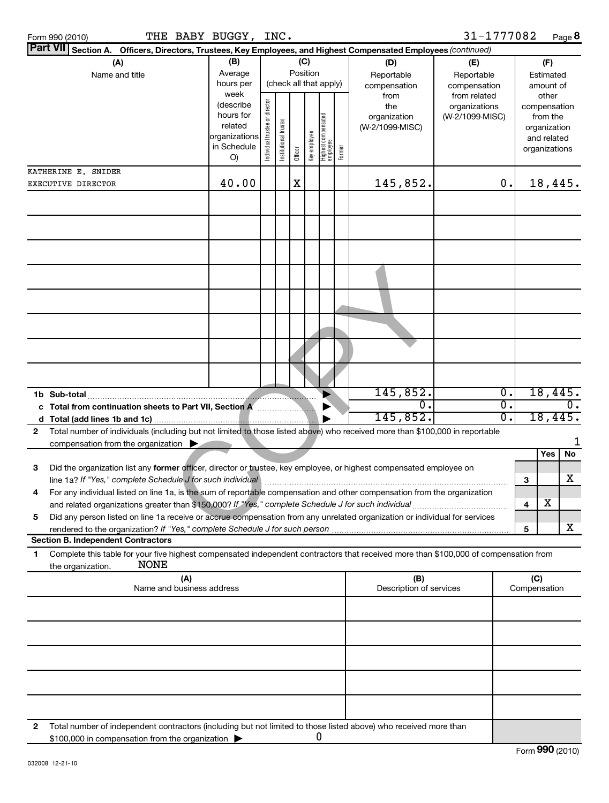| Form 990 (2010)     | THE BABY BUGGY, | INC.                                                                                        |              | 31-1777082   | Page      |
|---------------------|-----------------|---------------------------------------------------------------------------------------------|--------------|--------------|-----------|
| Part VII Section A. |                 | Officers, Directors, Trustees, Key Employees, and Highest Compensated Employees (continued) |              |              |           |
| (A)                 | (B)             | (C)                                                                                         | (D)          | (E)          |           |
| Name and title      | Average         | Position                                                                                    | Reportable   | Reportable   | Estimated |
|                     | hours per       | (check all that apply)                                                                      | compensation | compensation | amount of |
|                     | week            |                                                                                             | from         | from related | nthar     |

| 31-1777082 | Page $\bm{8}$ |
|------------|---------------|
|------------|---------------|

|              | Part VII Section A. Officers, Directors, Trustees, Key Employees, and Highest Compensated Employees (continued)                                                       |                              |                                |                        |         |              |                                 |        |                         |                               |                  |         |                       |                  |
|--------------|-----------------------------------------------------------------------------------------------------------------------------------------------------------------------|------------------------------|--------------------------------|------------------------|---------|--------------|---------------------------------|--------|-------------------------|-------------------------------|------------------|---------|-----------------------|------------------|
|              | (A)                                                                                                                                                                   | (B)                          |                                |                        |         | (C)          |                                 |        | (D)                     | (E)                           |                  |         | (F)                   |                  |
|              | Name and title                                                                                                                                                        | Average                      |                                |                        |         | Position     |                                 |        | Reportable              | Reportable                    |                  |         | Estimated             |                  |
|              |                                                                                                                                                                       | hours per<br>week            |                                | (check all that apply) |         |              |                                 |        | compensation            | compensation                  |                  |         | amount of             |                  |
|              |                                                                                                                                                                       | (describe                    |                                |                        |         |              |                                 |        | from<br>the             | from related<br>organizations |                  |         | other<br>compensation |                  |
|              |                                                                                                                                                                       | hours for                    | Individual trustee or director |                        |         |              |                                 |        | organization            | (W-2/1099-MISC)               |                  |         | from the              |                  |
|              |                                                                                                                                                                       | related                      |                                | nstitutional trustee   |         |              |                                 |        | (W-2/1099-MISC)         |                               |                  |         | organization          |                  |
|              |                                                                                                                                                                       | organizations<br>in Schedule |                                |                        |         | key employee |                                 |        |                         |                               |                  |         | and related           |                  |
|              |                                                                                                                                                                       | O)                           |                                |                        | Officer |              | Highest compensated<br>employee | Former |                         |                               |                  |         | organizations         |                  |
|              | KATHERINE E. SNIDER                                                                                                                                                   |                              |                                |                        |         |              |                                 |        |                         |                               |                  |         |                       |                  |
|              | EXECUTIVE DIRECTOR                                                                                                                                                    | 40.00                        |                                |                        | X       |              |                                 |        | 145,852.                |                               | 0.               |         |                       | 18,445.          |
|              |                                                                                                                                                                       |                              |                                |                        |         |              |                                 |        |                         |                               |                  |         |                       |                  |
|              |                                                                                                                                                                       |                              |                                |                        |         |              |                                 |        |                         |                               |                  |         |                       |                  |
|              |                                                                                                                                                                       |                              |                                |                        |         |              |                                 |        |                         |                               |                  |         |                       |                  |
|              |                                                                                                                                                                       |                              |                                |                        |         |              |                                 |        |                         |                               |                  |         |                       |                  |
|              |                                                                                                                                                                       |                              |                                |                        |         |              |                                 |        |                         |                               |                  |         |                       |                  |
|              |                                                                                                                                                                       |                              |                                |                        |         |              |                                 |        |                         |                               |                  |         |                       |                  |
|              |                                                                                                                                                                       |                              |                                |                        |         |              |                                 |        |                         |                               |                  |         |                       |                  |
|              |                                                                                                                                                                       |                              |                                |                        |         |              |                                 |        |                         |                               |                  |         |                       |                  |
|              |                                                                                                                                                                       |                              |                                |                        |         |              |                                 |        |                         |                               |                  |         |                       |                  |
|              |                                                                                                                                                                       |                              |                                |                        |         |              |                                 |        |                         |                               |                  |         |                       |                  |
|              |                                                                                                                                                                       |                              |                                |                        |         |              |                                 |        |                         |                               |                  |         |                       |                  |
|              |                                                                                                                                                                       |                              |                                |                        |         |              |                                 |        |                         |                               |                  |         |                       |                  |
|              |                                                                                                                                                                       |                              |                                |                        |         |              |                                 |        |                         |                               |                  |         |                       |                  |
|              |                                                                                                                                                                       |                              |                                |                        |         |              |                                 |        |                         |                               |                  |         |                       |                  |
|              |                                                                                                                                                                       |                              |                                |                        |         |              |                                 |        | 145,852.                |                               | $\overline{0}$ . |         |                       | 18,445.          |
|              | 1b Sub-total                                                                                                                                                          |                              |                                |                        |         |              |                                 |        | 0.                      |                               | σ.               |         |                       | $\overline{0}$ . |
|              |                                                                                                                                                                       |                              |                                |                        |         |              |                                 |        | 145,852.                |                               | σ.               | 18,445. |                       |                  |
| $\mathbf{2}$ | Total number of individuals (including but not limited to those listed above) who received more than \$100,000 in reportable                                          |                              |                                |                        |         |              |                                 |        |                         |                               |                  |         |                       |                  |
|              | compensation from the organization $\blacktriangleright$                                                                                                              |                              |                                |                        |         |              |                                 |        |                         |                               |                  |         |                       |                  |
|              |                                                                                                                                                                       |                              |                                |                        |         |              |                                 |        |                         |                               |                  |         | Yes                   | No               |
| 3            | Did the organization list any former officer, director or trustee, key employee, or highest compensated employee on                                                   |                              |                                |                        |         |              |                                 |        |                         |                               |                  |         |                       |                  |
|              | line 1a? If "Yes," complete Schedule J for such individual                                                                                                            |                              |                                |                        |         |              |                                 |        |                         |                               |                  | 3       |                       | x                |
| 4            | For any individual listed on line 1a, is the sum of reportable compensation and other compensation from the organization                                              |                              |                                |                        |         |              |                                 |        |                         |                               |                  |         |                       |                  |
|              |                                                                                                                                                                       |                              |                                |                        |         |              |                                 |        |                         |                               |                  | 4       | X                     |                  |
| 5            | Did any person listed on line 1a receive or accrue compensation from any unrelated organization or individual for services                                            |                              |                                |                        |         |              |                                 |        |                         |                               |                  | 5       |                       | X                |
|              | <b>Section B. Independent Contractors</b>                                                                                                                             |                              |                                |                        |         |              |                                 |        |                         |                               |                  |         |                       |                  |
| 1.           | Complete this table for your five highest compensated independent contractors that received more than \$100,000 of compensation from                                  |                              |                                |                        |         |              |                                 |        |                         |                               |                  |         |                       |                  |
|              | <b>NONE</b><br>the organization.                                                                                                                                      |                              |                                |                        |         |              |                                 |        |                         |                               |                  |         |                       |                  |
|              | (A)                                                                                                                                                                   |                              |                                |                        |         |              |                                 |        | (B)                     |                               |                  |         | (C)                   |                  |
|              | Name and business address                                                                                                                                             |                              |                                |                        |         |              |                                 |        | Description of services |                               |                  |         | Compensation          |                  |
|              |                                                                                                                                                                       |                              |                                |                        |         |              |                                 |        |                         |                               |                  |         |                       |                  |
|              |                                                                                                                                                                       |                              |                                |                        |         |              |                                 |        |                         |                               |                  |         |                       |                  |
|              |                                                                                                                                                                       |                              |                                |                        |         |              |                                 |        |                         |                               |                  |         |                       |                  |
|              |                                                                                                                                                                       |                              |                                |                        |         |              |                                 |        |                         |                               |                  |         |                       |                  |
|              |                                                                                                                                                                       |                              |                                |                        |         |              |                                 |        |                         |                               |                  |         |                       |                  |
|              |                                                                                                                                                                       |                              |                                |                        |         |              |                                 |        |                         |                               |                  |         |                       |                  |
|              |                                                                                                                                                                       |                              |                                |                        |         |              |                                 |        |                         |                               |                  |         |                       |                  |
|              |                                                                                                                                                                       |                              |                                |                        |         |              |                                 |        |                         |                               |                  |         |                       |                  |
|              |                                                                                                                                                                       |                              |                                |                        |         |              |                                 |        |                         |                               |                  |         |                       |                  |
| 2            | Total number of independent contractors (including but not limited to those listed above) who received more than<br>\$100,000 in compensation from the organization > |                              |                                |                        |         |              | 0                               |        |                         |                               |                  |         |                       |                  |
|              |                                                                                                                                                                       |                              |                                |                        |         |              |                                 |        |                         |                               |                  |         |                       |                  |

\$100,000 in compensation from the organization  $\blacktriangleright$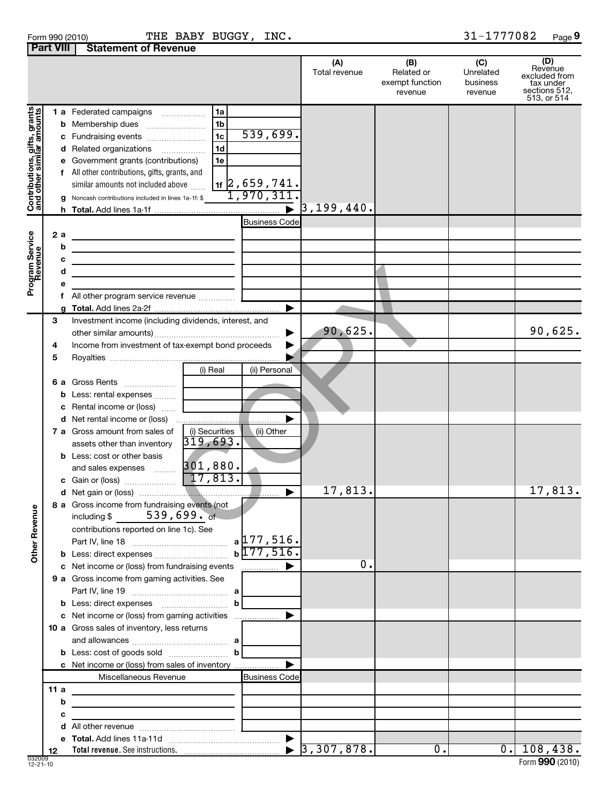| Form 990 (2010)                       |  | THE BAB |
|---------------------------------------|--|---------|
| <b>Part VIII Statement of Revenue</b> |  |         |

Form 990 (2010) Page THE BABY BUGGY, INC. 31-1777082

31-1777082 Page 9

|                                                           |                   |                                                                                                                                                                                                                                                                                                       |                                                                                                                       | (A)<br>Total revenue        | (B)<br>Related or<br>exempt function<br>revenue | (C)<br>Unrelated<br>business<br>revenue | (D)<br>Revenue<br>excluded from<br>tax under<br>sections 512,<br>513, or 514 |
|-----------------------------------------------------------|-------------------|-------------------------------------------------------------------------------------------------------------------------------------------------------------------------------------------------------------------------------------------------------------------------------------------------------|-----------------------------------------------------------------------------------------------------------------------|-----------------------------|-------------------------------------------------|-----------------------------------------|------------------------------------------------------------------------------|
| Contributions, gifts, grants<br>and other similar amounts | f                 | <b>1 a</b> Federated campaigns<br>.<br><b>b</b> Membership dues<br>c Fundraising events<br>d Related organizations<br>e Government grants (contributions)<br>All other contributions, gifts, grants, and<br>similar amounts not included above<br>g Noncash contributions included in lines 1a-1f: \$ | 1a<br>1 <sub>b</sub><br>539,699.<br>1c<br>1d<br>1e<br>$_{1f}$ 2,659,741.<br>1,970,311.                                | $\triangleright$ 3,199,440. |                                                 |                                         |                                                                              |
| Program Service<br>Revenue                                | 2a<br>b<br>с<br>d | <u> 1989 - Johann Stein, marwolaethau a bhann an t-Amhair an t-Amhair an t-Amhair an t-Amhair an t-Amhair an t-A</u><br>f All other program service revenue                                                                                                                                           | <b>Business Code</b>                                                                                                  |                             |                                                 |                                         |                                                                              |
|                                                           | 3<br>4<br>5       | Investment income (including dividends, interest, and<br>Income from investment of tax-exempt bond proceeds                                                                                                                                                                                           |                                                                                                                       | 90,625.<br>▶<br>▶           |                                                 |                                         | 90,625.                                                                      |
|                                                           |                   | 6 a Gross Rents<br><b>b</b> Less: rental expenses<br>c Rental income or (loss)                                                                                                                                                                                                                        | (i) Real<br>(ii) Personal                                                                                             |                             |                                                 |                                         |                                                                              |
|                                                           |                   | <b>7 a</b> Gross amount from sales of<br>assets other than inventory<br><b>b</b> Less: cost or other basis                                                                                                                                                                                            | (i) Securities<br>(ii) Other<br>319,693.                                                                              |                             |                                                 |                                         |                                                                              |
|                                                           |                   |                                                                                                                                                                                                                                                                                                       |                                                                                                                       | 17,813.<br>▶                |                                                 |                                         | 17,813.                                                                      |
| Ф<br>Other Revenu                                         |                   | 8 a Gross income from fundraising events (not<br>$539,699.$ of<br>including \$<br>contributions reported on line 1c). See                                                                                                                                                                             | $a$ 177, 516.<br>$b\sqrt{177,516}$ .                                                                                  |                             |                                                 |                                         |                                                                              |
|                                                           |                   | c Net income or (loss) from fundraising events                                                                                                                                                                                                                                                        |                                                                                                                       | 0.                          |                                                 |                                         |                                                                              |
|                                                           |                   | 9 a Gross income from gaming activities. See                                                                                                                                                                                                                                                          | b                                                                                                                     |                             |                                                 |                                         |                                                                              |
|                                                           |                   | c Net income or (loss) from gaming activities<br>10 a Gross sales of inventory, less returns<br><b>c</b> Net income or (loss) from sales of inventory                                                                                                                                                 | b                                                                                                                     |                             |                                                 |                                         |                                                                              |
|                                                           |                   | Miscellaneous Revenue                                                                                                                                                                                                                                                                                 | <b>Business Code</b>                                                                                                  |                             |                                                 |                                         |                                                                              |
|                                                           | 11a               |                                                                                                                                                                                                                                                                                                       |                                                                                                                       |                             |                                                 |                                         |                                                                              |
|                                                           | b                 | <u> 1989 - Johann Barn, amerikansk politiker (</u>                                                                                                                                                                                                                                                    |                                                                                                                       |                             |                                                 |                                         |                                                                              |
|                                                           | с                 |                                                                                                                                                                                                                                                                                                       | <u> 1980 - John Stein, mars and de Branch and de Branch and de Branch and de Branch and de Branch and de Branch a</u> |                             |                                                 |                                         |                                                                              |
|                                                           |                   |                                                                                                                                                                                                                                                                                                       |                                                                                                                       |                             |                                                 |                                         |                                                                              |
|                                                           | 12                |                                                                                                                                                                                                                                                                                                       |                                                                                                                       |                             | $\overline{0}$ .                                |                                         | $0.$   108,438.                                                              |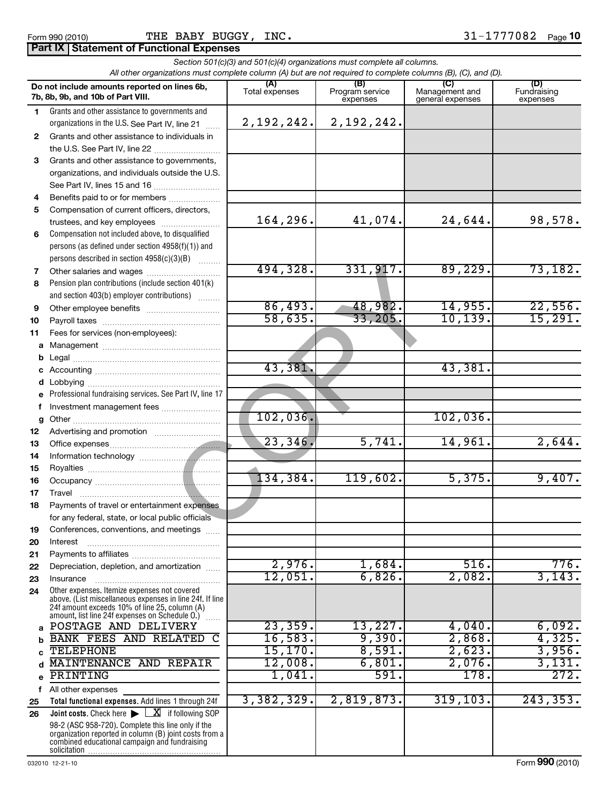## Form 990 (2010) Page THE BABY BUGGY, INC. 31-1777082 **Part IX Statement of Functional Expenses**

|              | All other organizations must complete column (A) but are not required to complete columns (B), (C), and (D).                                                                                                |                | Section 501(c)(3) and 501(c)(4) organizations must complete all columns. |                                           |                                |
|--------------|-------------------------------------------------------------------------------------------------------------------------------------------------------------------------------------------------------------|----------------|--------------------------------------------------------------------------|-------------------------------------------|--------------------------------|
|              | Do not include amounts reported on lines 6b,<br>7b, 8b, 9b, and 10b of Part VIII.                                                                                                                           | Total expenses | (B)<br>Program service<br>expenses                                       | (C)<br>Management and<br>general expenses | (D)<br>Fundraising<br>expenses |
| $\mathbf{1}$ | Grants and other assistance to governments and                                                                                                                                                              |                |                                                                          |                                           |                                |
|              | organizations in the U.S. See Part IV, line 21                                                                                                                                                              | 2,192,242.     | 2,192,242.                                                               |                                           |                                |
| $\mathbf{2}$ | Grants and other assistance to individuals in                                                                                                                                                               |                |                                                                          |                                           |                                |
|              |                                                                                                                                                                                                             |                |                                                                          |                                           |                                |
| 3            | Grants and other assistance to governments,                                                                                                                                                                 |                |                                                                          |                                           |                                |
|              | organizations, and individuals outside the U.S.                                                                                                                                                             |                |                                                                          |                                           |                                |
| 4            | See Part IV, lines 15 and 16<br>Benefits paid to or for members                                                                                                                                             |                |                                                                          |                                           |                                |
| 5            | Compensation of current officers, directors,                                                                                                                                                                |                |                                                                          |                                           |                                |
|              | trustees, and key employees                                                                                                                                                                                 | 164,296.       | 41,074.                                                                  | 24,644.                                   | 98,578.                        |
| 6            | Compensation not included above, to disqualified                                                                                                                                                            |                |                                                                          |                                           |                                |
|              | persons (as defined under section 4958(f)(1)) and                                                                                                                                                           |                |                                                                          |                                           |                                |
|              | persons described in section 4958(c)(3)(B)                                                                                                                                                                  |                |                                                                          |                                           |                                |
| 7            | Other salaries and wages                                                                                                                                                                                    | 494,328.       | 331,917.                                                                 | 89,229.                                   | 73,182.                        |
| 8            | Pension plan contributions (include section 401(k)                                                                                                                                                          |                |                                                                          |                                           |                                |
|              | and section 403(b) employer contributions)                                                                                                                                                                  |                |                                                                          |                                           |                                |
| 9            |                                                                                                                                                                                                             | 86,493.        | 48,982.                                                                  | 14,955.                                   | 22,556.                        |
| 10           |                                                                                                                                                                                                             | 58,635.        | 33, 205.                                                                 | 10, 139.                                  | 15,291.                        |
| 11           | Fees for services (non-employees):                                                                                                                                                                          |                |                                                                          |                                           |                                |
|              |                                                                                                                                                                                                             |                |                                                                          |                                           |                                |
|              |                                                                                                                                                                                                             | 43,381.        |                                                                          | 43,381.                                   |                                |
|              |                                                                                                                                                                                                             |                |                                                                          |                                           |                                |
|              | e Professional fundraising services. See Part IV, line 17                                                                                                                                                   |                |                                                                          |                                           |                                |
| f            | Investment management fees                                                                                                                                                                                  |                |                                                                          |                                           |                                |
|              |                                                                                                                                                                                                             | 102,036.       |                                                                          | 102,036.                                  |                                |
| 12           |                                                                                                                                                                                                             |                |                                                                          |                                           |                                |
| 13           |                                                                                                                                                                                                             | 23,346.        | 5,741.                                                                   | 14,961.                                   | 2,644.                         |
| 14           |                                                                                                                                                                                                             |                |                                                                          |                                           |                                |
| 15           |                                                                                                                                                                                                             |                |                                                                          |                                           |                                |
| 16           |                                                                                                                                                                                                             | 134,384.       | 119,602.                                                                 | 5,375.                                    | 9,407.                         |
| 17           |                                                                                                                                                                                                             |                |                                                                          |                                           |                                |
| 18           | Payments of travel or entertainment expenses                                                                                                                                                                |                |                                                                          |                                           |                                |
|              | for any federal, state, or local public officials                                                                                                                                                           |                |                                                                          |                                           |                                |
| 19<br>20     | Conferences, conventions, and meetings<br>Interest                                                                                                                                                          |                |                                                                          |                                           |                                |
| 21           |                                                                                                                                                                                                             |                |                                                                          |                                           |                                |
| 22           | Depreciation, depletion, and amortization                                                                                                                                                                   | 2,976.         | 1,684.                                                                   | 516.                                      | 776.                           |
| 23           | Insurance                                                                                                                                                                                                   | 12,051.        | 6,826.                                                                   | 2,082.                                    | 3,143.                         |
| 24           | Other expenses. Itemize expenses not covered<br>above. (List miscellaneous expenses in line 24f. If line<br>24f amount exceeds 10% of line 25, column (A)<br>amount, list line 24f expenses on Schedule O.) |                |                                                                          |                                           |                                |
|              | POSTAGE AND DELIVERY                                                                                                                                                                                        | 23,359.        | 13,227.                                                                  | 4,040.                                    | 6,092.                         |
|              | <b>BANK FEES AND RELATED</b><br>C                                                                                                                                                                           | 16,583.        | 9,390.                                                                   | 2,868.                                    | 4,325.                         |
|              | <b>TELEPHONE</b>                                                                                                                                                                                            | 15, 170.       | 8,591.                                                                   | 2,623.                                    | 3,956.                         |
|              | MAINTENANCE AND REPAIR                                                                                                                                                                                      | 12,008.        | 6,801.                                                                   | 2,076.                                    | 3,131.                         |
| e            | PRINTING                                                                                                                                                                                                    | 1,041.         | 591.                                                                     | 178.                                      | 272.                           |
| f            | All other expenses                                                                                                                                                                                          |                |                                                                          |                                           |                                |
| 25           | Total functional expenses. Add lines 1 through 24f                                                                                                                                                          | 3,382,329.     | 2,819,873.                                                               | 319, 103.                                 | 243,353.                       |
| 26           | <b>Joint costs.</b> Check here $\blacktriangleright$<br>$\underline{\mathbf{X}}$ if following SOP                                                                                                           |                |                                                                          |                                           |                                |
|              | 98-2 (ASC 958-720). Complete this line only if the<br>organization reported in column (B) joint costs from a<br>combined educational campaign and fundraising                                               |                |                                                                          |                                           |                                |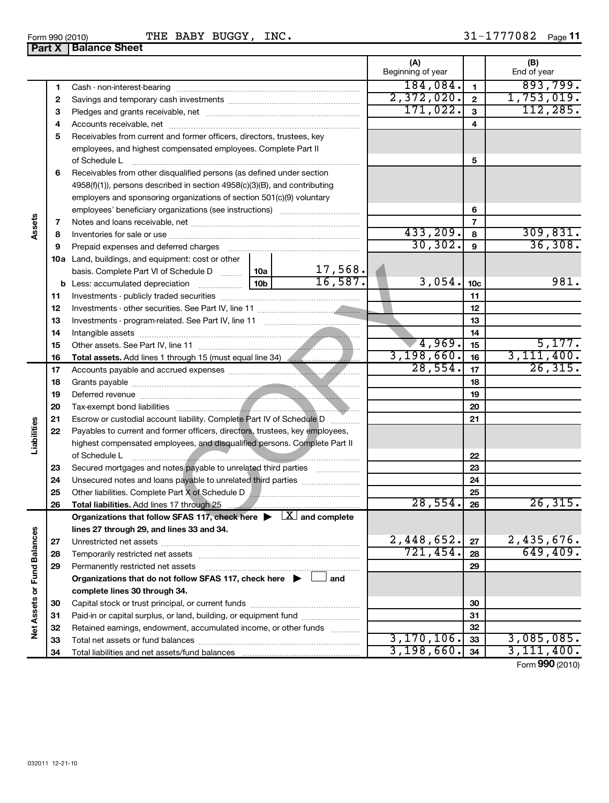**27 28 29**

**Net Assets or Fund Balances**

**Vet Assets or Fund Balances** 

|            |    | <b>Part X   Balance Sheet</b>                                                                                                                                                                                                                         |                          |                 |                    |
|------------|----|-------------------------------------------------------------------------------------------------------------------------------------------------------------------------------------------------------------------------------------------------------|--------------------------|-----------------|--------------------|
|            |    |                                                                                                                                                                                                                                                       | (A)<br>Beginning of year |                 | (B)<br>End of year |
|            | 1  |                                                                                                                                                                                                                                                       | 184,084.                 | 1               | 893,799.           |
|            | 2  |                                                                                                                                                                                                                                                       | 2,372,020.               | $\overline{2}$  | 1,753,019.         |
|            | З  |                                                                                                                                                                                                                                                       | 171,022.                 | 3               | 112, 285.          |
|            | 4  |                                                                                                                                                                                                                                                       |                          | 4               |                    |
|            | 5  | Receivables from current and former officers, directors, trustees, key                                                                                                                                                                                |                          |                 |                    |
|            |    | employees, and highest compensated employees. Complete Part II                                                                                                                                                                                        |                          |                 |                    |
|            |    | of Schedule L                                                                                                                                                                                                                                         |                          | 5               |                    |
|            | 6  | Receivables from other disqualified persons (as defined under section                                                                                                                                                                                 |                          |                 |                    |
|            |    | 4958(f)(1)), persons described in section 4958(c)(3)(B), and contributing                                                                                                                                                                             |                          |                 |                    |
|            |    | employers and sponsoring organizations of section 501(c)(9) voluntary                                                                                                                                                                                 |                          |                 |                    |
|            |    |                                                                                                                                                                                                                                                       |                          | 6               |                    |
| Assets     | 7  |                                                                                                                                                                                                                                                       |                          | $\overline{7}$  |                    |
|            | 8  |                                                                                                                                                                                                                                                       | 433,209.                 | 8               | 309,831.           |
|            | 9  | Prepaid expenses and deferred charges [11] [11] prepaid expenses and deferred charges [11] [11] minimum and the Prepaid expenses and deferred charges [11] minimum and the Prepaid experiment of Prepaid experiment and the Pr                        | 30, 302.                 | 9               | 36,308.            |
|            |    | 10a Land, buildings, and equipment: cost or other                                                                                                                                                                                                     |                          |                 |                    |
|            |    | 17,568.<br>basis. Complete Part VI of Schedule D    10a                                                                                                                                                                                               |                          |                 |                    |
|            |    | 16,587.                                                                                                                                                                                                                                               | 3,054.                   | 10 <sub>c</sub> | 981.               |
|            | 11 |                                                                                                                                                                                                                                                       |                          | 11              |                    |
|            | 12 |                                                                                                                                                                                                                                                       |                          | 12              |                    |
|            | 13 |                                                                                                                                                                                                                                                       |                          | 13              |                    |
|            | 14 |                                                                                                                                                                                                                                                       |                          | 14              |                    |
|            | 15 |                                                                                                                                                                                                                                                       | 4,969.                   | 15              | 5,177.             |
|            | 16 |                                                                                                                                                                                                                                                       | 3,198,660.               | 16              | 3, 111, 400.       |
|            | 17 |                                                                                                                                                                                                                                                       | $\overline{28,554}$ .    | 17              | 26, 315.           |
|            | 18 |                                                                                                                                                                                                                                                       |                          | 18              |                    |
|            | 19 | Deferred revenue <b>contract and the contract of the contract of the contract of the contract of the contract of the contract of the contract of the contract of the contract of the contract of the contract of the contract of</b>                  |                          | 19              |                    |
|            | 20 |                                                                                                                                                                                                                                                       |                          | 20              |                    |
|            | 21 | Escrow or custodial account liability. Complete Part IV of Schedule D                                                                                                                                                                                 |                          | 21              |                    |
|            | 22 | Payables to current and former officers, directors, trustees, key employees,                                                                                                                                                                          |                          |                 |                    |
| Liabilitie |    | highest compensated employees, and disqualified persons. Complete Part II                                                                                                                                                                             |                          |                 |                    |
|            |    | of Schedule L<br><u> Estados de Antonio de Antonio de Antonio de Antonio de Antonio de Antonio de Antonio de Antonio de Antonio de Antonio de Antonio de Antonio de Antonio de Antonio de Antonio de Antonio de Antonio de Antonio de Antonio de </u> |                          | 22              |                    |
|            | 23 | Secured mortgages and notes payable to unrelated third parties                                                                                                                                                                                        |                          | 23              |                    |
|            | 24 | Unsecured notes and loans payable to unrelated third parties                                                                                                                                                                                          |                          | 24              |                    |
|            | 25 | Other liabilities. Complete Part X of Schedule D                                                                                                                                                                                                      |                          | 25              |                    |
|            | 26 | Total liabilities. Add lines 17 through 25                                                                                                                                                                                                            | 28,554.                  | 26              | 26, 315.           |
|            |    | Organizations that follow SFAS 117, check here $\blacktriangleright \;  X $ and complete                                                                                                                                                              |                          |                 |                    |
| g          |    | lines 27 through 29, and lines 33 and 34.                                                                                                                                                                                                             |                          |                 |                    |
|            |    |                                                                                                                                                                                                                                                       |                          |                 |                    |

Unrestricted net assets ~~~~~~~~~~~~~~~~~~~~~~~~~~~ Temporarily restricted net assets ~~~~~~~~~~~~~~~~~~~~~~

Capital stock or trust principal, or current funds ~~~~~~~~~~~~~~~ Paid-in or capital surplus, or land, building, or equipment fund ...................... Retained earnings, endowment, accumulated income, or other funds ............ Total net assets or fund balances ~~~~~~~~~~~~~~~~~~~~~~

**Organizations that do not follow SFAS 117, check here and** | †

Total liabilities and net assets/fund balances

**complete lines 30 through 34.**

Permanently restricted net assets

**27 28 29**

 $2,448,652$ .  $\boxed{27}$  2,435,676. 721,454. 649,409.

3,170,106. 3,085,085.  $3,198,660.$   $34$   $3,111,400.$ 

Form (2010) **990**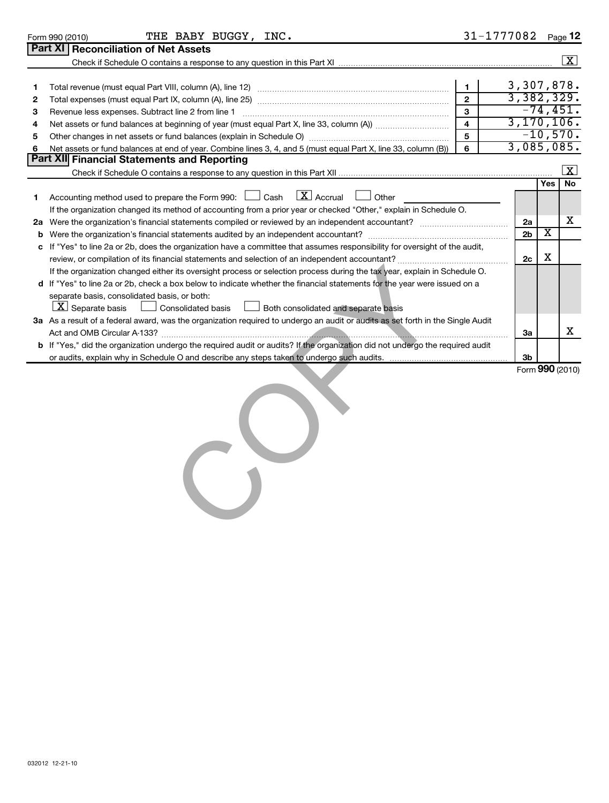|    | THE BABY BUGGY, INC.<br>Form 990 (2010)                                                                                         |                         | 31-1777082     |                         | Page 12             |
|----|---------------------------------------------------------------------------------------------------------------------------------|-------------------------|----------------|-------------------------|---------------------|
|    | <b>Part XI Reconciliation of Net Assets</b>                                                                                     |                         |                |                         |                     |
|    |                                                                                                                                 |                         |                |                         | $\boxed{\text{X}}$  |
|    |                                                                                                                                 |                         |                |                         |                     |
| 1  |                                                                                                                                 | $\mathbf{1}$            | 3,307,878.     |                         |                     |
| 2  |                                                                                                                                 | $\overline{2}$          | 3,382,329.     |                         |                     |
| з  | Revenue less expenses. Subtract line 2 from line 1                                                                              | 3                       |                |                         | $-74,451.$          |
| 4  |                                                                                                                                 | $\overline{\mathbf{4}}$ | 3, 170, 106.   |                         |                     |
| 5  |                                                                                                                                 | 5                       |                |                         | $-10,570.$          |
| 6  | Net assets or fund balances at end of year. Combine lines 3, 4, and 5 (must equal Part X, line 33, column (B))                  | 6                       | 3,085,085.     |                         |                     |
|    | Part XII Financial Statements and Reporting                                                                                     |                         |                |                         |                     |
|    |                                                                                                                                 |                         |                |                         | $\lfloor x \rfloor$ |
|    |                                                                                                                                 |                         |                | <b>Yes</b>              | No                  |
| 1. | $\overline{X}$ Accrual<br>Accounting method used to prepare the Form 990: $\Box$ Cash<br>Other                                  |                         |                |                         |                     |
|    | If the organization changed its method of accounting from a prior year or checked "Other," explain in Schedule O.               |                         |                |                         |                     |
| 2a |                                                                                                                                 |                         | 2a             |                         | x                   |
| b  |                                                                                                                                 |                         | 2 <sub>b</sub> | $\overline{\textbf{x}}$ |                     |
| c  | If "Yes" to line 2a or 2b, does the organization have a committee that assumes responsibility for oversight of the audit,       |                         |                |                         |                     |
|    |                                                                                                                                 |                         | 2c             | X                       |                     |
|    | If the organization changed either its oversight process or selection process during the tax year, explain in Schedule O.       |                         |                |                         |                     |
|    | d If "Yes" to line 2a or 2b, check a box below to indicate whether the financial statements for the year were issued on a       |                         |                |                         |                     |
|    | separate basis, consolidated basis, or both:                                                                                    |                         |                |                         |                     |
|    | $\lfloor \underline{X} \rfloor$ Separate basis<br>Both consolidated and separate basis<br><b>Consolidated basis</b>             |                         |                |                         |                     |
|    | 3a As a result of a federal award, was the organization required to undergo an audit or audits as set forth in the Single Audit |                         |                |                         |                     |
|    |                                                                                                                                 |                         | За             |                         | х                   |
|    | b If "Yes," did the organization undergo the required audit or audits? If the organization did not undergo the required audit   |                         |                |                         |                     |
|    |                                                                                                                                 |                         | 3 <sub>b</sub> |                         |                     |
|    |                                                                                                                                 |                         |                |                         | Form 990 (2010)     |
|    |                                                                                                                                 |                         |                |                         |                     |
|    |                                                                                                                                 |                         |                |                         |                     |
|    |                                                                                                                                 |                         |                |                         |                     |

 $\mathcal{C}$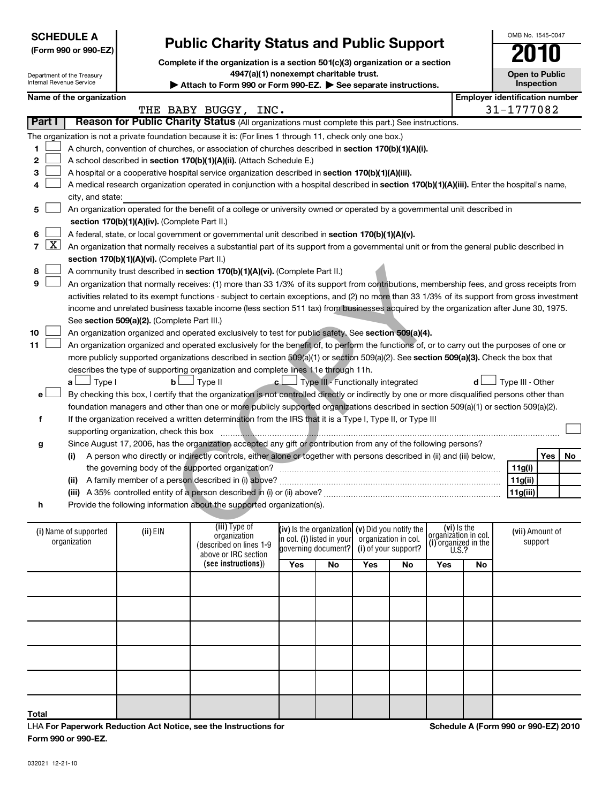032021 12-21-10

- 
- 
- **h** Provide the following information about the supported organization(s).

| n                                     |          | Provide the following information about the supported organization(s).           |                                                                                                        |    |                                              |    |                                                                      |    |                            |
|---------------------------------------|----------|----------------------------------------------------------------------------------|--------------------------------------------------------------------------------------------------------|----|----------------------------------------------|----|----------------------------------------------------------------------|----|----------------------------|
| (i) Name of supported<br>organization | (ii) EIN | (iii) Type of<br>organization<br>(described on lines 1-9<br>above or IRC section | (iv) Is the organization $(v)$ Did you notify the<br>in col. (i) listed in your<br>governing document? |    | organization in col.<br>(i) of your support? |    | (vi) Is the<br>organization in col.<br>(i) organized in the<br>U.S.? |    | (vii) Amount of<br>support |
|                                       |          | (see instructions))                                                              | Yes                                                                                                    | No | Yes                                          | No | Yes                                                                  | No |                            |
|                                       |          |                                                                                  |                                                                                                        |    |                                              |    |                                                                      |    |                            |
|                                       |          |                                                                                  |                                                                                                        |    |                                              |    |                                                                      |    |                            |
|                                       |          |                                                                                  |                                                                                                        |    |                                              |    |                                                                      |    |                            |
|                                       |          |                                                                                  |                                                                                                        |    |                                              |    |                                                                      |    |                            |
|                                       |          |                                                                                  |                                                                                                        |    |                                              |    |                                                                      |    |                            |
| Total                                 |          |                                                                                  |                                                                                                        |    |                                              |    |                                                                      |    |                            |

A church, convention of churches, or association of churches described in section 170(b)(1)(A)(i). **Part I | Reason for Public Charity Status** (All organizations must complete this part.) See instructions. The organization is not a private foundation because it is: (For lines 1 through 11, check only one box.)

|  | 1 A church, convention of churches, or association of churches described if   |
|--|-------------------------------------------------------------------------------|
|  | 2 $\Box$ A school described in section 170(b)(1)(A)(ii). (Attach Schedule E.) |

Department of the Treasury Internal Revenue Service

**SCHEDULE A**

**8 9**

**e**

**(Form 990 or 990-EZ)**

- **2 3** A hospital or a cooperative hospital service organization described in **section 170(b)(1)(A)(iii).**  $\sim$
- **4** A medical research organization operated in conjunction with a hospital described in **section 170(b)(1)(A)(iii).** Enter the hospital's name, city, and state:  $\sim$
- **5 section 170(b)(1)(A)(iv).**  (Complete Part II.) An organization operated for the benefit of a college or university owned or operated by a governmental unit described in  $\sim$
- **6** A federal, state, or local government or governmental unit described in **section 170(b)(1)(A)(v).**  $\sim$
- **7 section 170(b)(1)(A)(vi).** (Complete Part II.) An organization that normally receives a substantial part of its support from a governmental unit or from the general public described in  $\lfloor x \rfloor$ 
	- A community trust described in **section 170(b)(1)(A)(vi).** (Complete Part II.)  $\sim$
- See s**ection 509(a)(2).** (Complete Part III.) An organization that normally receives: (1) more than 33 1/3% of its support from contributions, membership fees, and gross receipts from activities related to its exempt functions - subject to certain exceptions, and (2) no more than 33 1/3% of its support from gross investment income and unrelated business taxable income (less section 511 tax) from businesses acquired by the organization after June 30, 1975.  $\sim$ id in section 170(b)(1)(A)(vi). (Complete Part II.)<br>
Ily receives: (1) more than 33 1/3% of its support from contributions, mem<br>
ppt functions - subject to certain exceptions, and (2) no more than 33 1/3%<br>
eess taxable in
- **10 11** An organization organized and operated exclusively to test for public safety. See **section 509(a)(4).**  $\sim$

more publicly supported organizations described in section 509(a)(1) or section 509(a)(2). See **section 509(a)(3).** Check the box that An organization organized and operated exclusively for the benefit of, to perform the functions of, or to carry out the purposes of one or describes the type of supporting organization and complete lines 11e through 11h.  $\sim$ 

**a** └──┘ Type II ● │──┘ **b** └───<sup>1</sup> Type III → C └───<sup>1</sup> Type III - Functionally integrated **d** └───<sup>1</sup> Type III - Other By checking this box, I certify that the organization is not controlled directly or indirectly by one or more disqualified persons other than foundation managers and other than one or more publicly supported organizations described in section 509(a)(1) or section 509(a)(2). †

**f** If the organization received a written determination from the IRS that it is a Type I, Type II, or Type III supporting organization, check this box ~~~~~~~~~~~~~~~~~~~~~~~~~~~~~~~~~~~~~~~~~~~~~~

**g** Since August 17, 2006, has the organization accepted any gift or contribution from any of the following persons?

- **(i) (ii)** A family member of a person described in (i) above? ~~~~~~~~~~~~~~~~~~~~~~~~~~~~~~ A person who directly or indirectly controls, either alone or together with persons described in (ii) and (iii) below, the governing body of the supported organization? ~~~~~~~~~~~~~~~~~~~~~~~~~~~~~~
- **(iii)** A 35% controlled entity of a person described in (i) or (ii) above? ~~~~~~~~~~~~~~~~~~~~~~~~
- 

LHA **For Paperwork Reduction Act Notice, see the Instructions for Form 990 or 990-EZ.**

**Schedule A (Form 990 or 990-EZ) 2010**

OMB No. 1545-0047

**Open to Public Inspection**

Yes | No

 $\left\vert \cdot\right\vert$ 

**11g(i) 11g(ii) 11g(iii)**

# **Public Charity Status and Public Support**

**Complete if the organization is a section 501(c)(3) organization or a section**

**4947(a)(1) nonexempt charitable trust.**

Attach to Form 990 or Form 990-EZ. See separate instructions. **Name of the organization Employer identification number**

THE BABY BUGGY, INC. THE 31-1777082

|  |  | $D1$ , bis $D2$ , bishes $D1$ |
|--|--|-------------------------------|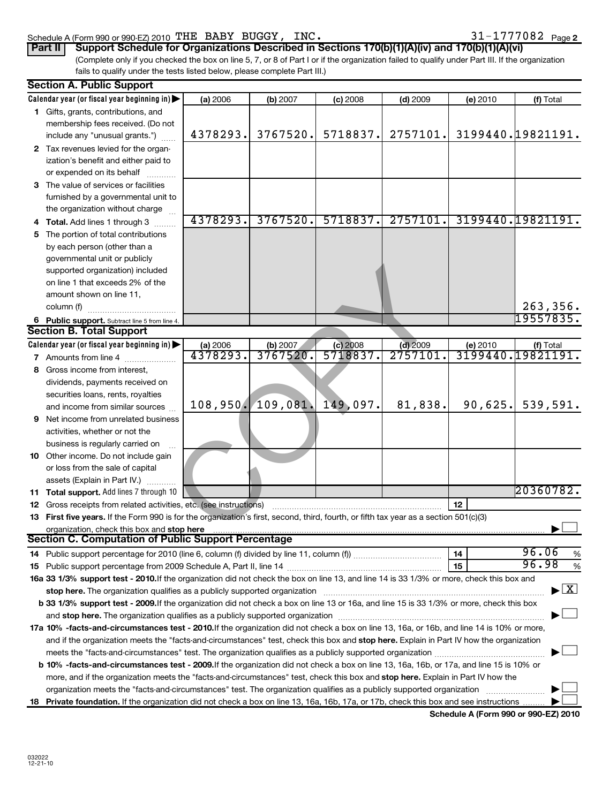### Schedule A (Form 990 or 990-EZ) 2010 'L'HE' BABY BUGGY,  $INC$  . And the set of the set of the set of the set of the set of the set of the set of the set of the set of the set of the set of the set of the set of the set of t THE BABY BUGGY, INC.  $31-1777082$

|  |  |  |  |  |  |  | 31-1777082 <sub>Page 2</sub> |
|--|--|--|--|--|--|--|------------------------------|
|--|--|--|--|--|--|--|------------------------------|

| Part II Support Schedule for Organizations Described in Sections 170(b)(1)(A)(iv) and 170(b)(1)(A)(vi)                                          |
|-------------------------------------------------------------------------------------------------------------------------------------------------|
| (Complete only if you checked the box on line 5, 7, or 8 of Part I or if the organization failed to qualify under Part III. If the organization |
| fails to qualify under the tests listed below, please complete Part III.)                                                                       |

|    | <b>Section A. Public Support</b>                                                                                                                                                                                               |          |                   |            |            |          |                                             |
|----|--------------------------------------------------------------------------------------------------------------------------------------------------------------------------------------------------------------------------------|----------|-------------------|------------|------------|----------|---------------------------------------------|
|    | Calendar year (or fiscal year beginning in)                                                                                                                                                                                    | (a) 2006 | (b) 2007          | $(c)$ 2008 | $(d)$ 2009 | (e) 2010 | (f) Total                                   |
|    | 1 Gifts, grants, contributions, and                                                                                                                                                                                            |          |                   |            |            |          |                                             |
|    | membership fees received. (Do not                                                                                                                                                                                              |          |                   |            |            |          |                                             |
|    | include any "unusual grants.")                                                                                                                                                                                                 | 4378293. | 3767520.          | 5718837.   | 2757101.   |          | 3199440.19821191.                           |
|    | 2 Tax revenues levied for the organ-                                                                                                                                                                                           |          |                   |            |            |          |                                             |
|    | ization's benefit and either paid to                                                                                                                                                                                           |          |                   |            |            |          |                                             |
|    | or expended on its behalf                                                                                                                                                                                                      |          |                   |            |            |          |                                             |
|    | 3 The value of services or facilities                                                                                                                                                                                          |          |                   |            |            |          |                                             |
|    | furnished by a governmental unit to                                                                                                                                                                                            |          |                   |            |            |          |                                             |
|    | the organization without charge                                                                                                                                                                                                | 4378293. | 3767520.          | 5718837.   | 2757101.   |          | 3199440.19821191.                           |
| 4  | Total. Add lines 1 through 3                                                                                                                                                                                                   |          |                   |            |            |          |                                             |
| 5. | The portion of total contributions                                                                                                                                                                                             |          |                   |            |            |          |                                             |
|    | by each person (other than a<br>governmental unit or publicly                                                                                                                                                                  |          |                   |            |            |          |                                             |
|    | supported organization) included                                                                                                                                                                                               |          |                   |            |            |          |                                             |
|    | on line 1 that exceeds 2% of the                                                                                                                                                                                               |          |                   |            |            |          |                                             |
|    | amount shown on line 11,                                                                                                                                                                                                       |          |                   |            |            |          |                                             |
|    | column (f)                                                                                                                                                                                                                     |          |                   |            |            |          | 263, 356.                                   |
|    | 6 Public support. Subtract line 5 from line 4.                                                                                                                                                                                 |          |                   |            |            |          | 19557835.                                   |
|    | <b>Section B. Total Support</b>                                                                                                                                                                                                |          |                   |            |            |          |                                             |
|    | Calendar year (or fiscal year beginning in)                                                                                                                                                                                    | (a) 2006 | (b) 2007          | $(c)$ 2008 | $(d)$ 2009 | (e) 2010 | (f) Total                                   |
|    | 7 Amounts from line 4                                                                                                                                                                                                          | 4378293. | 3767520           | 5718837    | 2757101    | 3199440  | 19821191                                    |
|    | 8 Gross income from interest,                                                                                                                                                                                                  |          |                   |            |            |          |                                             |
|    | dividends, payments received on                                                                                                                                                                                                |          |                   |            |            |          |                                             |
|    | securities loans, rents, royalties                                                                                                                                                                                             |          |                   |            |            |          |                                             |
|    | and income from similar sources                                                                                                                                                                                                |          | 108,950. 109,081. | 149,097.   | 81,838.    | 90,625.  | 539,591.                                    |
| 9  | Net income from unrelated business                                                                                                                                                                                             |          |                   |            |            |          |                                             |
|    | activities, whether or not the                                                                                                                                                                                                 |          |                   |            |            |          |                                             |
|    | business is regularly carried on                                                                                                                                                                                               |          |                   |            |            |          |                                             |
|    | 10 Other income. Do not include gain                                                                                                                                                                                           |          |                   |            |            |          |                                             |
|    | or loss from the sale of capital                                                                                                                                                                                               |          |                   |            |            |          |                                             |
|    | assets (Explain in Part IV.)                                                                                                                                                                                                   |          |                   |            |            |          |                                             |
|    | 11 Total support. Add lines 7 through 10                                                                                                                                                                                       |          |                   |            |            |          | 20360782.                                   |
| 12 | Gross receipts from related activities, etc. (see instructions)                                                                                                                                                                |          |                   |            |            | 12       |                                             |
|    | 13 First five years. If the Form 990 is for the organization's first, second, third, fourth, or fifth tax year as a section 501(c)(3)                                                                                          |          |                   |            |            |          |                                             |
|    | organization, check this box and stop here match and the content of the state of the state of the state of the state of the state of the state of the state of the state of the state of the state of the state of the state o |          |                   |            |            |          |                                             |
|    | <b>Section C. Computation of Public Support Percentage</b>                                                                                                                                                                     |          |                   |            |            |          |                                             |
| 14 |                                                                                                                                                                                                                                |          |                   |            |            | 14       | 96.06<br>%                                  |
|    |                                                                                                                                                                                                                                |          |                   |            |            | 15       | 96.98<br>%                                  |
|    | 16a 33 1/3% support test - 2010. If the organization did not check the box on line 13, and line 14 is 33 1/3% or more, check this box and                                                                                      |          |                   |            |            |          |                                             |
|    |                                                                                                                                                                                                                                |          |                   |            |            |          | $\blacktriangleright$ $\lfloor$ X $\rfloor$ |
|    | b 33 1/3% support test - 2009. If the organization did not check a box on line 13 or 16a, and line 15 is 33 1/3% or more, check this box                                                                                       |          |                   |            |            |          |                                             |
|    |                                                                                                                                                                                                                                |          |                   |            |            |          |                                             |
|    | 17a 10% -facts-and-circumstances test - 2010. If the organization did not check a box on line 13, 16a, or 16b, and line 14 is 10% or more,                                                                                     |          |                   |            |            |          |                                             |
|    | and if the organization meets the "facts-and-circumstances" test, check this box and stop here. Explain in Part IV how the organization                                                                                        |          |                   |            |            |          |                                             |
|    |                                                                                                                                                                                                                                |          |                   |            |            |          |                                             |
|    | b 10% -facts-and-circumstances test - 2009. If the organization did not check a box on line 13, 16a, 16b, or 17a, and line 15 is 10% or                                                                                        |          |                   |            |            |          |                                             |
|    | more, and if the organization meets the "facts-and-circumstances" test, check this box and stop here. Explain in Part IV how the                                                                                               |          |                   |            |            |          |                                             |
|    | organization meets the "facts-and-circumstances" test. The organization qualifies as a publicly supported organization                                                                                                         |          |                   |            |            |          |                                             |
|    | 18 Private foundation. If the organization did not check a box on line 13, 16a, 16b, 17a, or 17b, check this box and see instructions                                                                                          |          |                   |            |            |          |                                             |

**Schedule A (Form 990 or 990-EZ) 2010**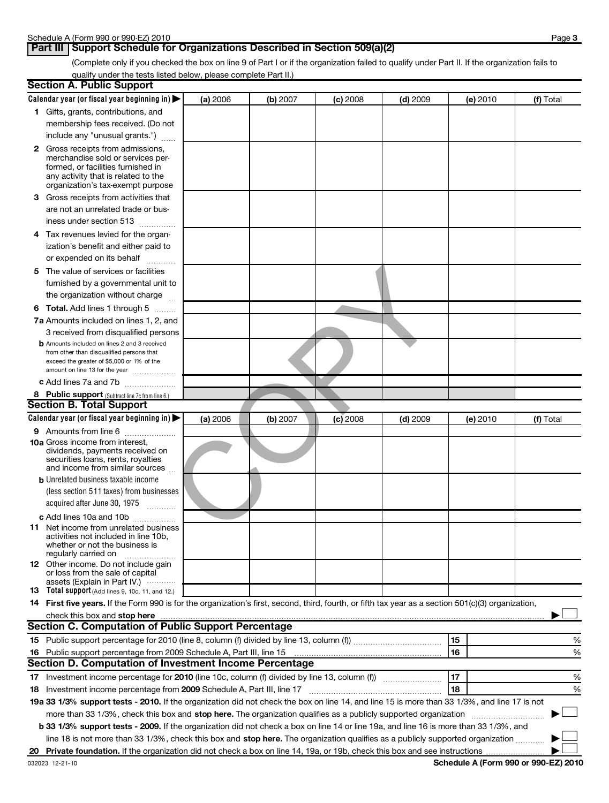## **Part III Support Schedule for Organizations Described in Section 509(a)(2)**

(Complete only if you checked the box on line 9 of Part I or if the organization failed to qualify under Part II. If the organization fails to qualify under the tests listed below, please complete Part II.)

|    | <b>Section A. Public Support</b>                                                                                                                    |          |          |            |            |          |           |
|----|-----------------------------------------------------------------------------------------------------------------------------------------------------|----------|----------|------------|------------|----------|-----------|
|    | Calendar year (or fiscal year beginning in)                                                                                                         | (a) 2006 | (b) 2007 | $(c)$ 2008 | $(d)$ 2009 | (e) 2010 | (f) Total |
|    | 1 Gifts, grants, contributions, and                                                                                                                 |          |          |            |            |          |           |
|    | membership fees received. (Do not                                                                                                                   |          |          |            |            |          |           |
|    | include any "unusual grants.")                                                                                                                      |          |          |            |            |          |           |
|    | 2 Gross receipts from admissions,                                                                                                                   |          |          |            |            |          |           |
|    | merchandise sold or services per-                                                                                                                   |          |          |            |            |          |           |
|    | formed, or facilities furnished in                                                                                                                  |          |          |            |            |          |           |
|    | any activity that is related to the                                                                                                                 |          |          |            |            |          |           |
|    | organization's tax-exempt purpose                                                                                                                   |          |          |            |            |          |           |
|    | <b>3</b> Gross receipts from activities that                                                                                                        |          |          |            |            |          |           |
|    | are not an unrelated trade or bus-                                                                                                                  |          |          |            |            |          |           |
|    | iness under section 513                                                                                                                             |          |          |            |            |          |           |
|    | 4 Tax revenues levied for the organ-                                                                                                                |          |          |            |            |          |           |
|    | ization's benefit and either paid to                                                                                                                |          |          |            |            |          |           |
|    | or expended on its behalf<br>.                                                                                                                      |          |          |            |            |          |           |
|    | 5 The value of services or facilities                                                                                                               |          |          |            |            |          |           |
|    | furnished by a governmental unit to                                                                                                                 |          |          |            |            |          |           |
|    | the organization without charge                                                                                                                     |          |          |            |            |          |           |
|    | <b>6 Total.</b> Add lines 1 through 5                                                                                                               |          |          |            |            |          |           |
|    | 7a Amounts included on lines 1, 2, and                                                                                                              |          |          |            |            |          |           |
|    | 3 received from disqualified persons                                                                                                                |          |          |            |            |          |           |
|    | <b>b</b> Amounts included on lines 2 and 3 received                                                                                                 |          |          |            |            |          |           |
|    | from other than disqualified persons that                                                                                                           |          |          |            |            |          |           |
|    | exceed the greater of \$5,000 or 1% of the<br>amount on line 13 for the year                                                                        |          |          |            |            |          |           |
|    | c Add lines 7a and 7b                                                                                                                               |          |          |            |            |          |           |
|    | 8 Public support (Subtract line 7c from line 6.)                                                                                                    |          |          |            |            |          |           |
|    | <b>Section B. Total Support</b>                                                                                                                     |          |          |            |            |          |           |
|    | Calendar year (or fiscal year beginning in)                                                                                                         | (a) 2006 | (b) 2007 | $(c)$ 2008 | $(d)$ 2009 | (e) 2010 | (f) Total |
|    | 9 Amounts from line 6                                                                                                                               |          |          |            |            |          |           |
|    | <b>10a</b> Gross income from interest,                                                                                                              |          |          |            |            |          |           |
|    | dividends, payments received on                                                                                                                     |          |          |            |            |          |           |
|    | securities loans, rents, royalties<br>and income from similar sources                                                                               |          |          |            |            |          |           |
|    | <b>b</b> Unrelated business taxable income                                                                                                          |          |          |            |            |          |           |
|    | (less section 511 taxes) from businesses                                                                                                            |          |          |            |            |          |           |
|    |                                                                                                                                                     |          |          |            |            |          |           |
|    | acquired after June 30, 1975                                                                                                                        |          |          |            |            |          |           |
|    | c Add lines 10a and 10b                                                                                                                             |          |          |            |            |          |           |
|    | <b>11</b> Net income from unrelated business<br>activities not included in line 10b,                                                                |          |          |            |            |          |           |
|    | whether or not the business is                                                                                                                      |          |          |            |            |          |           |
|    | regularly carried on                                                                                                                                |          |          |            |            |          |           |
|    | 12 Other income. Do not include gain<br>or loss from the sale of capital                                                                            |          |          |            |            |          |           |
|    | assets (Explain in Part IV.)                                                                                                                        |          |          |            |            |          |           |
|    | 13 Total support (Add lines 9, 10c, 11, and 12.)                                                                                                    |          |          |            |            |          |           |
|    | 14 First five years. If the Form 990 is for the organization's first, second, third, fourth, or fifth tax year as a section 501(c)(3) organization, |          |          |            |            |          |           |
|    |                                                                                                                                                     |          |          |            |            |          |           |
|    | <b>Section C. Computation of Public Support Percentage</b>                                                                                          |          |          |            |            |          |           |
|    |                                                                                                                                                     |          |          |            |            | 15       | %         |
| 16 | Public support percentage from 2009 Schedule A, Part III, line 15                                                                                   |          |          |            |            | 16       | %         |
|    | Section D. Computation of Investment Income Percentage                                                                                              |          |          |            |            |          |           |
|    |                                                                                                                                                     |          |          |            |            | 17       | %         |
|    | 18 Investment income percentage from 2009 Schedule A, Part III, line 17                                                                             |          |          |            |            | 18       | %         |
|    | 19a 33 1/3% support tests - 2010. If the organization did not check the box on line 14, and line 15 is more than 33 1/3%, and line 17 is not        |          |          |            |            |          |           |
|    | more than 33 1/3%, check this box and stop here. The organization qualifies as a publicly supported organization                                    |          |          |            |            |          |           |
|    | b 33 1/3% support tests - 2009. If the organization did not check a box on line 14 or line 19a, and line 16 is more than 33 1/3%, and               |          |          |            |            |          |           |
|    | line 18 is not more than 33 1/3%, check this box and stop here. The organization qualifies as a publicly supported organization                     |          |          |            |            |          |           |
|    |                                                                                                                                                     |          |          |            |            |          |           |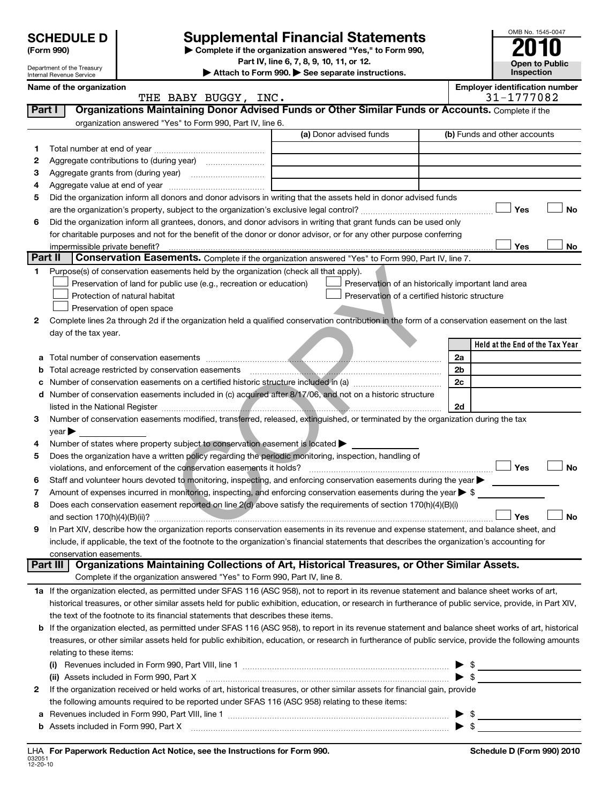# Department of the Treasury Internal Revenue Service

# **SCHEDULE D Supplemental Financial Statements 2010**<br> **SCHEDULE D Supplete if the organization answered "Yes," to Form 990, 2010**

**Part IV, line 6, 7, 8, 9, 10, 11, or 12.**

**| Attach to Form 990. | See separate instructions.**

| OMB No. 1545-0047                   |  |  |  |  |  |  |
|-------------------------------------|--|--|--|--|--|--|
| 2010                                |  |  |  |  |  |  |
| <b>Open to Public</b><br>Inspection |  |  |  |  |  |  |
| mployer identification number       |  |  |  |  |  |  |
| 31-1777082                          |  |  |  |  |  |  |

|          | Name of the organization<br>THE BABY BUGGY, INC.                                                                                                           |                                                     | <b>Employer identification number</b><br>31-1777082 |
|----------|------------------------------------------------------------------------------------------------------------------------------------------------------------|-----------------------------------------------------|-----------------------------------------------------|
| Part I   | Organizations Maintaining Donor Advised Funds or Other Similar Funds or Accounts. Complete if the                                                          |                                                     |                                                     |
|          | organization answered "Yes" to Form 990, Part IV, line 6.                                                                                                  |                                                     |                                                     |
|          |                                                                                                                                                            | (a) Donor advised funds                             | (b) Funds and other accounts                        |
| 1.       |                                                                                                                                                            |                                                     |                                                     |
| 2        |                                                                                                                                                            |                                                     |                                                     |
| 3        |                                                                                                                                                            |                                                     |                                                     |
| 4        |                                                                                                                                                            |                                                     |                                                     |
| 5        | Did the organization inform all donors and donor advisors in writing that the assets held in donor advised funds                                           |                                                     |                                                     |
|          |                                                                                                                                                            |                                                     | Yes<br>No                                           |
|          | Did the organization inform all grantees, donors, and donor advisors in writing that grant funds can be used only                                          |                                                     |                                                     |
| 6        | for charitable purposes and not for the benefit of the donor or donor advisor, or for any other purpose conferring                                         |                                                     |                                                     |
|          | impermissible private benefit?                                                                                                                             |                                                     | Yes<br>No                                           |
| Part II  | Conservation Easements. Complete if the organization answered "Yes" to Form 990, Part IV, line 7.                                                          |                                                     |                                                     |
| 1.       | Purpose(s) of conservation easements held by the organization (check all that apply).                                                                      |                                                     |                                                     |
|          | Preservation of land for public use (e.g., recreation or education)                                                                                        | Preservation of an historically important land area |                                                     |
|          | Protection of natural habitat                                                                                                                              | Preservation of a certified historic structure      |                                                     |
|          | Preservation of open space                                                                                                                                 |                                                     |                                                     |
| 2        | Complete lines 2a through 2d if the organization held a qualified conservation contribution in the form of a conservation easement on the last             |                                                     |                                                     |
|          | day of the tax year.                                                                                                                                       |                                                     |                                                     |
|          |                                                                                                                                                            |                                                     | Held at the End of the Tax Year                     |
| а        |                                                                                                                                                            |                                                     | 2a                                                  |
| b        | Total acreage restricted by conservation easements                                                                                                         |                                                     | 2b                                                  |
|          | Number of conservation easements on a certified historic structure included in (a) manufacture included in (a)                                             |                                                     | 2c                                                  |
| d        | Number of conservation easements included in (c) acquired after 8/17/06, and not on a historic structure                                                   |                                                     |                                                     |
|          |                                                                                                                                                            |                                                     | 2d                                                  |
| 3        | Number of conservation easements modified, transferred, released, extinguished, or terminated by the organization during the tax                           |                                                     |                                                     |
|          | year $\blacktriangleright$                                                                                                                                 |                                                     |                                                     |
| 4        | Number of states where property subject to conservation easement is located >                                                                              |                                                     |                                                     |
| 5        | Does the organization have a written policy regarding the periodic monitoring, inspection, handling of                                                     |                                                     |                                                     |
|          | violations, and enforcement of the conservation easements it holds?                                                                                        |                                                     | Yes<br><b>No</b>                                    |
| 6        | Staff and volunteer hours devoted to monitoring, inspecting, and enforcing conservation easements during the year                                          |                                                     |                                                     |
| 7        | Amount of expenses incurred in monitoring, inspecting, and enforcing conservation easements during the year $\triangleright$ \$                            |                                                     |                                                     |
| 8        | Does each conservation easement reported on line 2(d) above satisfy the requirements of section 170(h)(4)(B)(i)                                            |                                                     |                                                     |
|          |                                                                                                                                                            |                                                     | <b>No</b><br>Yes                                    |
| 9        | In Part XIV, describe how the organization reports conservation easements in its revenue and expense statement, and balance sheet, and                     |                                                     |                                                     |
|          | include, if applicable, the text of the footnote to the organization's financial statements that describes the organization's accounting for               |                                                     |                                                     |
|          | conservation easements.                                                                                                                                    |                                                     |                                                     |
| Part III | Organizations Maintaining Collections of Art, Historical Treasures, or Other Similar Assets.                                                               |                                                     |                                                     |
|          | Complete if the organization answered "Yes" to Form 990, Part IV, line 8.                                                                                  |                                                     |                                                     |
|          | 1a If the organization elected, as permitted under SFAS 116 (ASC 958), not to report in its revenue statement and balance sheet works of art,              |                                                     |                                                     |
|          | historical treasures, or other similar assets held for public exhibition, education, or research in furtherance of public service, provide, in Part XIV,   |                                                     |                                                     |
|          | the text of the footnote to its financial statements that describes these items.                                                                           |                                                     |                                                     |
|          | <b>b</b> If the organization elected, as permitted under SFAS 116 (ASC 958), to report in its revenue statement and balance sheet works of art, historical |                                                     |                                                     |
|          | treasures, or other similar assets held for public exhibition, education, or research in furtherance of public service, provide the following amounts      |                                                     |                                                     |
|          | relating to these items:                                                                                                                                   |                                                     |                                                     |
|          |                                                                                                                                                            |                                                     | \$                                                  |
|          | (ii) Assets included in Form 990, Part X                                                                                                                   |                                                     | $\triangleright$ s                                  |
| 2        | If the organization received or held works of art, historical treasures, or other similar assets for financial gain, provide                               |                                                     |                                                     |
|          | the following amounts required to be reported under SFAS 116 (ASC 958) relating to these items:                                                            |                                                     |                                                     |
|          |                                                                                                                                                            |                                                     | $\blacktriangleright$ \$                            |

………………………………………………………………………………… ▶ \$

**b** Assets included in Form 990, Part X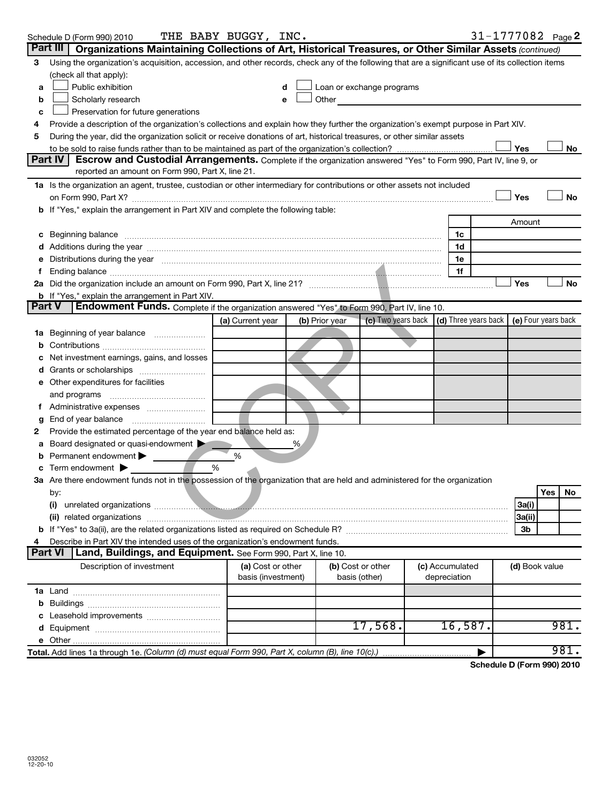| Part III<br>Organizations Maintaining Collections of Art, Historical Treasures, or Other Similar Assets (continued)<br>Using the organization's acquisition, accession, and other records, check any of the following that are a significant use of its collection items<br>3<br>(check all that apply):<br>Public exhibition<br>Loan or exchange programs<br>a<br>d<br>Scholarly research<br>Other and the contract of the contract of the contract of the contract of the contract of the contract of the contract of the contract of the contract of the contract of the contract of the contract of the contract of the<br>b<br>e<br>Preservation for future generations<br>c<br>Provide a description of the organization's collections and explain how they further the organization's exempt purpose in Part XIV.<br>4<br>During the year, did the organization solicit or receive donations of art, historical treasures, or other similar assets<br>5<br>Yes<br>No<br>Part IV<br>Escrow and Custodial Arrangements. Complete if the organization answered "Yes" to Form 990, Part IV, line 9, or<br>reported an amount on Form 990, Part X, line 21.<br>1a Is the organization an agent, trustee, custodian or other intermediary for contributions or other assets not included<br>Yes<br>No<br>b If "Yes," explain the arrangement in Part XIV and complete the following table:<br>Amount<br>c Beginning balance measurements and the contract of the contract of the contract of the contract of the contract of the contract of the contract of the contract of the contract of the contract of the contract of the contr<br>1c<br>1d<br>Distributions during the year manufactured and an extraordinary properties during the year manufactured and the<br>1e<br>1f<br>Yes<br>No<br><b>b</b> If "Yes," explain the arrangement in Part XIV.<br>Endowment Funds. Complete if the organization answered "Yes" to Form 990, Part IV, line 10.<br><b>Part V</b><br>(c) Two years back $\vert$ (d) Three years back $\vert$ (e) Four years back<br>(a) Current year<br>(b) Prior year<br>Beginning of year balance<br>1a<br>Net investment earnings, gains, and losses<br>e Other expenditures for facilities<br>and programs<br>End of year balance<br>g<br>Provide the estimated percentage of the year end balance held as:<br>2<br>Board designated or quasi-endowment<br>%<br>а<br>Permanent endowment<br>%<br>Term endowment $\blacktriangleright$<br>%<br>3a Are there endowment funds not in the possession of the organization that are held and administered for the organization<br>by:<br>Yes<br>N0<br>3a(i)<br>(ii) related organizations <b>contracts</b> and contracts are all the contracts of the contract of the contract of the contract of the contract of the contract of the contract of the contract of the contract of the contract of<br>3a(ii)<br>3b<br>Describe in Part XIV the intended uses of the organization's endowment funds.<br><b>Part VI</b><br>Land, Buildings, and Equipment. See Form 990, Part X, line 10.<br>(a) Cost or other<br>(c) Accumulated<br>Description of investment<br>(b) Cost or other<br>(d) Book value<br>basis (investment)<br>depreciation<br>basis (other)<br>17,568.<br>981.<br>16,587.<br>981.<br>Total. Add lines 1a through 1e. (Column (d) must equal Form 990, Part X, column (B), line 10(c).) | 31-1777082 Page 2<br>THE BABY BUGGY, INC.<br>Schedule D (Form 990) 2010 |  |  |  |  |  |  |  |
|-----------------------------------------------------------------------------------------------------------------------------------------------------------------------------------------------------------------------------------------------------------------------------------------------------------------------------------------------------------------------------------------------------------------------------------------------------------------------------------------------------------------------------------------------------------------------------------------------------------------------------------------------------------------------------------------------------------------------------------------------------------------------------------------------------------------------------------------------------------------------------------------------------------------------------------------------------------------------------------------------------------------------------------------------------------------------------------------------------------------------------------------------------------------------------------------------------------------------------------------------------------------------------------------------------------------------------------------------------------------------------------------------------------------------------------------------------------------------------------------------------------------------------------------------------------------------------------------------------------------------------------------------------------------------------------------------------------------------------------------------------------------------------------------------------------------------------------------------------------------------------------------------------------------------------------------------------------------------------------------------------------------------------------------------------------------------------------------------------------------------------------------------------------------------------------------------------------------------------------------------------------------------------------------------------------------------------------------------------------------------------------------------------------------------------------------------------------------------------------------------------------------------------------------------------------------------------------------------------------------------------------------------------------------------------------------------------------------------------------------------------------------------------------------------------------------------------------------------------------------------------------------------------------------------------------------------------------------------------------------------------------------------------------------------------------------------------------------------------------------------------------------------------------------------------------------------------------------------------------------------------------------------------------------------------------------------------------------------------------------------------|-------------------------------------------------------------------------|--|--|--|--|--|--|--|
|                                                                                                                                                                                                                                                                                                                                                                                                                                                                                                                                                                                                                                                                                                                                                                                                                                                                                                                                                                                                                                                                                                                                                                                                                                                                                                                                                                                                                                                                                                                                                                                                                                                                                                                                                                                                                                                                                                                                                                                                                                                                                                                                                                                                                                                                                                                                                                                                                                                                                                                                                                                                                                                                                                                                                                                                                                                                                                                                                                                                                                                                                                                                                                                                                                                                                                                                                                             |                                                                         |  |  |  |  |  |  |  |
|                                                                                                                                                                                                                                                                                                                                                                                                                                                                                                                                                                                                                                                                                                                                                                                                                                                                                                                                                                                                                                                                                                                                                                                                                                                                                                                                                                                                                                                                                                                                                                                                                                                                                                                                                                                                                                                                                                                                                                                                                                                                                                                                                                                                                                                                                                                                                                                                                                                                                                                                                                                                                                                                                                                                                                                                                                                                                                                                                                                                                                                                                                                                                                                                                                                                                                                                                                             |                                                                         |  |  |  |  |  |  |  |
|                                                                                                                                                                                                                                                                                                                                                                                                                                                                                                                                                                                                                                                                                                                                                                                                                                                                                                                                                                                                                                                                                                                                                                                                                                                                                                                                                                                                                                                                                                                                                                                                                                                                                                                                                                                                                                                                                                                                                                                                                                                                                                                                                                                                                                                                                                                                                                                                                                                                                                                                                                                                                                                                                                                                                                                                                                                                                                                                                                                                                                                                                                                                                                                                                                                                                                                                                                             |                                                                         |  |  |  |  |  |  |  |
|                                                                                                                                                                                                                                                                                                                                                                                                                                                                                                                                                                                                                                                                                                                                                                                                                                                                                                                                                                                                                                                                                                                                                                                                                                                                                                                                                                                                                                                                                                                                                                                                                                                                                                                                                                                                                                                                                                                                                                                                                                                                                                                                                                                                                                                                                                                                                                                                                                                                                                                                                                                                                                                                                                                                                                                                                                                                                                                                                                                                                                                                                                                                                                                                                                                                                                                                                                             |                                                                         |  |  |  |  |  |  |  |
|                                                                                                                                                                                                                                                                                                                                                                                                                                                                                                                                                                                                                                                                                                                                                                                                                                                                                                                                                                                                                                                                                                                                                                                                                                                                                                                                                                                                                                                                                                                                                                                                                                                                                                                                                                                                                                                                                                                                                                                                                                                                                                                                                                                                                                                                                                                                                                                                                                                                                                                                                                                                                                                                                                                                                                                                                                                                                                                                                                                                                                                                                                                                                                                                                                                                                                                                                                             |                                                                         |  |  |  |  |  |  |  |
|                                                                                                                                                                                                                                                                                                                                                                                                                                                                                                                                                                                                                                                                                                                                                                                                                                                                                                                                                                                                                                                                                                                                                                                                                                                                                                                                                                                                                                                                                                                                                                                                                                                                                                                                                                                                                                                                                                                                                                                                                                                                                                                                                                                                                                                                                                                                                                                                                                                                                                                                                                                                                                                                                                                                                                                                                                                                                                                                                                                                                                                                                                                                                                                                                                                                                                                                                                             |                                                                         |  |  |  |  |  |  |  |
|                                                                                                                                                                                                                                                                                                                                                                                                                                                                                                                                                                                                                                                                                                                                                                                                                                                                                                                                                                                                                                                                                                                                                                                                                                                                                                                                                                                                                                                                                                                                                                                                                                                                                                                                                                                                                                                                                                                                                                                                                                                                                                                                                                                                                                                                                                                                                                                                                                                                                                                                                                                                                                                                                                                                                                                                                                                                                                                                                                                                                                                                                                                                                                                                                                                                                                                                                                             |                                                                         |  |  |  |  |  |  |  |
|                                                                                                                                                                                                                                                                                                                                                                                                                                                                                                                                                                                                                                                                                                                                                                                                                                                                                                                                                                                                                                                                                                                                                                                                                                                                                                                                                                                                                                                                                                                                                                                                                                                                                                                                                                                                                                                                                                                                                                                                                                                                                                                                                                                                                                                                                                                                                                                                                                                                                                                                                                                                                                                                                                                                                                                                                                                                                                                                                                                                                                                                                                                                                                                                                                                                                                                                                                             |                                                                         |  |  |  |  |  |  |  |
|                                                                                                                                                                                                                                                                                                                                                                                                                                                                                                                                                                                                                                                                                                                                                                                                                                                                                                                                                                                                                                                                                                                                                                                                                                                                                                                                                                                                                                                                                                                                                                                                                                                                                                                                                                                                                                                                                                                                                                                                                                                                                                                                                                                                                                                                                                                                                                                                                                                                                                                                                                                                                                                                                                                                                                                                                                                                                                                                                                                                                                                                                                                                                                                                                                                                                                                                                                             |                                                                         |  |  |  |  |  |  |  |
|                                                                                                                                                                                                                                                                                                                                                                                                                                                                                                                                                                                                                                                                                                                                                                                                                                                                                                                                                                                                                                                                                                                                                                                                                                                                                                                                                                                                                                                                                                                                                                                                                                                                                                                                                                                                                                                                                                                                                                                                                                                                                                                                                                                                                                                                                                                                                                                                                                                                                                                                                                                                                                                                                                                                                                                                                                                                                                                                                                                                                                                                                                                                                                                                                                                                                                                                                                             |                                                                         |  |  |  |  |  |  |  |
|                                                                                                                                                                                                                                                                                                                                                                                                                                                                                                                                                                                                                                                                                                                                                                                                                                                                                                                                                                                                                                                                                                                                                                                                                                                                                                                                                                                                                                                                                                                                                                                                                                                                                                                                                                                                                                                                                                                                                                                                                                                                                                                                                                                                                                                                                                                                                                                                                                                                                                                                                                                                                                                                                                                                                                                                                                                                                                                                                                                                                                                                                                                                                                                                                                                                                                                                                                             |                                                                         |  |  |  |  |  |  |  |
|                                                                                                                                                                                                                                                                                                                                                                                                                                                                                                                                                                                                                                                                                                                                                                                                                                                                                                                                                                                                                                                                                                                                                                                                                                                                                                                                                                                                                                                                                                                                                                                                                                                                                                                                                                                                                                                                                                                                                                                                                                                                                                                                                                                                                                                                                                                                                                                                                                                                                                                                                                                                                                                                                                                                                                                                                                                                                                                                                                                                                                                                                                                                                                                                                                                                                                                                                                             |                                                                         |  |  |  |  |  |  |  |
|                                                                                                                                                                                                                                                                                                                                                                                                                                                                                                                                                                                                                                                                                                                                                                                                                                                                                                                                                                                                                                                                                                                                                                                                                                                                                                                                                                                                                                                                                                                                                                                                                                                                                                                                                                                                                                                                                                                                                                                                                                                                                                                                                                                                                                                                                                                                                                                                                                                                                                                                                                                                                                                                                                                                                                                                                                                                                                                                                                                                                                                                                                                                                                                                                                                                                                                                                                             |                                                                         |  |  |  |  |  |  |  |
|                                                                                                                                                                                                                                                                                                                                                                                                                                                                                                                                                                                                                                                                                                                                                                                                                                                                                                                                                                                                                                                                                                                                                                                                                                                                                                                                                                                                                                                                                                                                                                                                                                                                                                                                                                                                                                                                                                                                                                                                                                                                                                                                                                                                                                                                                                                                                                                                                                                                                                                                                                                                                                                                                                                                                                                                                                                                                                                                                                                                                                                                                                                                                                                                                                                                                                                                                                             |                                                                         |  |  |  |  |  |  |  |
|                                                                                                                                                                                                                                                                                                                                                                                                                                                                                                                                                                                                                                                                                                                                                                                                                                                                                                                                                                                                                                                                                                                                                                                                                                                                                                                                                                                                                                                                                                                                                                                                                                                                                                                                                                                                                                                                                                                                                                                                                                                                                                                                                                                                                                                                                                                                                                                                                                                                                                                                                                                                                                                                                                                                                                                                                                                                                                                                                                                                                                                                                                                                                                                                                                                                                                                                                                             |                                                                         |  |  |  |  |  |  |  |
|                                                                                                                                                                                                                                                                                                                                                                                                                                                                                                                                                                                                                                                                                                                                                                                                                                                                                                                                                                                                                                                                                                                                                                                                                                                                                                                                                                                                                                                                                                                                                                                                                                                                                                                                                                                                                                                                                                                                                                                                                                                                                                                                                                                                                                                                                                                                                                                                                                                                                                                                                                                                                                                                                                                                                                                                                                                                                                                                                                                                                                                                                                                                                                                                                                                                                                                                                                             |                                                                         |  |  |  |  |  |  |  |
|                                                                                                                                                                                                                                                                                                                                                                                                                                                                                                                                                                                                                                                                                                                                                                                                                                                                                                                                                                                                                                                                                                                                                                                                                                                                                                                                                                                                                                                                                                                                                                                                                                                                                                                                                                                                                                                                                                                                                                                                                                                                                                                                                                                                                                                                                                                                                                                                                                                                                                                                                                                                                                                                                                                                                                                                                                                                                                                                                                                                                                                                                                                                                                                                                                                                                                                                                                             |                                                                         |  |  |  |  |  |  |  |
|                                                                                                                                                                                                                                                                                                                                                                                                                                                                                                                                                                                                                                                                                                                                                                                                                                                                                                                                                                                                                                                                                                                                                                                                                                                                                                                                                                                                                                                                                                                                                                                                                                                                                                                                                                                                                                                                                                                                                                                                                                                                                                                                                                                                                                                                                                                                                                                                                                                                                                                                                                                                                                                                                                                                                                                                                                                                                                                                                                                                                                                                                                                                                                                                                                                                                                                                                                             |                                                                         |  |  |  |  |  |  |  |
|                                                                                                                                                                                                                                                                                                                                                                                                                                                                                                                                                                                                                                                                                                                                                                                                                                                                                                                                                                                                                                                                                                                                                                                                                                                                                                                                                                                                                                                                                                                                                                                                                                                                                                                                                                                                                                                                                                                                                                                                                                                                                                                                                                                                                                                                                                                                                                                                                                                                                                                                                                                                                                                                                                                                                                                                                                                                                                                                                                                                                                                                                                                                                                                                                                                                                                                                                                             |                                                                         |  |  |  |  |  |  |  |
|                                                                                                                                                                                                                                                                                                                                                                                                                                                                                                                                                                                                                                                                                                                                                                                                                                                                                                                                                                                                                                                                                                                                                                                                                                                                                                                                                                                                                                                                                                                                                                                                                                                                                                                                                                                                                                                                                                                                                                                                                                                                                                                                                                                                                                                                                                                                                                                                                                                                                                                                                                                                                                                                                                                                                                                                                                                                                                                                                                                                                                                                                                                                                                                                                                                                                                                                                                             |                                                                         |  |  |  |  |  |  |  |
|                                                                                                                                                                                                                                                                                                                                                                                                                                                                                                                                                                                                                                                                                                                                                                                                                                                                                                                                                                                                                                                                                                                                                                                                                                                                                                                                                                                                                                                                                                                                                                                                                                                                                                                                                                                                                                                                                                                                                                                                                                                                                                                                                                                                                                                                                                                                                                                                                                                                                                                                                                                                                                                                                                                                                                                                                                                                                                                                                                                                                                                                                                                                                                                                                                                                                                                                                                             |                                                                         |  |  |  |  |  |  |  |
|                                                                                                                                                                                                                                                                                                                                                                                                                                                                                                                                                                                                                                                                                                                                                                                                                                                                                                                                                                                                                                                                                                                                                                                                                                                                                                                                                                                                                                                                                                                                                                                                                                                                                                                                                                                                                                                                                                                                                                                                                                                                                                                                                                                                                                                                                                                                                                                                                                                                                                                                                                                                                                                                                                                                                                                                                                                                                                                                                                                                                                                                                                                                                                                                                                                                                                                                                                             |                                                                         |  |  |  |  |  |  |  |
|                                                                                                                                                                                                                                                                                                                                                                                                                                                                                                                                                                                                                                                                                                                                                                                                                                                                                                                                                                                                                                                                                                                                                                                                                                                                                                                                                                                                                                                                                                                                                                                                                                                                                                                                                                                                                                                                                                                                                                                                                                                                                                                                                                                                                                                                                                                                                                                                                                                                                                                                                                                                                                                                                                                                                                                                                                                                                                                                                                                                                                                                                                                                                                                                                                                                                                                                                                             |                                                                         |  |  |  |  |  |  |  |
|                                                                                                                                                                                                                                                                                                                                                                                                                                                                                                                                                                                                                                                                                                                                                                                                                                                                                                                                                                                                                                                                                                                                                                                                                                                                                                                                                                                                                                                                                                                                                                                                                                                                                                                                                                                                                                                                                                                                                                                                                                                                                                                                                                                                                                                                                                                                                                                                                                                                                                                                                                                                                                                                                                                                                                                                                                                                                                                                                                                                                                                                                                                                                                                                                                                                                                                                                                             |                                                                         |  |  |  |  |  |  |  |
|                                                                                                                                                                                                                                                                                                                                                                                                                                                                                                                                                                                                                                                                                                                                                                                                                                                                                                                                                                                                                                                                                                                                                                                                                                                                                                                                                                                                                                                                                                                                                                                                                                                                                                                                                                                                                                                                                                                                                                                                                                                                                                                                                                                                                                                                                                                                                                                                                                                                                                                                                                                                                                                                                                                                                                                                                                                                                                                                                                                                                                                                                                                                                                                                                                                                                                                                                                             |                                                                         |  |  |  |  |  |  |  |
|                                                                                                                                                                                                                                                                                                                                                                                                                                                                                                                                                                                                                                                                                                                                                                                                                                                                                                                                                                                                                                                                                                                                                                                                                                                                                                                                                                                                                                                                                                                                                                                                                                                                                                                                                                                                                                                                                                                                                                                                                                                                                                                                                                                                                                                                                                                                                                                                                                                                                                                                                                                                                                                                                                                                                                                                                                                                                                                                                                                                                                                                                                                                                                                                                                                                                                                                                                             |                                                                         |  |  |  |  |  |  |  |
|                                                                                                                                                                                                                                                                                                                                                                                                                                                                                                                                                                                                                                                                                                                                                                                                                                                                                                                                                                                                                                                                                                                                                                                                                                                                                                                                                                                                                                                                                                                                                                                                                                                                                                                                                                                                                                                                                                                                                                                                                                                                                                                                                                                                                                                                                                                                                                                                                                                                                                                                                                                                                                                                                                                                                                                                                                                                                                                                                                                                                                                                                                                                                                                                                                                                                                                                                                             |                                                                         |  |  |  |  |  |  |  |
|                                                                                                                                                                                                                                                                                                                                                                                                                                                                                                                                                                                                                                                                                                                                                                                                                                                                                                                                                                                                                                                                                                                                                                                                                                                                                                                                                                                                                                                                                                                                                                                                                                                                                                                                                                                                                                                                                                                                                                                                                                                                                                                                                                                                                                                                                                                                                                                                                                                                                                                                                                                                                                                                                                                                                                                                                                                                                                                                                                                                                                                                                                                                                                                                                                                                                                                                                                             |                                                                         |  |  |  |  |  |  |  |
|                                                                                                                                                                                                                                                                                                                                                                                                                                                                                                                                                                                                                                                                                                                                                                                                                                                                                                                                                                                                                                                                                                                                                                                                                                                                                                                                                                                                                                                                                                                                                                                                                                                                                                                                                                                                                                                                                                                                                                                                                                                                                                                                                                                                                                                                                                                                                                                                                                                                                                                                                                                                                                                                                                                                                                                                                                                                                                                                                                                                                                                                                                                                                                                                                                                                                                                                                                             |                                                                         |  |  |  |  |  |  |  |
|                                                                                                                                                                                                                                                                                                                                                                                                                                                                                                                                                                                                                                                                                                                                                                                                                                                                                                                                                                                                                                                                                                                                                                                                                                                                                                                                                                                                                                                                                                                                                                                                                                                                                                                                                                                                                                                                                                                                                                                                                                                                                                                                                                                                                                                                                                                                                                                                                                                                                                                                                                                                                                                                                                                                                                                                                                                                                                                                                                                                                                                                                                                                                                                                                                                                                                                                                                             |                                                                         |  |  |  |  |  |  |  |
|                                                                                                                                                                                                                                                                                                                                                                                                                                                                                                                                                                                                                                                                                                                                                                                                                                                                                                                                                                                                                                                                                                                                                                                                                                                                                                                                                                                                                                                                                                                                                                                                                                                                                                                                                                                                                                                                                                                                                                                                                                                                                                                                                                                                                                                                                                                                                                                                                                                                                                                                                                                                                                                                                                                                                                                                                                                                                                                                                                                                                                                                                                                                                                                                                                                                                                                                                                             |                                                                         |  |  |  |  |  |  |  |
|                                                                                                                                                                                                                                                                                                                                                                                                                                                                                                                                                                                                                                                                                                                                                                                                                                                                                                                                                                                                                                                                                                                                                                                                                                                                                                                                                                                                                                                                                                                                                                                                                                                                                                                                                                                                                                                                                                                                                                                                                                                                                                                                                                                                                                                                                                                                                                                                                                                                                                                                                                                                                                                                                                                                                                                                                                                                                                                                                                                                                                                                                                                                                                                                                                                                                                                                                                             |                                                                         |  |  |  |  |  |  |  |
|                                                                                                                                                                                                                                                                                                                                                                                                                                                                                                                                                                                                                                                                                                                                                                                                                                                                                                                                                                                                                                                                                                                                                                                                                                                                                                                                                                                                                                                                                                                                                                                                                                                                                                                                                                                                                                                                                                                                                                                                                                                                                                                                                                                                                                                                                                                                                                                                                                                                                                                                                                                                                                                                                                                                                                                                                                                                                                                                                                                                                                                                                                                                                                                                                                                                                                                                                                             |                                                                         |  |  |  |  |  |  |  |
|                                                                                                                                                                                                                                                                                                                                                                                                                                                                                                                                                                                                                                                                                                                                                                                                                                                                                                                                                                                                                                                                                                                                                                                                                                                                                                                                                                                                                                                                                                                                                                                                                                                                                                                                                                                                                                                                                                                                                                                                                                                                                                                                                                                                                                                                                                                                                                                                                                                                                                                                                                                                                                                                                                                                                                                                                                                                                                                                                                                                                                                                                                                                                                                                                                                                                                                                                                             |                                                                         |  |  |  |  |  |  |  |
|                                                                                                                                                                                                                                                                                                                                                                                                                                                                                                                                                                                                                                                                                                                                                                                                                                                                                                                                                                                                                                                                                                                                                                                                                                                                                                                                                                                                                                                                                                                                                                                                                                                                                                                                                                                                                                                                                                                                                                                                                                                                                                                                                                                                                                                                                                                                                                                                                                                                                                                                                                                                                                                                                                                                                                                                                                                                                                                                                                                                                                                                                                                                                                                                                                                                                                                                                                             |                                                                         |  |  |  |  |  |  |  |
|                                                                                                                                                                                                                                                                                                                                                                                                                                                                                                                                                                                                                                                                                                                                                                                                                                                                                                                                                                                                                                                                                                                                                                                                                                                                                                                                                                                                                                                                                                                                                                                                                                                                                                                                                                                                                                                                                                                                                                                                                                                                                                                                                                                                                                                                                                                                                                                                                                                                                                                                                                                                                                                                                                                                                                                                                                                                                                                                                                                                                                                                                                                                                                                                                                                                                                                                                                             |                                                                         |  |  |  |  |  |  |  |
|                                                                                                                                                                                                                                                                                                                                                                                                                                                                                                                                                                                                                                                                                                                                                                                                                                                                                                                                                                                                                                                                                                                                                                                                                                                                                                                                                                                                                                                                                                                                                                                                                                                                                                                                                                                                                                                                                                                                                                                                                                                                                                                                                                                                                                                                                                                                                                                                                                                                                                                                                                                                                                                                                                                                                                                                                                                                                                                                                                                                                                                                                                                                                                                                                                                                                                                                                                             |                                                                         |  |  |  |  |  |  |  |
|                                                                                                                                                                                                                                                                                                                                                                                                                                                                                                                                                                                                                                                                                                                                                                                                                                                                                                                                                                                                                                                                                                                                                                                                                                                                                                                                                                                                                                                                                                                                                                                                                                                                                                                                                                                                                                                                                                                                                                                                                                                                                                                                                                                                                                                                                                                                                                                                                                                                                                                                                                                                                                                                                                                                                                                                                                                                                                                                                                                                                                                                                                                                                                                                                                                                                                                                                                             |                                                                         |  |  |  |  |  |  |  |
|                                                                                                                                                                                                                                                                                                                                                                                                                                                                                                                                                                                                                                                                                                                                                                                                                                                                                                                                                                                                                                                                                                                                                                                                                                                                                                                                                                                                                                                                                                                                                                                                                                                                                                                                                                                                                                                                                                                                                                                                                                                                                                                                                                                                                                                                                                                                                                                                                                                                                                                                                                                                                                                                                                                                                                                                                                                                                                                                                                                                                                                                                                                                                                                                                                                                                                                                                                             |                                                                         |  |  |  |  |  |  |  |
|                                                                                                                                                                                                                                                                                                                                                                                                                                                                                                                                                                                                                                                                                                                                                                                                                                                                                                                                                                                                                                                                                                                                                                                                                                                                                                                                                                                                                                                                                                                                                                                                                                                                                                                                                                                                                                                                                                                                                                                                                                                                                                                                                                                                                                                                                                                                                                                                                                                                                                                                                                                                                                                                                                                                                                                                                                                                                                                                                                                                                                                                                                                                                                                                                                                                                                                                                                             |                                                                         |  |  |  |  |  |  |  |
|                                                                                                                                                                                                                                                                                                                                                                                                                                                                                                                                                                                                                                                                                                                                                                                                                                                                                                                                                                                                                                                                                                                                                                                                                                                                                                                                                                                                                                                                                                                                                                                                                                                                                                                                                                                                                                                                                                                                                                                                                                                                                                                                                                                                                                                                                                                                                                                                                                                                                                                                                                                                                                                                                                                                                                                                                                                                                                                                                                                                                                                                                                                                                                                                                                                                                                                                                                             |                                                                         |  |  |  |  |  |  |  |
|                                                                                                                                                                                                                                                                                                                                                                                                                                                                                                                                                                                                                                                                                                                                                                                                                                                                                                                                                                                                                                                                                                                                                                                                                                                                                                                                                                                                                                                                                                                                                                                                                                                                                                                                                                                                                                                                                                                                                                                                                                                                                                                                                                                                                                                                                                                                                                                                                                                                                                                                                                                                                                                                                                                                                                                                                                                                                                                                                                                                                                                                                                                                                                                                                                                                                                                                                                             |                                                                         |  |  |  |  |  |  |  |
|                                                                                                                                                                                                                                                                                                                                                                                                                                                                                                                                                                                                                                                                                                                                                                                                                                                                                                                                                                                                                                                                                                                                                                                                                                                                                                                                                                                                                                                                                                                                                                                                                                                                                                                                                                                                                                                                                                                                                                                                                                                                                                                                                                                                                                                                                                                                                                                                                                                                                                                                                                                                                                                                                                                                                                                                                                                                                                                                                                                                                                                                                                                                                                                                                                                                                                                                                                             |                                                                         |  |  |  |  |  |  |  |
|                                                                                                                                                                                                                                                                                                                                                                                                                                                                                                                                                                                                                                                                                                                                                                                                                                                                                                                                                                                                                                                                                                                                                                                                                                                                                                                                                                                                                                                                                                                                                                                                                                                                                                                                                                                                                                                                                                                                                                                                                                                                                                                                                                                                                                                                                                                                                                                                                                                                                                                                                                                                                                                                                                                                                                                                                                                                                                                                                                                                                                                                                                                                                                                                                                                                                                                                                                             |                                                                         |  |  |  |  |  |  |  |
|                                                                                                                                                                                                                                                                                                                                                                                                                                                                                                                                                                                                                                                                                                                                                                                                                                                                                                                                                                                                                                                                                                                                                                                                                                                                                                                                                                                                                                                                                                                                                                                                                                                                                                                                                                                                                                                                                                                                                                                                                                                                                                                                                                                                                                                                                                                                                                                                                                                                                                                                                                                                                                                                                                                                                                                                                                                                                                                                                                                                                                                                                                                                                                                                                                                                                                                                                                             |                                                                         |  |  |  |  |  |  |  |
|                                                                                                                                                                                                                                                                                                                                                                                                                                                                                                                                                                                                                                                                                                                                                                                                                                                                                                                                                                                                                                                                                                                                                                                                                                                                                                                                                                                                                                                                                                                                                                                                                                                                                                                                                                                                                                                                                                                                                                                                                                                                                                                                                                                                                                                                                                                                                                                                                                                                                                                                                                                                                                                                                                                                                                                                                                                                                                                                                                                                                                                                                                                                                                                                                                                                                                                                                                             |                                                                         |  |  |  |  |  |  |  |
|                                                                                                                                                                                                                                                                                                                                                                                                                                                                                                                                                                                                                                                                                                                                                                                                                                                                                                                                                                                                                                                                                                                                                                                                                                                                                                                                                                                                                                                                                                                                                                                                                                                                                                                                                                                                                                                                                                                                                                                                                                                                                                                                                                                                                                                                                                                                                                                                                                                                                                                                                                                                                                                                                                                                                                                                                                                                                                                                                                                                                                                                                                                                                                                                                                                                                                                                                                             |                                                                         |  |  |  |  |  |  |  |
|                                                                                                                                                                                                                                                                                                                                                                                                                                                                                                                                                                                                                                                                                                                                                                                                                                                                                                                                                                                                                                                                                                                                                                                                                                                                                                                                                                                                                                                                                                                                                                                                                                                                                                                                                                                                                                                                                                                                                                                                                                                                                                                                                                                                                                                                                                                                                                                                                                                                                                                                                                                                                                                                                                                                                                                                                                                                                                                                                                                                                                                                                                                                                                                                                                                                                                                                                                             |                                                                         |  |  |  |  |  |  |  |
|                                                                                                                                                                                                                                                                                                                                                                                                                                                                                                                                                                                                                                                                                                                                                                                                                                                                                                                                                                                                                                                                                                                                                                                                                                                                                                                                                                                                                                                                                                                                                                                                                                                                                                                                                                                                                                                                                                                                                                                                                                                                                                                                                                                                                                                                                                                                                                                                                                                                                                                                                                                                                                                                                                                                                                                                                                                                                                                                                                                                                                                                                                                                                                                                                                                                                                                                                                             |                                                                         |  |  |  |  |  |  |  |
|                                                                                                                                                                                                                                                                                                                                                                                                                                                                                                                                                                                                                                                                                                                                                                                                                                                                                                                                                                                                                                                                                                                                                                                                                                                                                                                                                                                                                                                                                                                                                                                                                                                                                                                                                                                                                                                                                                                                                                                                                                                                                                                                                                                                                                                                                                                                                                                                                                                                                                                                                                                                                                                                                                                                                                                                                                                                                                                                                                                                                                                                                                                                                                                                                                                                                                                                                                             |                                                                         |  |  |  |  |  |  |  |

**Schedule D (Form 990) 2010**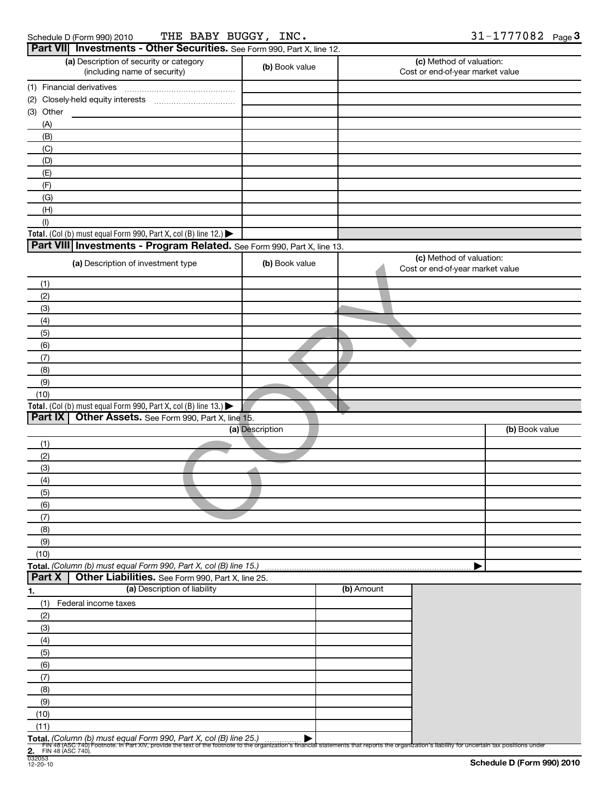| Schedule D (Form 990) 2010 |  |
|----------------------------|--|
|----------------------------|--|

Schedule D (Form 990) 2010 Page THE BABY BUGGY, INC.  $31-1777082$ 

| (a) Description of security or category                                              | Part VII Investments - Other Securities. See Form 990, Part X, line 12. | (c) Method of valuation:                                                                                                                                                                         |
|--------------------------------------------------------------------------------------|-------------------------------------------------------------------------|--------------------------------------------------------------------------------------------------------------------------------------------------------------------------------------------------|
| (including name of security)                                                         | (b) Book value                                                          | Cost or end-of-year market value                                                                                                                                                                 |
| (1) Financial derivatives                                                            |                                                                         |                                                                                                                                                                                                  |
|                                                                                      |                                                                         |                                                                                                                                                                                                  |
| (3) Other                                                                            |                                                                         |                                                                                                                                                                                                  |
| (A)                                                                                  |                                                                         |                                                                                                                                                                                                  |
| (B)                                                                                  |                                                                         |                                                                                                                                                                                                  |
| (C)                                                                                  |                                                                         |                                                                                                                                                                                                  |
| (D)                                                                                  |                                                                         |                                                                                                                                                                                                  |
| (E)                                                                                  |                                                                         |                                                                                                                                                                                                  |
| (F)                                                                                  |                                                                         |                                                                                                                                                                                                  |
| (G)                                                                                  |                                                                         |                                                                                                                                                                                                  |
| (H)<br>(1)                                                                           |                                                                         |                                                                                                                                                                                                  |
| Total. (Col (b) must equal Form 990, Part X, col (B) line 12.) $\blacktriangleright$ |                                                                         |                                                                                                                                                                                                  |
| Part VIII Investments - Program Related. See Form 990, Part X, line 13.              |                                                                         |                                                                                                                                                                                                  |
|                                                                                      |                                                                         | (c) Method of valuation:                                                                                                                                                                         |
| (a) Description of investment type                                                   | (b) Book value                                                          | Cost or end-of-year market value                                                                                                                                                                 |
| (1)                                                                                  |                                                                         |                                                                                                                                                                                                  |
| (2)                                                                                  |                                                                         |                                                                                                                                                                                                  |
| (3)                                                                                  |                                                                         |                                                                                                                                                                                                  |
| (4)                                                                                  |                                                                         |                                                                                                                                                                                                  |
| (5)                                                                                  |                                                                         |                                                                                                                                                                                                  |
| (6)                                                                                  |                                                                         |                                                                                                                                                                                                  |
| (7)                                                                                  |                                                                         |                                                                                                                                                                                                  |
| (8)                                                                                  |                                                                         |                                                                                                                                                                                                  |
| (9)                                                                                  |                                                                         |                                                                                                                                                                                                  |
| (10)                                                                                 |                                                                         |                                                                                                                                                                                                  |
| Total. (Col (b) must equal Form 990, Part X, col (B) line 13.)                       |                                                                         |                                                                                                                                                                                                  |
| Part IX<br>Other Assets. See Form 990, Part X, line 15.                              |                                                                         |                                                                                                                                                                                                  |
|                                                                                      | (a) Description                                                         | (b) Book value                                                                                                                                                                                   |
| (1)                                                                                  |                                                                         |                                                                                                                                                                                                  |
| (2)                                                                                  |                                                                         |                                                                                                                                                                                                  |
| (3)                                                                                  |                                                                         |                                                                                                                                                                                                  |
| (4)                                                                                  |                                                                         |                                                                                                                                                                                                  |
| (5)                                                                                  |                                                                         |                                                                                                                                                                                                  |
| (6)                                                                                  |                                                                         |                                                                                                                                                                                                  |
| (7)                                                                                  |                                                                         |                                                                                                                                                                                                  |
| (8)                                                                                  |                                                                         |                                                                                                                                                                                                  |
| (9)                                                                                  |                                                                         |                                                                                                                                                                                                  |
| (10)                                                                                 |                                                                         |                                                                                                                                                                                                  |
| Total. (Column (b) must equal Form 990, Part X, col (B) line 15.)                    |                                                                         |                                                                                                                                                                                                  |
|                                                                                      |                                                                         |                                                                                                                                                                                                  |
| Other Liabilities. See Form 990, Part X, line 25.                                    |                                                                         |                                                                                                                                                                                                  |
| (a) Description of liability                                                         |                                                                         | (b) Amount                                                                                                                                                                                       |
| Federal income taxes                                                                 |                                                                         |                                                                                                                                                                                                  |
|                                                                                      |                                                                         |                                                                                                                                                                                                  |
|                                                                                      |                                                                         |                                                                                                                                                                                                  |
|                                                                                      |                                                                         |                                                                                                                                                                                                  |
| (5)                                                                                  |                                                                         |                                                                                                                                                                                                  |
| (1)<br>(2)<br>(3)<br>(4)<br>(6)                                                      |                                                                         |                                                                                                                                                                                                  |
| (7)                                                                                  |                                                                         |                                                                                                                                                                                                  |
| (8)                                                                                  |                                                                         |                                                                                                                                                                                                  |
| (9)                                                                                  |                                                                         |                                                                                                                                                                                                  |
| Part X<br>(10)                                                                       |                                                                         |                                                                                                                                                                                                  |
| (11)                                                                                 |                                                                         |                                                                                                                                                                                                  |
| Total. (Column (b) must equal Form 990, Part X, col (B) line 25.)                    |                                                                         | Fily 48 (ASC 740) Footnote. In Part XIV, provide the text of the footnote to the organization's financial statements that reports the organization's liability for uncertain tax positions under |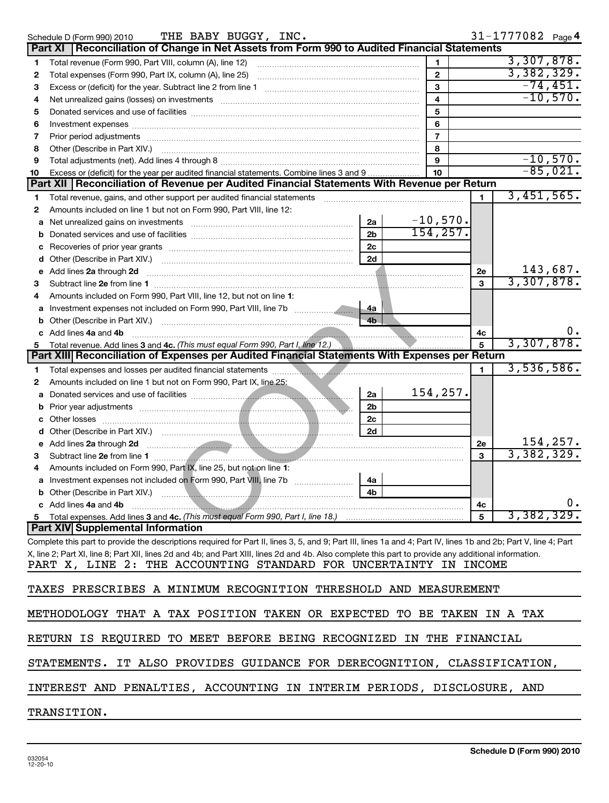|        | THE BABY BUGGY, INC.<br>Schedule D (Form 990) 2010                                                                                                                                |                      |                |    | 31-1777082 Page 4 |            |
|--------|-----------------------------------------------------------------------------------------------------------------------------------------------------------------------------------|----------------------|----------------|----|-------------------|------------|
|        | Part XI   Reconciliation of Change in Net Assets from Form 990 to Audited Financial Statements                                                                                    |                      |                |    |                   |            |
| 1      | Total revenue (Form 990, Part VIII, column (A), line 12)                                                                                                                          |                      | 1.             |    | 3,307,878.        |            |
| 2      |                                                                                                                                                                                   |                      | $\overline{2}$ |    | 3,382,329.        |            |
| 3      |                                                                                                                                                                                   |                      | 3              |    |                   | $-74,451.$ |
| 4      | Net unrealized gains (losses) on investments [111] Martin Martin Martin Martin Martin Martin Martin Martin Mar                                                                    |                      | 4              |    |                   | $-10,570.$ |
| 5      |                                                                                                                                                                                   |                      | 5              |    |                   |            |
| 6      |                                                                                                                                                                                   |                      | 6              |    |                   |            |
| 7      |                                                                                                                                                                                   |                      | $\overline{7}$ |    |                   |            |
| 8      |                                                                                                                                                                                   |                      | 8              |    |                   |            |
| 9      |                                                                                                                                                                                   |                      | 9              |    |                   | $-10,570.$ |
| 10     | Excess or (deficit) for the year per audited financial statements. Combine lines 3 and 9                                                                                          |                      | 10             |    |                   | $-85,021.$ |
|        | Part XII   Reconciliation of Revenue per Audited Financial Statements With Revenue per Return                                                                                     |                      |                |    |                   |            |
| 1      | Total revenue, gains, and other support per audited financial statements                                                                                                          |                      |                | 1  | 3,451,565.        |            |
| 2      | Amounts included on line 1 but not on Form 990, Part VIII, line 12:                                                                                                               |                      |                |    |                   |            |
| a      | Net unrealized gains on investments [11] matter contracts and the unrealized gains on investments [11] matter                                                                     | 2a                   | $-10,570.$     |    |                   |            |
| b      |                                                                                                                                                                                   | 2 <sub>b</sub>       | 154, 257.      |    |                   |            |
| с      |                                                                                                                                                                                   | 2c                   |                |    |                   |            |
| d      |                                                                                                                                                                                   | 2d                   |                |    |                   |            |
| е      | Add lines 2a through 2d                                                                                                                                                           |                      |                | 2e |                   | 143,687.   |
| З      |                                                                                                                                                                                   |                      |                | 3  | 3,307,878.        |            |
| 4      | Amounts included on Form 990, Part VIII, line 12, but not on line 1:                                                                                                              |                      |                |    |                   |            |
| a      |                                                                                                                                                                                   | 4a                   |                |    |                   |            |
| b      |                                                                                                                                                                                   | 4 <sub>b</sub>       |                |    |                   |            |
|        | c Add lines 4a and 4b                                                                                                                                                             |                      |                | 4c | 3,307,878.        |            |
| 5      | Total revenue. Add lines 3 and 4c. (This must equal Form 990, Part I, line 12.)<br>Part XIII Reconciliation of Expenses per Audited Financial Statements With Expenses per Return |                      |                | 5  |                   |            |
|        |                                                                                                                                                                                   |                      |                |    | 3,536,586.        |            |
| 1      | Total expenses and losses per audited financial statements <b>Constitution</b> and all expenses and losses per audited financial statements                                       |                      |                | 1  |                   |            |
| 2      | Amounts included on line 1 but not on Form 990, Part IX, line 25:                                                                                                                 |                      | 154, 257.      |    |                   |            |
| a      |                                                                                                                                                                                   | 2a                   |                |    |                   |            |
| b      |                                                                                                                                                                                   | 2 <sub>b</sub>       |                |    |                   |            |
| с      |                                                                                                                                                                                   | 2 <sub>c</sub><br>2d |                |    |                   |            |
| d<br>е | Add lines 2a through 2d<br><u> Expansion de la propietat de la propietat de la propietat de la propietat de la propietat de la propietat de</u>                                   |                      |                | 2e |                   | 154,257.   |
| з      |                                                                                                                                                                                   |                      |                | 3  | 3,382,329.        |            |
| 4      | Subtract line 2e from line 1<br>Amounts included on Form 990, Part IX, line 25, but not on line 1:                                                                                |                      |                |    |                   |            |
|        |                                                                                                                                                                                   | 4a                   |                |    |                   |            |
|        |                                                                                                                                                                                   | 4b l                 |                |    |                   |            |
|        | c Add lines 4a and 4b                                                                                                                                                             |                      |                | 4c |                   | υ.         |
|        |                                                                                                                                                                                   |                      |                | 5  | 3,382,329.        |            |
|        | <b>Part XIV Supplemental Information</b>                                                                                                                                          |                      |                |    |                   |            |
|        | Complete this part to provide the descriptions required for Part II, lines 3, 5, and 9; Part III, lines 1a and 4; Part IV, lines 1b and 2b; Part V, line 4; Part                  |                      |                |    |                   |            |
|        | X, line 2; Part XI, line 8; Part XII, lines 2d and 4b; and Part XIII, lines 2d and 4b. Also complete this part to provide any additional information.                             |                      |                |    |                   |            |
|        | PART X, LINE 2: THE ACCOUNTING STANDARD FOR UNCERTAINTY IN INCOME                                                                                                                 |                      |                |    |                   |            |
|        |                                                                                                                                                                                   |                      |                |    |                   |            |
|        | TAXES PRESCRIBES A MINIMUM RECOGNITION THRESHOLD AND MEASUREMENT                                                                                                                  |                      |                |    |                   |            |
|        |                                                                                                                                                                                   |                      |                |    |                   |            |
|        | METHODOLOGY THAT A TAX POSITION TAKEN OR EXPECTED TO BE TAKEN IN A TAX                                                                                                            |                      |                |    |                   |            |
|        |                                                                                                                                                                                   |                      |                |    |                   |            |
|        | RETURN IS REQUIRED TO MEET BEFORE BEING RECOGNIZED IN THE FINANCIAL                                                                                                               |                      |                |    |                   |            |
|        | IT ALSO PROVIDES GUIDANCE FOR DERECOGNITION, CLASSIFICATION,<br>STATEMENTS.                                                                                                       |                      |                |    |                   |            |
|        | INTEREST AND PENALTIES, ACCOUNTING IN INTERIM PERIODS, DISCLOSURE, AND                                                                                                            |                      |                |    |                   |            |
|        | TRANSITION.                                                                                                                                                                       |                      |                |    |                   |            |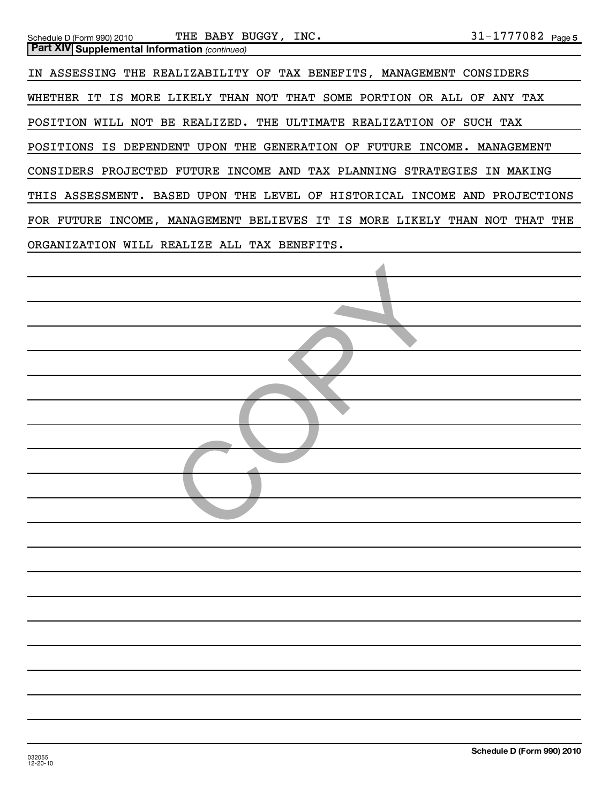| Schedule D (Form 990) 2010                           | THE BABY BUGGY, INC.                                                 | $31 - 1777082$ Page 5                |
|------------------------------------------------------|----------------------------------------------------------------------|--------------------------------------|
| <b>Part XIV Supplemental Information (continued)</b> |                                                                      |                                      |
|                                                      | IN ASSESSING THE REALIZABILITY OF TAX BENEFITS, MANAGEMENT CONSIDERS |                                      |
|                                                      | WHETHER IT IS MORE LIKELY THAN NOT THAT SOME PORTION OR ALL          | OF<br>ANY TAX                        |
|                                                      | POSITION WILL NOT BE REALIZED. THE ULTIMATE REALIZATION              | OF<br>SUCH TAX                       |
|                                                      | POSITIONS IS DEPENDENT UPON THE GENERATION OF<br>FUTURE              | INCOME.<br><b>MANAGEMENT</b>         |
|                                                      | CONSIDERS PROJECTED FUTURE INCOME AND TAX PLANNING STRATEGIES        | ΙN<br>MAKING                         |
| THIS ASSESSMENT. BASED UPON                          | LEVEL OF HISTORICAL<br>THE                                           | <b>INCOME</b><br>AND<br>PROJECTIONS  |
| FOR FUTURE INCOME, MANAGEMENT BELIEVES               | IS MORE<br>IT                                                        | LIKELY<br>THAN<br>NOT<br>THAT<br>THE |
| ORGANIZATION                                         | WILL REALIZE ALL TAX BENEFITS.                                       |                                      |
|                                                      |                                                                      |                                      |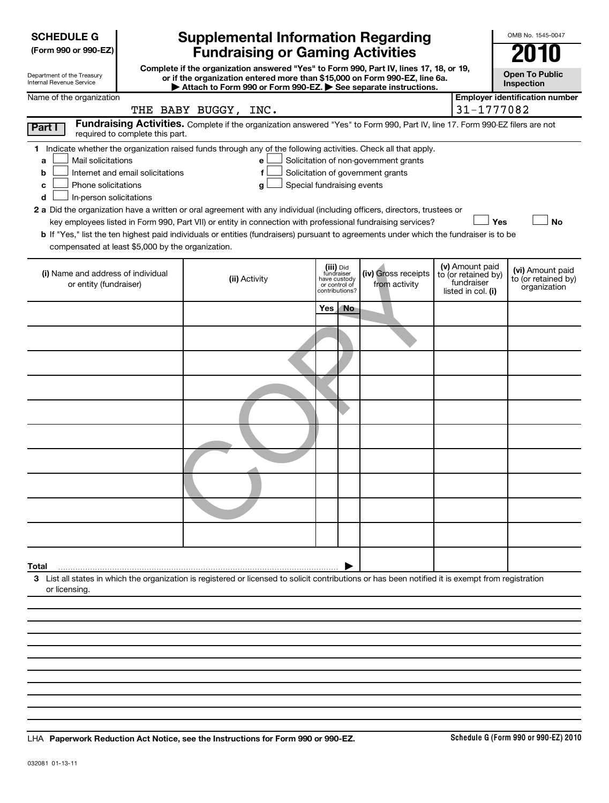| <b>SCHEDULE G</b> |
|-------------------|
|-------------------|

| (Form 990 or 990-EZ) |  |  |  |  |
|----------------------|--|--|--|--|
|----------------------|--|--|--|--|

Department of the Treasury

# **Supplemental Information Regarding Fundraising or Gaming Activities 2010**

**Complete if the organization answered "Yes" to Form 990, Part IV, lines 17, 18, or 19, or if the organization entered more than \$15,000 on Form 990-EZ, line 6a.**

| <b>Open To Public</b> |
|-----------------------|

OMB No. 1545-0047

| Inspection |
|------------|
|------------|

| Internal Revenue Service                                                                                                                           |                                  |                      |                                   |                               |                         | Attach to Form 990 or Form 990-EZ. See separate instructions.                                                                 |                                        | Inspection                            |
|----------------------------------------------------------------------------------------------------------------------------------------------------|----------------------------------|----------------------|-----------------------------------|-------------------------------|-------------------------|-------------------------------------------------------------------------------------------------------------------------------|----------------------------------------|---------------------------------------|
| Name of the organization                                                                                                                           |                                  |                      |                                   |                               |                         |                                                                                                                               |                                        | <b>Employer identification number</b> |
|                                                                                                                                                    |                                  | THE BABY BUGGY, INC. |                                   |                               |                         |                                                                                                                               | 31-1777082                             |                                       |
| Part I                                                                                                                                             | required to complete this part.  |                      |                                   |                               |                         | Fundraising Activities. Complete if the organization answered "Yes" to Form 990, Part IV, line 17. Form 990-EZ filers are not |                                        |                                       |
| 1 Indicate whether the organization raised funds through any of the following activities. Check all that apply.                                    |                                  |                      |                                   |                               |                         |                                                                                                                               |                                        |                                       |
| Mail solicitations<br>a                                                                                                                            |                                  |                      | e                                 |                               |                         | Solicitation of non-government grants                                                                                         |                                        |                                       |
| b                                                                                                                                                  | Internet and email solicitations |                      | f                                 |                               |                         | Solicitation of government grants                                                                                             |                                        |                                       |
| Phone solicitations<br>c                                                                                                                           |                                  |                      | Special fundraising events<br>g l |                               |                         |                                                                                                                               |                                        |                                       |
| In-person solicitations<br>d                                                                                                                       |                                  |                      |                                   |                               |                         |                                                                                                                               |                                        |                                       |
| 2 a Did the organization have a written or oral agreement with any individual (including officers, directors, trustees or                          |                                  |                      |                                   |                               |                         |                                                                                                                               | Yes                                    | <b>No</b>                             |
| <b>b</b> If "Yes," list the ten highest paid individuals or entities (fundraisers) pursuant to agreements under which the fundraiser is to be      |                                  |                      |                                   |                               |                         | key employees listed in Form 990, Part VII) or entity in connection with professional fundraising services?                   |                                        |                                       |
| compensated at least \$5,000 by the organization.                                                                                                  |                                  |                      |                                   |                               |                         |                                                                                                                               |                                        |                                       |
|                                                                                                                                                    |                                  |                      |                                   |                               |                         |                                                                                                                               |                                        |                                       |
| (i) Name and address of individual                                                                                                                 |                                  |                      |                                   |                               | (iii) Did<br>fundraiser | (iv) Gross receipts                                                                                                           | (v) Amount paid<br>to (or retained by) | (vi) Amount paid                      |
| or entity (fundraiser)                                                                                                                             |                                  |                      | (ii) Activity                     | have custody<br>or control of | contributions?          | from activity                                                                                                                 | fundraiser<br>listed in col. (i)       | to (or retained by)<br>organization   |
|                                                                                                                                                    |                                  |                      |                                   |                               |                         |                                                                                                                               |                                        |                                       |
|                                                                                                                                                    |                                  |                      |                                   | Yes                           | <b>No</b>               |                                                                                                                               |                                        |                                       |
|                                                                                                                                                    |                                  |                      |                                   |                               |                         |                                                                                                                               |                                        |                                       |
|                                                                                                                                                    |                                  |                      |                                   |                               |                         |                                                                                                                               |                                        |                                       |
|                                                                                                                                                    |                                  |                      |                                   |                               |                         |                                                                                                                               |                                        |                                       |
|                                                                                                                                                    |                                  |                      |                                   |                               |                         |                                                                                                                               |                                        |                                       |
|                                                                                                                                                    |                                  |                      |                                   |                               |                         |                                                                                                                               |                                        |                                       |
|                                                                                                                                                    |                                  |                      |                                   |                               |                         |                                                                                                                               |                                        |                                       |
|                                                                                                                                                    |                                  |                      |                                   |                               |                         |                                                                                                                               |                                        |                                       |
|                                                                                                                                                    |                                  |                      |                                   |                               |                         |                                                                                                                               |                                        |                                       |
|                                                                                                                                                    |                                  |                      |                                   |                               |                         |                                                                                                                               |                                        |                                       |
|                                                                                                                                                    |                                  |                      |                                   |                               |                         |                                                                                                                               |                                        |                                       |
| Total                                                                                                                                              |                                  |                      |                                   |                               |                         |                                                                                                                               |                                        |                                       |
| 3 List all states in which the organization is registered or licensed to solicit contributions or has been notified it is exempt from registration |                                  |                      |                                   |                               |                         |                                                                                                                               |                                        |                                       |
| or licensing.                                                                                                                                      |                                  |                      |                                   |                               |                         |                                                                                                                               |                                        |                                       |
|                                                                                                                                                    |                                  |                      |                                   |                               |                         |                                                                                                                               |                                        |                                       |

**Paperwork Reduction Act Notice, see the Instructions for Form 990 or 990-EZ.** LHA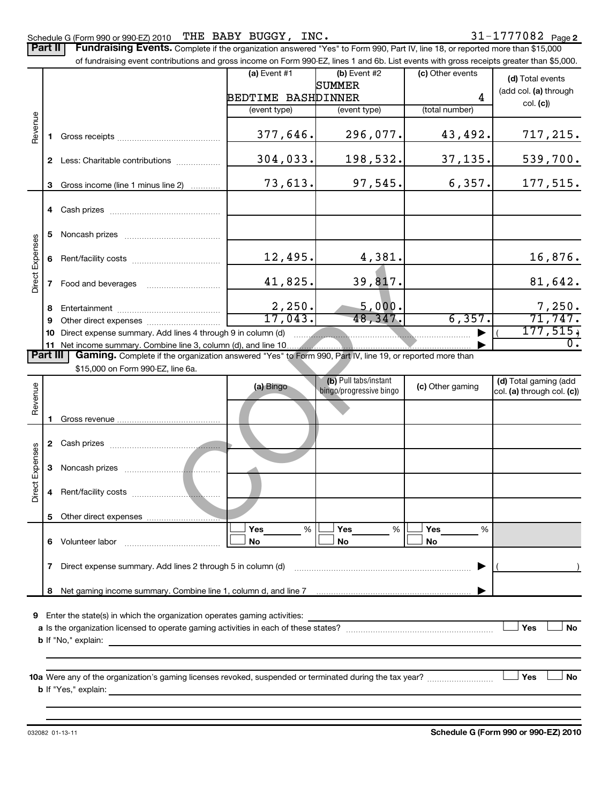### Schedule G (Form 990 or 990-EZ) 2010 'I'HE' BABY BUGGY,INC。 3  $1-1$  / / / 0 8  $Z$  Page THE BABY BUGGY, INC.  $31-1777082$

Part II | Fundraising Events. Complete if the organization answered "Yes" to Form 990, Part IV, line 18, or reported more than \$15,000

|                        |    | of fundraising event contributions and gross income on Form 990-EZ, lines 1 and 6b. List events with gross receipts greater than \$5,000.          |                    |                   |                         |          |                  |                            |
|------------------------|----|----------------------------------------------------------------------------------------------------------------------------------------------------|--------------------|-------------------|-------------------------|----------|------------------|----------------------------|
|                        |    |                                                                                                                                                    | $(a)$ Event #1     |                   | (b) Event #2            |          | (c) Other events | (d) Total events           |
|                        |    |                                                                                                                                                    |                    |                   | SUMMER                  |          |                  | (add col. (a) through      |
|                        |    |                                                                                                                                                    | BEDTIME BASHDINNER |                   |                         |          | 4                | col. (c)                   |
|                        |    |                                                                                                                                                    | (event type)       |                   | (event type)            |          | (total number)   |                            |
| Revenue                |    |                                                                                                                                                    |                    | 377,646.          |                         | 296,077. | 43,492.          | 717, 215.                  |
|                        |    | 2 Less: Charitable contributions                                                                                                                   |                    | 304,033.          |                         | 198,532. | 37,135.          | 539,700.                   |
|                        | 3  | Gross income (line 1 minus line 2)                                                                                                                 |                    | 73,613.           |                         | 97,545.  | 6,357.           | 177,515.                   |
|                        |    |                                                                                                                                                    |                    |                   |                         |          |                  |                            |
|                        | 5. |                                                                                                                                                    |                    |                   |                         |          |                  |                            |
| <b>Direct Expenses</b> | 6  |                                                                                                                                                    |                    | 12,495.           |                         | 4,381.   |                  | 16,876.                    |
|                        | 7  | Food and beverages                                                                                                                                 |                    | 41,825.           |                         | 39,817.  |                  | 81,642.                    |
|                        | 8  |                                                                                                                                                    |                    | 2,250.<br>17,043. |                         | 5,000.   | 6,357.           | 7,250.<br>71,747.          |
|                        | 9  |                                                                                                                                                    |                    |                   |                         | 48,347.  |                  | 177, 515,                  |
|                        |    | 10 Direct expense summary. Add lines 4 through 9 in column (d)<br>11 Net income summary. Combine line 3, column (d), and line 10                   |                    |                   |                         |          |                  | 0.                         |
| <b>Part III</b>        |    | Gaming. Complete if the organization answered "Yes" to Form 990, Part IV, line 19, or reported more than                                           |                    |                   |                         |          |                  |                            |
|                        |    | \$15,000 on Form 990-EZ, line 6a.                                                                                                                  |                    |                   |                         |          |                  |                            |
|                        |    |                                                                                                                                                    | (a) Bingo          |                   | (b) Pull tabs/instant   |          | (c) Other gaming | (d) Total gaming (add      |
| Revenue                |    |                                                                                                                                                    |                    |                   | bingo/progressive bingo |          |                  | col. (a) through col. (c)) |
|                        |    |                                                                                                                                                    |                    |                   |                         |          |                  |                            |
|                        |    |                                                                                                                                                    |                    |                   |                         |          |                  |                            |
| Direct Expenses        | 3  |                                                                                                                                                    |                    |                   |                         |          |                  |                            |
|                        | 4  |                                                                                                                                                    |                    |                   |                         |          |                  |                            |
|                        | 5  |                                                                                                                                                    |                    |                   |                         |          |                  |                            |
|                        |    | 6 Volunteer labor                                                                                                                                  | Yes<br>No          | %                 | Yes<br>No               | %        | Yes<br>%<br>No   |                            |
|                        | 7  | Direct expense summary. Add lines 2 through 5 in column (d)                                                                                        |                    |                   |                         |          |                  |                            |
|                        | 8  |                                                                                                                                                    |                    |                   |                         |          |                  |                            |
|                        |    |                                                                                                                                                    |                    |                   |                         |          |                  |                            |
|                        |    | 9 Enter the state(s) in which the organization operates gaming activities:                                                                         |                    |                   |                         |          |                  |                            |
|                        |    |                                                                                                                                                    |                    |                   |                         |          |                  | Yes<br>No                  |
|                        |    | <b>b</b> If "No," explain:<br><u> 1989 - Johann Stein, marwolaethau a bhann an t-Amhair ann an t-Amhair an t-Amhair an t-Amhair an t-Amhair an</u> |                    |                   |                         |          |                  |                            |
|                        |    |                                                                                                                                                    |                    |                   |                         |          |                  |                            |
|                        |    |                                                                                                                                                    |                    |                   |                         |          |                  | Yes<br>No                  |
|                        |    |                                                                                                                                                    |                    |                   |                         |          |                  |                            |
|                        |    |                                                                                                                                                    |                    |                   |                         |          |                  |                            |

**Schedule G (Form 990 or 990-EZ) 2010**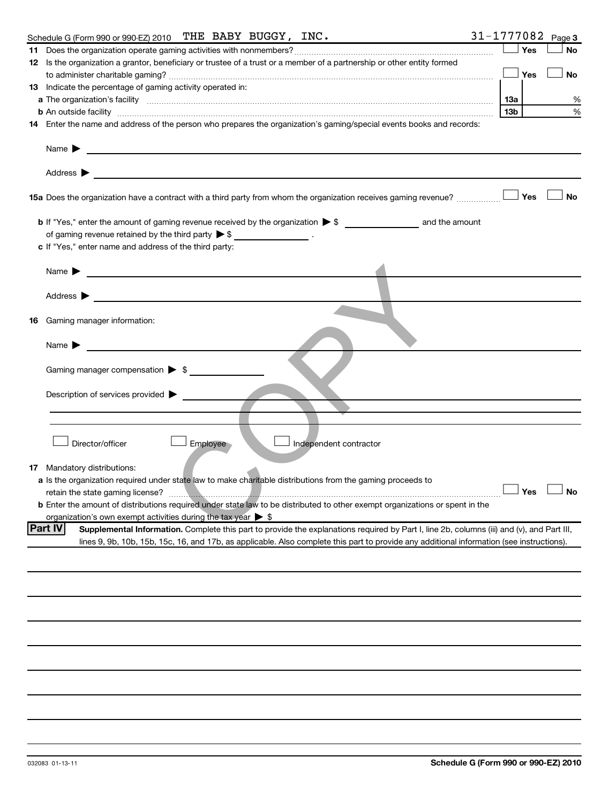|    | 31-1777082<br>Schedule G (Form 990 or 990-EZ) 2010 THE BABY BUGGY, INC.                                                                                       |                 |               | Page 3    |
|----|---------------------------------------------------------------------------------------------------------------------------------------------------------------|-----------------|---------------|-----------|
|    |                                                                                                                                                               |                 | Yes           | <b>No</b> |
|    | 12 Is the organization a grantor, beneficiary or trustee of a trust or a member of a partnership or other entity formed                                       |                 |               |           |
|    |                                                                                                                                                               |                 | Yes           | No        |
|    | 13 Indicate the percentage of gaming activity operated in:                                                                                                    |                 |               |           |
|    |                                                                                                                                                               | 1За             |               | %         |
|    | <b>b</b> An outside facility <i>www.communicality www.communicality.communicality www.communicality www.communicality.communicality www.communicality.com</i> | 13 <sub>b</sub> |               | %         |
|    | 14 Enter the name and address of the person who prepares the organization's gaming/special events books and records:                                          |                 |               |           |
|    | Name $\blacktriangleright$                                                                                                                                    |                 |               |           |
|    | Address >                                                                                                                                                     |                 |               |           |
|    | 15a Does the organization have a contract with a third party from whom the organization receives gaming revenue?                                              |                 | Yes           | <b>No</b> |
|    |                                                                                                                                                               |                 |               |           |
|    | of gaming revenue retained by the third party $\triangleright$ \$ __________________.                                                                         |                 |               |           |
|    | c If "Yes," enter name and address of the third party:                                                                                                        |                 |               |           |
|    |                                                                                                                                                               |                 |               |           |
|    | <u> 1980 - Johann Barbara, martin amerikan personal (</u><br>Name $\blacktriangleright$                                                                       |                 |               |           |
|    |                                                                                                                                                               |                 |               |           |
|    | Address $\blacktriangleright$                                                                                                                                 |                 |               |           |
|    |                                                                                                                                                               |                 |               |           |
| 16 | Gaming manager information:                                                                                                                                   |                 |               |           |
|    | Name $\blacktriangleright$                                                                                                                                    |                 |               |           |
|    | Gaming manager compensation > \$                                                                                                                              |                 |               |           |
|    | Description of services provided >                                                                                                                            |                 |               |           |
|    |                                                                                                                                                               |                 |               |           |
|    |                                                                                                                                                               |                 |               |           |
|    | Director/officer<br>Employee<br>Independent contractor                                                                                                        |                 |               |           |
|    |                                                                                                                                                               |                 |               |           |
|    | <b>17</b> Mandatory distributions:<br>a Is the organization required under state law to make charitable distributions from the gaming proceeds to             |                 |               |           |
|    | retain the state gaming license?                                                                                                                              |                 | Yes $\lfloor$ |           |
|    | <b>b</b> Enter the amount of distributions required under state law to be distributed to other exempt organizations or spent in the                           |                 |               |           |
|    | organization's own exempt activities during the tax year $\triangleright$ \$                                                                                  |                 |               |           |
|    | <b>Part IV</b><br>Supplemental Information. Complete this part to provide the explanations required by Part I, line 2b, columns (iii) and (v), and Part III,  |                 |               |           |
|    | lines 9, 9b, 10b, 15b, 15c, 16, and 17b, as applicable. Also complete this part to provide any additional information (see instructions).                     |                 |               |           |
|    |                                                                                                                                                               |                 |               |           |
|    |                                                                                                                                                               |                 |               |           |
|    |                                                                                                                                                               |                 |               |           |
|    |                                                                                                                                                               |                 |               |           |
|    |                                                                                                                                                               |                 |               |           |
|    |                                                                                                                                                               |                 |               |           |
|    |                                                                                                                                                               |                 |               |           |
|    |                                                                                                                                                               |                 |               |           |
|    |                                                                                                                                                               |                 |               |           |
|    |                                                                                                                                                               |                 |               |           |
|    |                                                                                                                                                               |                 |               |           |
|    |                                                                                                                                                               |                 |               |           |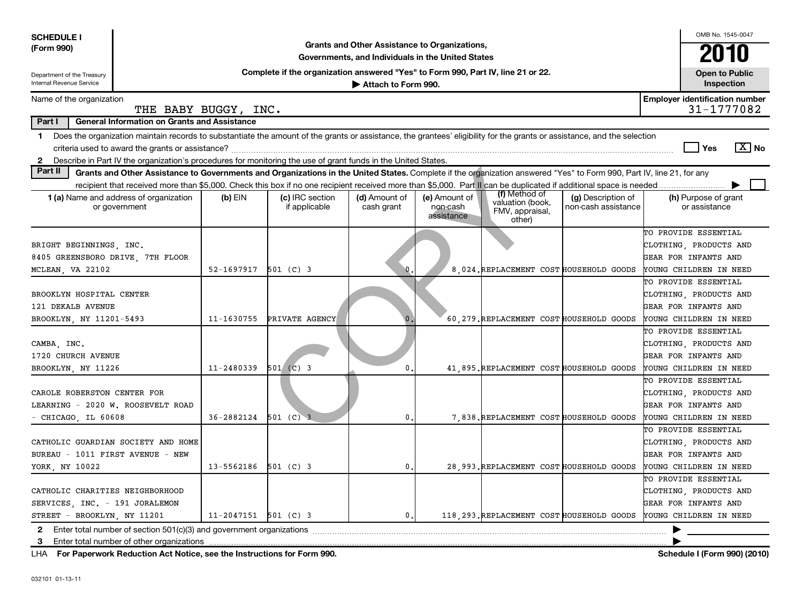| <b>SCHEDULE I</b>                                                                                |                                                                                                                                                                                                                                                                                           |                          |                                  |                                                                                                    |                                         |                                                                |                                           |  | OMB No. 1545-0047                                                                                |                       |
|--------------------------------------------------------------------------------------------------|-------------------------------------------------------------------------------------------------------------------------------------------------------------------------------------------------------------------------------------------------------------------------------------------|--------------------------|----------------------------------|----------------------------------------------------------------------------------------------------|-----------------------------------------|----------------------------------------------------------------|-------------------------------------------|--|--------------------------------------------------------------------------------------------------|-----------------------|
| (Form 990)                                                                                       |                                                                                                                                                                                                                                                                                           |                          |                                  | Grants and Other Assistance to Organizations,<br>Governments, and Individuals in the United States |                                         |                                                                |                                           |  |                                                                                                  | 2010                  |
| Department of the Treasury                                                                       | Complete if the organization answered "Yes" to Form 990, Part IV, line 21 or 22.                                                                                                                                                                                                          |                          |                                  |                                                                                                    |                                         |                                                                |                                           |  |                                                                                                  | <b>Open to Public</b> |
| Internal Revenue Service                                                                         |                                                                                                                                                                                                                                                                                           |                          |                                  | Attach to Form 990.                                                                                |                                         |                                                                |                                           |  | Inspection                                                                                       |                       |
| Name of the organization                                                                         | THE BABY BUGGY, INC.                                                                                                                                                                                                                                                                      |                          |                                  |                                                                                                    |                                         |                                                                |                                           |  | <b>Employer identification number</b><br>31-1777082                                              |                       |
| Part I                                                                                           | <b>General Information on Grants and Assistance</b>                                                                                                                                                                                                                                       |                          |                                  |                                                                                                    |                                         |                                                                |                                           |  |                                                                                                  |                       |
| 1.<br>$\mathbf{2}$                                                                               | Does the organization maintain records to substantiate the amount of the grants or assistance, the grantees' eligibility for the grants or assistance, and the selection<br>Describe in Part IV the organization's procedures for monitoring the use of grant funds in the United States. |                          |                                  |                                                                                                    |                                         |                                                                |                                           |  | Yes                                                                                              | $\boxed{\text{X}}$ No |
| Part II                                                                                          | Grants and Other Assistance to Governments and Organizations in the United States. Complete if the organization answered "Yes" to Form 990, Part IV, line 21, for any                                                                                                                     |                          |                                  |                                                                                                    |                                         |                                                                |                                           |  |                                                                                                  |                       |
|                                                                                                  | recipient that received more than \$5,000. Check this box if no one recipient received more than \$5,000. Part II can be duplicated if additional space is needed                                                                                                                         |                          |                                  |                                                                                                    |                                         |                                                                |                                           |  |                                                                                                  |                       |
|                                                                                                  | <b>1 (a)</b> Name and address of organization<br>or government                                                                                                                                                                                                                            | $(b)$ EIN                | (c) IRC section<br>if applicable | (d) Amount of<br>cash grant                                                                        | (e) Amount of<br>non-cash<br>assistance | (f) Method of<br>valuation (book,<br>FMV, appraisal,<br>other) | (g) Description of<br>non-cash assistance |  | (h) Purpose of grant<br>or assistance                                                            |                       |
| BRIGHT BEGINNINGS, INC.<br>8405 GREENSBORO DRIVE, 7TH FLOOR<br>MCLEAN, VA 22102                  |                                                                                                                                                                                                                                                                                           | $52 - 1697917$ 501 (C) 3 |                                  | ۱O                                                                                                 |                                         | 8,024. REPLACEMENT COST HOUSEHOLD GOODS                        |                                           |  | TO PROVIDE ESSENTIAL<br>CLOTHING, PRODUCTS AND<br>GEAR FOR INFANTS AND<br>YOUNG CHILDREN IN NEED |                       |
| BROOKLYN HOSPITAL CENTER<br>121 DEKALB AVENUE<br>BROOKLYN, NY 11201-5493                         |                                                                                                                                                                                                                                                                                           | 11-1630755               | PRIVATE AGENCY                   | $\mathbf{0}$                                                                                       |                                         | 60, 279. REPLACEMENT COST HOUSEHOLD GOODS                      |                                           |  | TO PROVIDE ESSENTIAL<br>CLOTHING, PRODUCTS AND<br>GEAR FOR INFANTS AND<br>YOUNG CHILDREN IN NEED |                       |
| CAMBA, INC.<br>1720 CHURCH AVENUE<br>BROOKLYN, NY 11226                                          |                                                                                                                                                                                                                                                                                           | $11 - 2480339$           | $501$ (C) 3                      | $\mathbf 0$                                                                                        |                                         | 41,895. REPLACEMENT COST HOUSEHOLD GOODS                       |                                           |  | TO PROVIDE ESSENTIAL<br>CLOTHING, PRODUCTS AND<br>GEAR FOR INFANTS AND<br>YOUNG CHILDREN IN NEED |                       |
| CAROLE ROBERSTON CENTER FOR<br>LEARNING - 2020 W. ROOSEVELT ROAD<br>CHICAGO, IL 60608            |                                                                                                                                                                                                                                                                                           | 36-2882124               | $501$ (C) 3                      | 0                                                                                                  |                                         | 7,838. REPLACEMENT COST HOUSEHOLD GOODS                        |                                           |  | TO PROVIDE ESSENTIAL<br>CLOTHING, PRODUCTS AND<br>GEAR FOR INFANTS AND<br>YOUNG CHILDREN IN NEED |                       |
| BUREAU - 1011 FIRST AVENUE - NEW<br>YORK, NY 10022                                               | CATHOLIC GUARDIAN SOCIETY AND HOME                                                                                                                                                                                                                                                        | 13-5562186               | $501$ (C) 3                      | $\mathbf 0$                                                                                        |                                         | 28,993. REPLACEMENT COST HOUSEHOLD GOODS                       |                                           |  | TO PROVIDE ESSENTIAL<br>CLOTHING, PRODUCTS AND<br>GEAR FOR INFANTS AND<br>YOUNG CHILDREN IN NEED |                       |
| CATHOLIC CHARITIES NEIGHBORHOOD<br>SERVICES, INC. - 191 JORALEMON<br>STREET - BROOKLYN, NY 11201 |                                                                                                                                                                                                                                                                                           | 11-2047151               | $501$ (C) 3                      | $\mathbf 0$ .                                                                                      |                                         | 118 293 REPLACEMENT COST HOUSEHOLD GOODS                       |                                           |  | TO PROVIDE ESSENTIAL<br>CLOTHING, PRODUCTS AND<br>GEAR FOR INFANTS AND<br>YOUNG CHILDREN IN NEED |                       |
| 3                                                                                                |                                                                                                                                                                                                                                                                                           |                          |                                  |                                                                                                    |                                         |                                                                |                                           |  |                                                                                                  |                       |
|                                                                                                  | Enter total number of other organizations                                                                                                                                                                                                                                                 |                          |                                  |                                                                                                    |                                         |                                                                |                                           |  |                                                                                                  |                       |

**For Paperwork Reduction Act Notice, see the Instructions for Form 990. Schedule I (Form 990) (2010)** LHA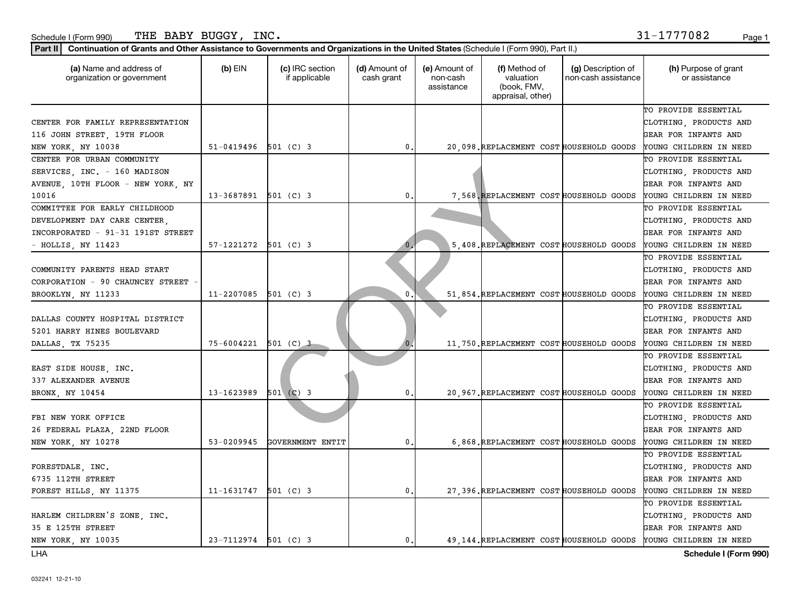### Schedule I (Form 990) Page 1 THE BABY BUGGY, INC.  $31-1777082$

**Part II Continuation of Grants and Other Assistance to Governments and Organizations in the United States**  (Schedule I (Form 990), Part II.)

| (a) Name and address of<br>organization or government                                              | $(b)$ EIN                | (c) IRC section<br>if applicable | (d) Amount of<br>cash grant | (e) Amount of<br>non-cash<br>assistance | (f) Method of<br>valuation<br>(book, FMV,<br>appraisal, other) | (g) Description of<br>non-cash assistance | (h) Purpose of grant<br>or assistance                                                                                                     |
|----------------------------------------------------------------------------------------------------|--------------------------|----------------------------------|-----------------------------|-----------------------------------------|----------------------------------------------------------------|-------------------------------------------|-------------------------------------------------------------------------------------------------------------------------------------------|
| CENTER FOR FAMILY REPRESENTATION<br>116 JOHN STREET, 19TH FLOOR                                    | $51-0419496$ 501 (C) 3   |                                  | $\mathfrak{o}$ .            |                                         |                                                                |                                           | TO PROVIDE ESSENTIAL<br>CLOTHING, PRODUCTS AND<br>GEAR FOR INFANTS AND                                                                    |
| NEW YORK, NY 10038<br>CENTER FOR URBAN COMMUNITY<br>SERVICES, INC. - 160 MADISON                   |                          |                                  |                             |                                         | 20,098. REPLACEMENT COST HOUSEHOLD GOODS                       |                                           | YOUNG CHILDREN IN NEED<br>TO PROVIDE ESSENTIAL<br>CLOTHING, PRODUCTS AND                                                                  |
| AVENUE, 10TH FLOOR - NEW YORK, NY<br>10016                                                         | $13 - 3687891$ 501 (C) 3 |                                  | $\mathbf{0}$ .              |                                         | 7,568. REPLACEMENT COST HOUSEHOLD GOODS                        |                                           | GEAR FOR INFANTS AND<br>YOUNG CHILDREN IN NEED                                                                                            |
| COMMITTEE FOR EARLY CHILDHOOD<br>DEVELOPMENT DAY CARE CENTER,<br>INCORPORATED - 91-31 191ST STREET |                          |                                  |                             |                                         |                                                                |                                           | TO PROVIDE ESSENTIAL<br>CLOTHING, PRODUCTS AND<br>GEAR FOR INFANTS AND                                                                    |
| - HOLLIS, NY 11423                                                                                 | $57-1221272$ $501$ (C) 3 |                                  | $\mathbf{0}$                |                                         | 5.408. REPLACEMENT COST HOUSEHOLD GOODS                        |                                           | YOUNG CHILDREN IN NEED                                                                                                                    |
| COMMUNITY PARENTS HEAD START<br>CORPORATION - 90 CHAUNCEY STREET                                   |                          |                                  |                             |                                         |                                                                |                                           | TO PROVIDE ESSENTIAL<br>CLOTHING, PRODUCTS AND<br>GEAR FOR INFANTS AND                                                                    |
| BROOKLYN, NY 11233                                                                                 | 11-2207085               | $501$ (C) 3                      | 0                           |                                         | 51 854. REPLACEMENT COST HOUSEHOLD GOODS                       |                                           | YOUNG CHILDREN IN NEED                                                                                                                    |
| DALLAS COUNTY HOSPITAL DISTRICT<br>5201 HARRY HINES BOULEVARD<br>DALLAS, TX 75235                  | 75-6004221 501 (C) 3     |                                  |                             |                                         | 11, 750. REPLACEMENT COST HOUSEHOLD GOODS                      |                                           | TO PROVIDE ESSENTIAL<br>CLOTHING, PRODUCTS AND<br>GEAR FOR INFANTS AND<br>YOUNG CHILDREN IN NEED                                          |
| EAST SIDE HOUSE, INC.<br>337 ALEXANDER AVENUE<br>BRONX, NY 10454                                   | 13-1623989               | $501$ (C) 3                      | $\mathbf 0$ .               |                                         | 20,967. REPLACEMENT COST HOUSEHOLD GOODS                       |                                           | TO PROVIDE ESSENTIAL<br>CLOTHING, PRODUCTS AND<br>GEAR FOR INFANTS AND<br>YOUNG CHILDREN IN NEED                                          |
| FBI NEW YORK OFFICE<br>26 FEDERAL PLAZA, 22ND FLOOR<br>NEW YORK, NY 10278                          | 53-0209945               | GOVERNMENT ENTIT                 | 0.                          |                                         | 6,868. REPLACEMENT COST HOUSEHOLD GOODS                        |                                           | TO PROVIDE ESSENTIAL<br>CLOTHING, PRODUCTS AND<br>GEAR FOR INFANTS AND<br>YOUNG CHILDREN IN NEED                                          |
| FORESTDALE, INC.<br>6735 112TH STREET<br>FOREST HILLS, NY 11375                                    | 11-1631747               | $501$ (C) 3                      | $\mathfrak{o}$ .            |                                         | 27,396. REPLACEMENT COST HOUSEHOLD GOODS                       |                                           | TO PROVIDE ESSENTIAL<br>CLOTHING, PRODUCTS AND<br>GEAR FOR INFANTS AND<br>YOUNG CHILDREN IN NEED                                          |
| HARLEM CHILDREN'S ZONE, INC.<br>35 E 125TH STREET<br>NEW YORK, NY 10035                            | 23-7112974 501 (C) 3     |                                  | $\mathbf{0}$ .              |                                         |                                                                |                                           | TO PROVIDE ESSENTIAL<br>CLOTHING, PRODUCTS AND<br>GEAR FOR INFANTS AND<br>49,144. REPLACEMENT COST HOUSEHOLD GOODS YOUNG CHILDREN IN NEED |

LHA

**Schedule I (Form 990)**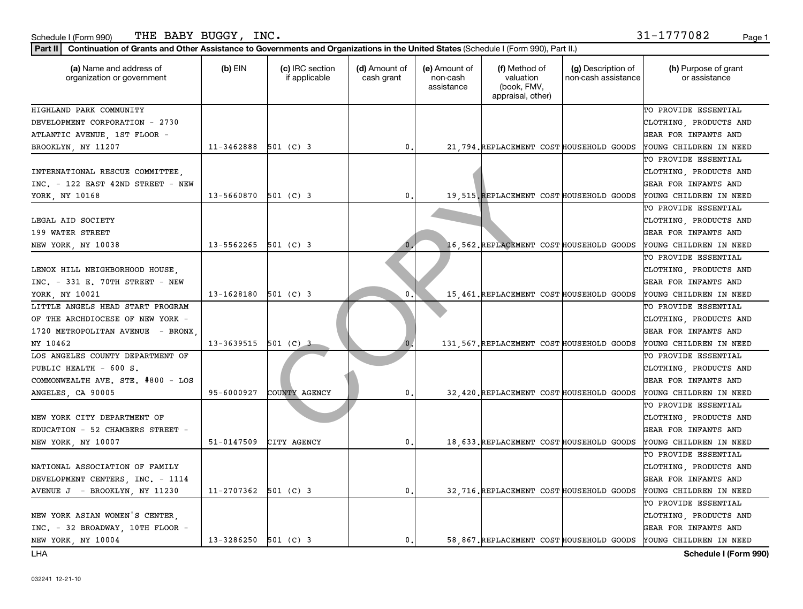LHA

| Page 1                 |
|------------------------|
|                        |
| (h) Purpose of grant   |
| TO PROVIDE ESSENTIAL   |
| CLOTHING, PRODUCTS AND |
| GEAR FOR INFANTS AND   |
| YOUNG CHILDREN IN NEED |
| TO PROVIDE ESSENTIAL   |
| CLOTHING, PRODUCTS AND |
| GEAR FOR INFANTS AND   |
| YOUNG CHILDREN IN NEED |
| TO PROVIDE ESSENTIAL   |
| CLOTHING, PRODUCTS AND |
| GEAR FOR INFANTS AND   |
| YOUNG CHILDREN IN NEED |
| TO PROVIDE ESSENTIAL   |
| CLOTHING, PRODUCTS AND |
| GEAR FOR INFANTS AND   |
| YOUNG CHILDREN IN NEED |
| TO PROVIDE ESSENTIAL   |
| CLOTHING, PRODUCTS AND |
| GEAR FOR INFANTS AND   |
| YOUNG CHILDREN IN NEED |
| TO PROVIDE ESSENTIAL   |
| CLOTHING, PRODUCTS AND |
| GEAR FOR INFANTS AND   |
| YOUNG CHILDREN IN NEED |
| TO PROVIDE ESSENTIAL   |
| CLOTHING, PRODUCTS AND |
| GEAR FOR INFANTS AND   |
| YOUNG CHILDREN IN NEED |
| TO PROVIDE ESSENTIAL   |
| CLOTHING, PRODUCTS AND |
|                        |

DEVELOPMENT CENTERS, INC. - 1114 GEAR FOR INFANTS AND AVENUE J - BROOKLYN, NY 11230 | 11-2707362 501 (C) 3 | 0. 32,716.REPLACEMENT COST HOUSEHOLD GOODS YOUNG CHILDREN IN NEED

NEW YORK ASIAN WOMEN'S CENTER,  $\begin{vmatrix} \cdot & \cdot & \cdot \\ \cdot & \cdot & \cdot \\ \cdot & \cdot & \cdot \end{vmatrix}$  (clothing, products and INC. - 32 BROADWAY, 10TH FLOOR - GEAR FOR INFANTS AND NEW YORK, NY 10004 | 13-3286250 501 (C) 3 | 0. 58,867.REPLACEMENT COST HOUSEHOLD GOODS YOUNG CHILDREN IN NEED

TO PROVIDE ESSENTIAL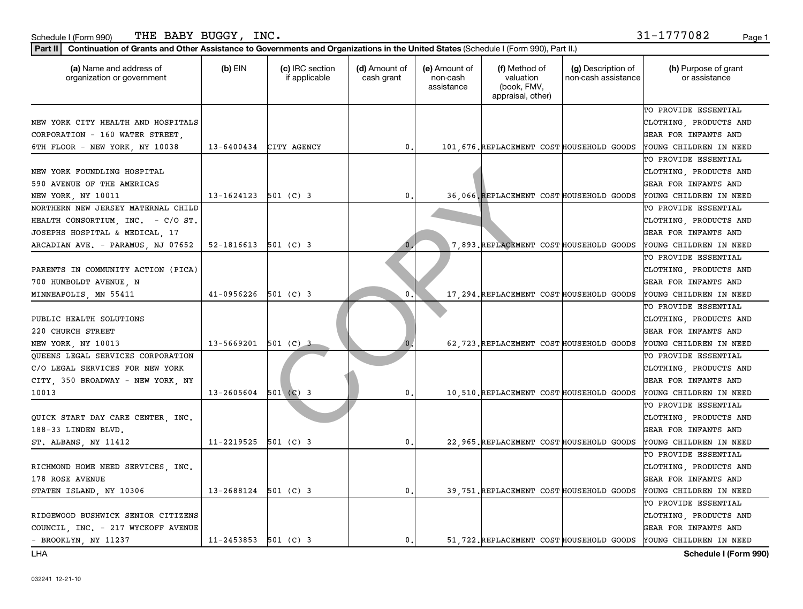### Part II | Continuation of Grants and Other Assistance to Governments and Organizations in the United States (Schedule I (Form 990), Part II.)

| (a) Name and address of<br>organization or government                                                     | $(b)$ EIN                | (c) IRC section<br>if applicable | (d) Amount of<br>cash grant | (e) Amount of<br>non-cash<br>assistance | (f) Method of<br>valuation<br>(book, FMV,<br>appraisal, other) | (g) Description of<br>non-cash assistance | (h) Purpose of grant<br>or assistance                                         |
|-----------------------------------------------------------------------------------------------------------|--------------------------|----------------------------------|-----------------------------|-----------------------------------------|----------------------------------------------------------------|-------------------------------------------|-------------------------------------------------------------------------------|
| NEW YORK CITY HEALTH AND HOSPITALS<br>CORPORATION - 160 WATER STREET,                                     |                          |                                  |                             |                                         |                                                                |                                           | TO PROVIDE ESSENTIAL<br>CLOTHING, PRODUCTS AND<br><b>GEAR FOR INFANTS AND</b> |
| 6TH FLOOR - NEW YORK, NY 10038                                                                            | 13-6400434               | CITY AGENCY                      | 0.                          |                                         | 101, 676. REPLACEMENT COST HOUSEHOLD GOODS                     |                                           | YOUNG CHILDREN IN NEED                                                        |
| NEW YORK FOUNDLING HOSPITAL<br>590 AVENUE OF THE AMERICAS                                                 |                          |                                  |                             |                                         |                                                                |                                           | TO PROVIDE ESSENTIAL<br>CLOTHING, PRODUCTS AND<br>GEAR FOR INFANTS AND        |
| NEW YORK, NY 10011                                                                                        | 13-1624123 501 (C) 3     |                                  | 0.                          |                                         | 36,066, REPLACEMENT COST HOUSEHOLD GOODS                       |                                           | YOUNG CHILDREN IN NEED                                                        |
| NORTHERN NEW JERSEY MATERNAL CHILD<br>HEALTH CONSORTIUM, INC. - C/O ST.<br>JOSEPHS HOSPITAL & MEDICAL, 17 |                          |                                  |                             |                                         |                                                                |                                           | TO PROVIDE ESSENTIAL<br>CLOTHING, PRODUCTS AND<br>GEAR FOR INFANTS AND        |
| ARCADIAN AVE. - PARAMUS, NJ 07652                                                                         | 52-1816613               | $501$ (C) 3                      | 0                           |                                         | 7,893. REPLACEMENT COST HOUSEHOLD GOODS                        |                                           | YOUNG CHILDREN IN NEED                                                        |
| PARENTS IN COMMUNITY ACTION (PICA)<br>700 HUMBOLDT AVENUE, N                                              |                          |                                  |                             |                                         |                                                                |                                           | TO PROVIDE ESSENTIAL<br>CLOTHING, PRODUCTS AND<br>GEAR FOR INFANTS AND        |
| MINNEAPOLIS, MN 55411                                                                                     | $41 - 0956226$           | $501$ (C) 3                      | 0                           |                                         | 17, 294. REPLACEMENT COST HOUSEHOLD GOODS                      |                                           | YOUNG CHILDREN IN NEED                                                        |
| PUBLIC HEALTH SOLUTIONS<br>220 CHURCH STREET                                                              |                          |                                  |                             |                                         |                                                                |                                           | TO PROVIDE ESSENTIAL<br>CLOTHING, PRODUCTS AND<br>GEAR FOR INFANTS AND        |
| NEW YORK, NY 10013                                                                                        | 13-5669201               | 501 (C) 3                        |                             |                                         | 62,723. REPLACEMENT COST HOUSEHOLD GOODS                       |                                           | YOUNG CHILDREN IN NEED                                                        |
| QUEENS LEGAL SERVICES CORPORATION<br>C/O LEGAL SERVICES FOR NEW YORK<br>CITY, 350 BROADWAY - NEW YORK, NY |                          |                                  |                             |                                         |                                                                |                                           | TO PROVIDE ESSENTIAL<br>CLOTHING, PRODUCTS AND<br><b>GEAR FOR INFANTS AND</b> |
| 10013                                                                                                     | 13-2605604               | $501$ (C) 3                      | 0.                          |                                         | 10,510. REPLACEMENT COST HOUSEHOLD GOODS                       |                                           | YOUNG CHILDREN IN NEED                                                        |
| QUICK START DAY CARE CENTER, INC.<br>188-33 LINDEN BLVD.                                                  |                          |                                  |                             |                                         |                                                                |                                           | TO PROVIDE ESSENTIAL<br>CLOTHING, PRODUCTS AND<br><b>GEAR FOR INFANTS AND</b> |
| ST. ALBANS, NY 11412                                                                                      | 11-2219525               | $501$ (C) 3                      | 0.                          |                                         | 22,965. REPLACEMENT COST HOUSEHOLD GOODS                       |                                           | YOUNG CHILDREN IN NEED<br>TO PROVIDE ESSENTIAL                                |
| RICHMOND HOME NEED SERVICES, INC.<br>178 ROSE AVENUE                                                      |                          |                                  |                             |                                         |                                                                |                                           | CLOTHING, PRODUCTS AND<br><b>GEAR FOR INFANTS AND</b>                         |
| STATEN ISLAND, NY 10306                                                                                   | 13-2688124               | $501$ (C) 3                      | 0.                          |                                         | 39, 751. REPLACEMENT COST HOUSEHOLD GOODS                      |                                           | YOUNG CHILDREN IN NEED                                                        |
| RIDGEWOOD BUSHWICK SENIOR CITIZENS<br>COUNCIL, INC. - 217 WYCKOFF AVENUE                                  |                          |                                  |                             |                                         |                                                                |                                           | TO PROVIDE ESSENTIAL<br>CLOTHING, PRODUCTS AND<br><b>GEAR FOR INFANTS AND</b> |
| - BROOKLYN, NY 11237                                                                                      | $11 - 2453853$ 501 (C) 3 |                                  | 0.                          |                                         |                                                                |                                           | 51 722. REPLACEMENT COST HOUSEHOLD GOODS YOUNG CHILDREN IN NEED               |

LHA

**Schedule I (Form 990)**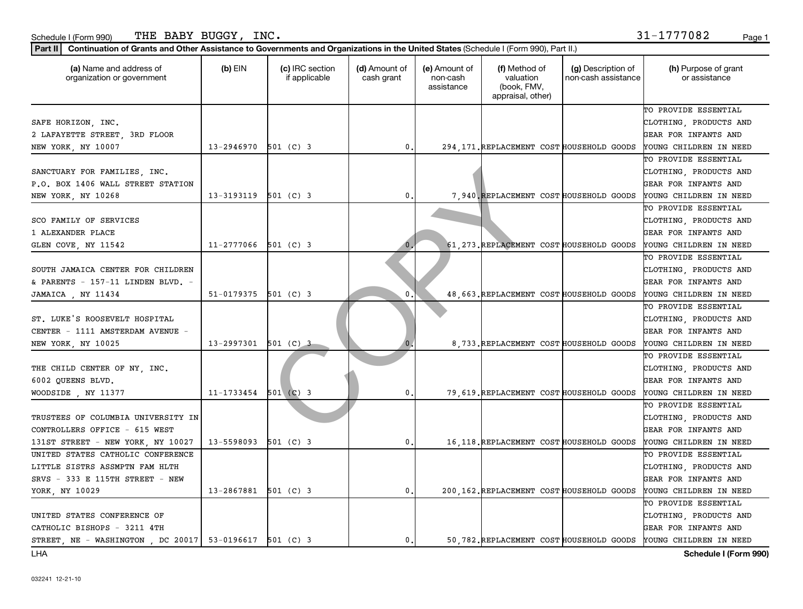LHA

| THE BABY BUGGY, INC.<br>Schedule I (Form 990)<br>Part II<br>Continuation of Grants and Other Assistance to Governments and Organizations in the United States (Schedule I (Form 990), Part II.) |                |                                  |                             |                                         |                                                                |                                           | 31-1777082<br>Page 1                                                                                                                       |
|-------------------------------------------------------------------------------------------------------------------------------------------------------------------------------------------------|----------------|----------------------------------|-----------------------------|-----------------------------------------|----------------------------------------------------------------|-------------------------------------------|--------------------------------------------------------------------------------------------------------------------------------------------|
| (a) Name and address of<br>organization or government                                                                                                                                           | $(b)$ EIN      | (c) IRC section<br>if applicable | (d) Amount of<br>cash grant | (e) Amount of<br>non-cash<br>assistance | (f) Method of<br>valuation<br>(book, FMV,<br>appraisal, other) | (g) Description of<br>non-cash assistance | (h) Purpose of grant<br>or assistance                                                                                                      |
| SAFE HORIZON, INC.<br>2 LAFAYETTE STREET, 3RD FLOOR<br>NEW YORK, NY 10007                                                                                                                       | 13-2946970     | 501 (C) 3                        | 0.                          |                                         |                                                                |                                           | TO PROVIDE ESSENTIAL<br>CLOTHING, PRODUCTS AND<br>GEAR FOR INFANTS AND<br>294 171. REPLACEMENT COST HOUSEHOLD GOODS YOUNG CHILDREN IN NEED |
| SANCTUARY FOR FAMILIES, INC.<br>P.O. BOX 1406 WALL STREET STATION<br>NEW YORK, NY 10268                                                                                                         | 13-3193119     | $501$ (C) 3                      | 0.                          |                                         | 7,940, REPLACEMENT COST HOUSEHOLD GOODS                        |                                           | TO PROVIDE ESSENTIAL<br>CLOTHING, PRODUCTS AND<br>GEAR FOR INFANTS AND<br>YOUNG CHILDREN IN NEED                                           |
| SCO FAMILY OF SERVICES<br>1 ALEXANDER PLACE<br>GLEN COVE, NY 11542                                                                                                                              | 11-2777066     | $501$ (C) 3                      | 0                           |                                         | 61.273. REPLACEMENT COST HOUSEHOLD GOODS                       |                                           | TO PROVIDE ESSENTIAL<br>CLOTHING, PRODUCTS AND<br>GEAR FOR INFANTS AND<br>YOUNG CHILDREN IN NEED                                           |
| SOUTH JAMAICA CENTER FOR CHILDREN<br>& PARENTS - 157-11 LINDEN BLVD. -<br>JAMAICA , NY 11434                                                                                                    | 51-0179375     | $501$ (C) 3                      | 0                           |                                         | 48 663 REPLACEMENT COST HOUSEHOLD GOODS                        |                                           | TO PROVIDE ESSENTIAL<br>CLOTHING, PRODUCTS AND<br>GEAR FOR INFANTS AND<br>YOUNG CHILDREN IN NEED                                           |
| ST. LUKE'S ROOSEVELT HOSPITAL<br>CENTER - 1111 AMSTERDAM AVENUE -<br>NEW YORK, NY 10025                                                                                                         | 13-2997301     | $501$ (C) 3                      | $\mathbf{0}$                |                                         | 8 733 REPLACEMENT COST HOUSEHOLD GOODS                         |                                           | TO PROVIDE ESSENTIAL<br>CLOTHING, PRODUCTS AND<br>GEAR FOR INFANTS AND<br>YOUNG CHILDREN IN NEED                                           |
| THE CHILD CENTER OF NY, INC.<br>6002 QUEENS BLVD.<br>WOODSIDE , NY 11377                                                                                                                        | $11 - 1733454$ | $501$ (C) 3                      | 0.                          |                                         | 79, 619. REPLACEMENT COST HOUSEHOLD GOODS                      |                                           | TO PROVIDE ESSENTIAL<br>CLOTHING, PRODUCTS AND<br><b>GEAR FOR INFANTS AND</b><br>YOUNG CHILDREN IN NEED                                    |
| TRUSTEES OF COLUMBIA UNIVERSITY IN<br>CONTROLLERS OFFICE - 615 WEST<br>131ST STREET - NEW YORK, NY 10027                                                                                        | 13-5598093     | $501$ (C) 3                      | 0.                          |                                         | 16, 118. REPLACEMENT COST HOUSEHOLD GOODS                      |                                           | TO PROVIDE ESSENTIAL<br>CLOTHING, PRODUCTS AND<br>GEAR FOR INFANTS AND<br>YOUNG CHILDREN IN NEED                                           |
| UNITED STATES CATHOLIC CONFERENCE<br>LITTLE SISTRS ASSMPTN FAM HLTH                                                                                                                             |                |                                  |                             |                                         |                                                                |                                           | TO PROVIDE ESSENTIAL<br>CLOTHING, PRODUCTS AND                                                                                             |

SRVS - 333 E 115TH STREET - NEW GEAR FOR INFANTS AND YORK, NY 10029 13-2867881 501 (C) 3 0. 200,162.REPLACEMENT COST HOUSEHOLD GOODS YOUNG CHILDREN IN NEED

UNITED STATES CONFERENCE OF  $\begin{vmatrix} \cdot & \cdot & \cdot \\ \cdot & \cdot & \cdot \\ \cdot & \cdot & \cdot \end{vmatrix}$  (clothing, products and CATHOLIC BISHOPS - 3211 4TH GEAR FOR INFANTS AND STREET, NE - WASHINGTON, DC 20017 53-0196617 501 (C) 3 0. 0. 50,782.REPLACEMENT COST HOUSEHOLD GOODS YOUNG CHILDREN IN NEED

**Schedule I (Form 990)**

TO PROVIDE ESSENTIAL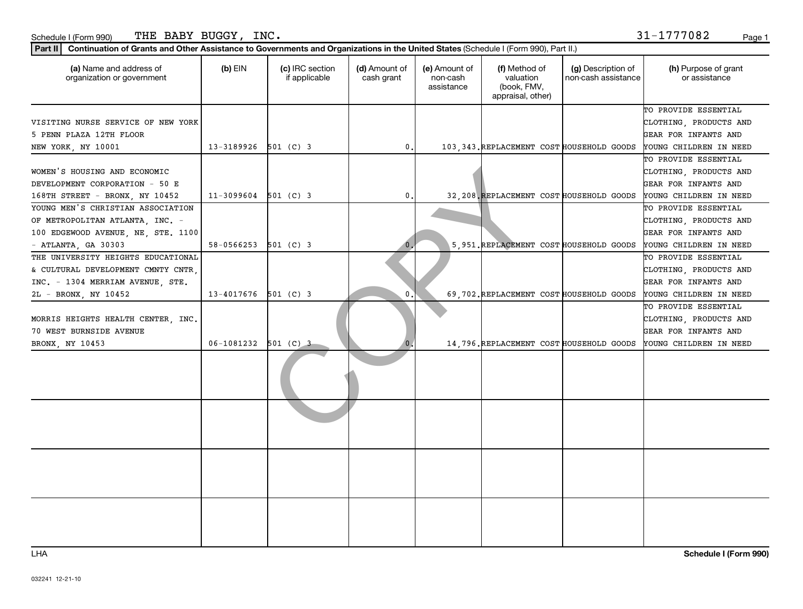### Part II | Continuation of Grants and Other Assistance to Governments and Organizations in the United States (Schedule I (Form 990), Part II.)

| (a) Name and address of<br>organization or government                                                                                | $(b)$ EIN              | (c) IRC section<br>if applicable | (d) Amount of<br>cash grant | (e) Amount of<br>non-cash<br>assistance | (f) Method of<br>valuation<br>(book, FMV,<br>appraisal, other) | (g) Description of<br>non-cash assistance | (h) Purpose of grant<br>or assistance                                                            |
|--------------------------------------------------------------------------------------------------------------------------------------|------------------------|----------------------------------|-----------------------------|-----------------------------------------|----------------------------------------------------------------|-------------------------------------------|--------------------------------------------------------------------------------------------------|
| VISITING NURSE SERVICE OF NEW YORK<br>5 PENN PLAZA 12TH FLOOR<br>NEW YORK, NY 10001                                                  | 13-3189926             | $501$ (C) 3                      | 0.                          |                                         | 103, 343. REPLACEMENT COST HOUSEHOLD GOODS                     |                                           | TO PROVIDE ESSENTIAL<br>CLOTHING, PRODUCTS AND<br>GEAR FOR INFANTS AND<br>YOUNG CHILDREN IN NEED |
| WOMEN'S HOUSING AND ECONOMIC<br>DEVELOPMENT CORPORATION - 50 E<br>168TH STREET - BRONX, NY 10452                                     | $11-3099604$ 501 (C) 3 |                                  | 0.                          |                                         | 32, 208. REPLACEMENT COST HOUSEHOLD GOODS                      |                                           | TO PROVIDE ESSENTIAL<br>CLOTHING, PRODUCTS AND<br>GEAR FOR INFANTS AND<br>YOUNG CHILDREN IN NEED |
| YOUNG MEN'S CHRISTIAN ASSOCIATION<br>OF METROPOLITAN ATLANTA, INC. -<br>100 EDGEWOOD AVENUE, NE, STE. 1100<br>$-$ ATLANTA, GA 30303  | 58-0566253             | 501 (C) 3                        |                             |                                         | 5,951. REPLACEMENT COST HOUSEHOLD GOODS                        |                                           | TO PROVIDE ESSENTIAL<br>CLOTHING, PRODUCTS AND<br>GEAR FOR INFANTS AND<br>YOUNG CHILDREN IN NEED |
| THE UNIVERSITY HEIGHTS EDUCATIONAL<br>& CULTURAL DEVELOPMENT CMNTY CNTR,<br>INC. - 1304 MERRIAM AVENUE, STE.<br>2L - BRONX, NY 10452 | 13-4017676 501 (C) 3   |                                  | 0.                          |                                         | 69,702. REPLACEMENT COST HOUSEHOLD GOODS                       |                                           | TO PROVIDE ESSENTIAL<br>CLOTHING, PRODUCTS AND<br>GEAR FOR INFANTS AND<br>YOUNG CHILDREN IN NEED |
| MORRIS HEIGHTS HEALTH CENTER, INC.<br>70 WEST BURNSIDE AVENUE<br>BRONX, NY 10453                                                     | $06-1081232$ 501 (C) 3 |                                  |                             |                                         | 14,796. REPLACEMENT COST HOUSEHOLD GOODS                       |                                           | TO PROVIDE ESSENTIAL<br>CLOTHING, PRODUCTS AND<br>GEAR FOR INFANTS AND<br>YOUNG CHILDREN IN NEED |
|                                                                                                                                      |                        |                                  |                             |                                         |                                                                |                                           |                                                                                                  |
|                                                                                                                                      |                        |                                  |                             |                                         |                                                                |                                           |                                                                                                  |
|                                                                                                                                      |                        |                                  |                             |                                         |                                                                |                                           |                                                                                                  |
|                                                                                                                                      |                        |                                  |                             |                                         |                                                                |                                           |                                                                                                  |

LHA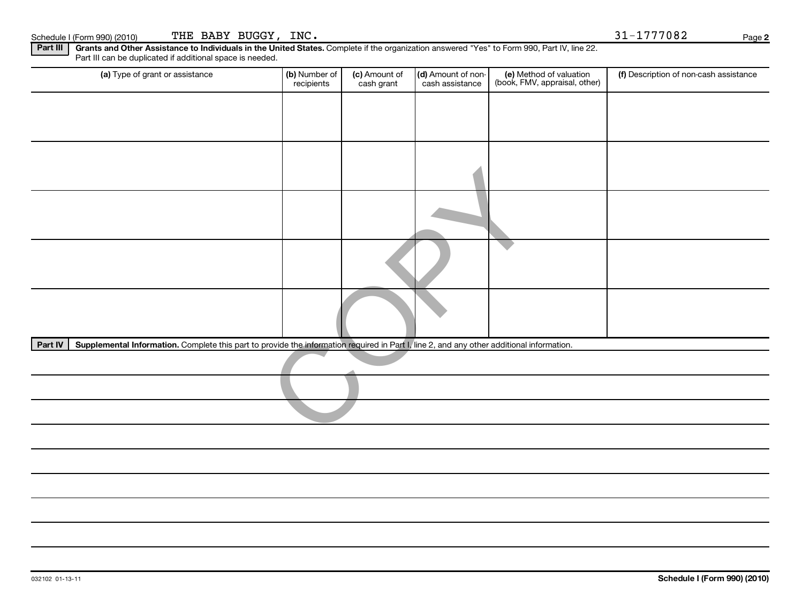| Part III<br>Part III can be duplicated if additional space is needed.                                                                                | Grants and Other Assistance to Individuals in the United States. Complete if the organization answered "Yes" to Form 990, Part IV, line 22. |                             |                                       |                                                          |                                        |
|------------------------------------------------------------------------------------------------------------------------------------------------------|---------------------------------------------------------------------------------------------------------------------------------------------|-----------------------------|---------------------------------------|----------------------------------------------------------|----------------------------------------|
| (a) Type of grant or assistance                                                                                                                      | (b) Number of<br>recipients                                                                                                                 | (c) Amount of<br>cash grant | (d) Amount of non-<br>cash assistance | (e) Method of valuation<br>(book, FMV, appraisal, other) | (f) Description of non-cash assistance |
|                                                                                                                                                      |                                                                                                                                             |                             |                                       |                                                          |                                        |
|                                                                                                                                                      |                                                                                                                                             |                             |                                       |                                                          |                                        |
|                                                                                                                                                      |                                                                                                                                             |                             |                                       |                                                          |                                        |
|                                                                                                                                                      |                                                                                                                                             |                             |                                       |                                                          |                                        |
|                                                                                                                                                      |                                                                                                                                             |                             |                                       |                                                          |                                        |
|                                                                                                                                                      |                                                                                                                                             |                             |                                       |                                                          |                                        |
|                                                                                                                                                      |                                                                                                                                             |                             |                                       |                                                          |                                        |
| Supplemental Information. Complete this part to provide the information required in Part I, line 2, and any other additional information.<br>Part IV |                                                                                                                                             |                             |                                       |                                                          |                                        |
|                                                                                                                                                      |                                                                                                                                             |                             |                                       |                                                          |                                        |
|                                                                                                                                                      |                                                                                                                                             |                             |                                       |                                                          |                                        |
|                                                                                                                                                      |                                                                                                                                             |                             |                                       |                                                          |                                        |
|                                                                                                                                                      |                                                                                                                                             |                             |                                       |                                                          |                                        |
|                                                                                                                                                      |                                                                                                                                             |                             |                                       |                                                          |                                        |
|                                                                                                                                                      |                                                                                                                                             |                             |                                       |                                                          |                                        |
|                                                                                                                                                      |                                                                                                                                             |                             |                                       |                                                          |                                        |

**2**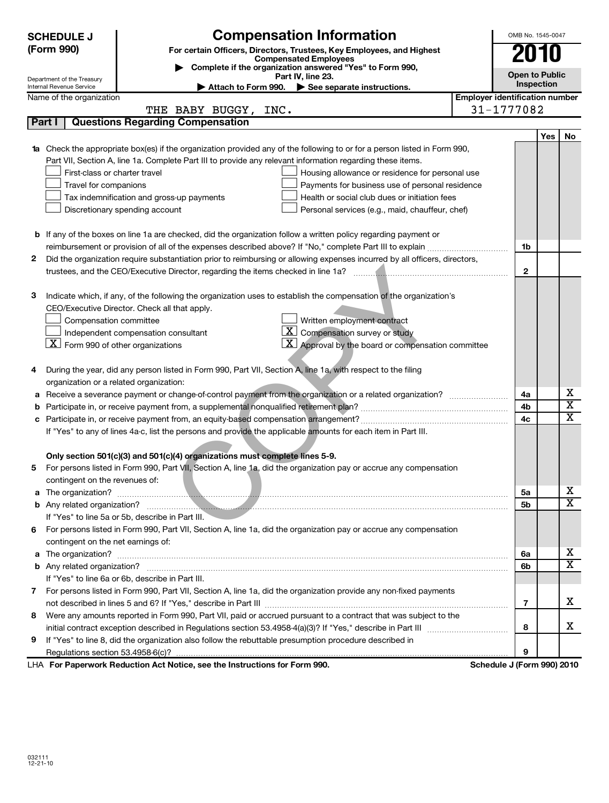|                                                                                                                     | <b>SCHEDULE J</b>                                                                                                   | <b>Compensation Information</b>                                                                                            |                                       | OMB No. 1545-0047                   |     |                         |
|---------------------------------------------------------------------------------------------------------------------|---------------------------------------------------------------------------------------------------------------------|----------------------------------------------------------------------------------------------------------------------------|---------------------------------------|-------------------------------------|-----|-------------------------|
|                                                                                                                     | (Form 990)<br>For certain Officers, Directors, Trustees, Key Employees, and Highest<br><b>Compensated Employees</b> |                                                                                                                            |                                       |                                     |     |                         |
|                                                                                                                     |                                                                                                                     | Complete if the organization answered "Yes" to Form 990,                                                                   |                                       |                                     |     |                         |
|                                                                                                                     | Department of the Treasury<br>Internal Revenue Service                                                              | Part IV, line 23.                                                                                                          |                                       | <b>Open to Public</b><br>Inspection |     |                         |
|                                                                                                                     | Name of the organization                                                                                            | Attach to Form 990.<br>See separate instructions.                                                                          | <b>Employer identification number</b> |                                     |     |                         |
|                                                                                                                     |                                                                                                                     | THE BABY BUGGY, INC.                                                                                                       |                                       | 31-1777082                          |     |                         |
|                                                                                                                     | Part I                                                                                                              | <b>Questions Regarding Compensation</b>                                                                                    |                                       |                                     |     |                         |
|                                                                                                                     |                                                                                                                     |                                                                                                                            |                                       |                                     | Yes | No                      |
|                                                                                                                     |                                                                                                                     | 1a Check the appropriate box(es) if the organization provided any of the following to or for a person listed in Form 990,  |                                       |                                     |     |                         |
|                                                                                                                     |                                                                                                                     | Part VII, Section A, line 1a. Complete Part III to provide any relevant information regarding these items.                 |                                       |                                     |     |                         |
|                                                                                                                     | First-class or charter travel                                                                                       | Housing allowance or residence for personal use                                                                            |                                       |                                     |     |                         |
|                                                                                                                     | Travel for companions                                                                                               | Payments for business use of personal residence                                                                            |                                       |                                     |     |                         |
|                                                                                                                     |                                                                                                                     | Tax indemnification and gross-up payments<br>Health or social club dues or initiation fees                                 |                                       |                                     |     |                         |
|                                                                                                                     |                                                                                                                     | Discretionary spending account<br>Personal services (e.g., maid, chauffeur, chef)                                          |                                       |                                     |     |                         |
|                                                                                                                     |                                                                                                                     |                                                                                                                            |                                       |                                     |     |                         |
|                                                                                                                     |                                                                                                                     | <b>b</b> If any of the boxes on line 1a are checked, did the organization follow a written policy regarding payment or     |                                       |                                     |     |                         |
|                                                                                                                     |                                                                                                                     |                                                                                                                            |                                       | 1b                                  |     |                         |
| 2                                                                                                                   |                                                                                                                     | Did the organization require substantiation prior to reimbursing or allowing expenses incurred by all officers, directors, |                                       |                                     |     |                         |
|                                                                                                                     |                                                                                                                     |                                                                                                                            |                                       | $\mathbf{2}$                        |     |                         |
|                                                                                                                     |                                                                                                                     |                                                                                                                            |                                       |                                     |     |                         |
| з                                                                                                                   |                                                                                                                     | Indicate which, if any, of the following the organization uses to establish the compensation of the organization's         |                                       |                                     |     |                         |
|                                                                                                                     |                                                                                                                     | CEO/Executive Director. Check all that apply.                                                                              |                                       |                                     |     |                         |
|                                                                                                                     | Compensation committee                                                                                              | Written employment contract                                                                                                |                                       |                                     |     |                         |
|                                                                                                                     |                                                                                                                     | $\lfloor x \rfloor$<br>Compensation survey or study<br>Independent compensation consultant                                 |                                       |                                     |     |                         |
|                                                                                                                     | $X$ Form 990 of other organizations                                                                                 | $\lfloor x \rfloor$<br>Approval by the board or compensation committee                                                     |                                       |                                     |     |                         |
|                                                                                                                     |                                                                                                                     |                                                                                                                            |                                       |                                     |     |                         |
| 4                                                                                                                   |                                                                                                                     | During the year, did any person listed in Form 990, Part VII, Section A, line 1a, with respect to the filing               |                                       |                                     |     |                         |
|                                                                                                                     | organization or a related organization:                                                                             |                                                                                                                            |                                       |                                     |     |                         |
| а                                                                                                                   |                                                                                                                     |                                                                                                                            |                                       | 4a                                  |     | x                       |
| b                                                                                                                   |                                                                                                                     |                                                                                                                            |                                       | 4b                                  |     | $\overline{\textbf{x}}$ |
| с                                                                                                                   |                                                                                                                     |                                                                                                                            |                                       |                                     |     | $\overline{\text{x}}$   |
| 4c<br>If "Yes" to any of lines 4a-c, list the persons and provide the applicable amounts for each item in Part III. |                                                                                                                     |                                                                                                                            |                                       |                                     |     |                         |
|                                                                                                                     |                                                                                                                     |                                                                                                                            |                                       |                                     |     |                         |
|                                                                                                                     |                                                                                                                     | Only section 501(c)(3) and 501(c)(4) organizations must complete lines 5-9.                                                |                                       |                                     |     |                         |
| 5                                                                                                                   |                                                                                                                     | For persons listed in Form 990, Part VII, Section A, line 1a, did the organization pay or accrue any compensation          |                                       |                                     |     |                         |
|                                                                                                                     | contingent on the revenues of:                                                                                      |                                                                                                                            |                                       |                                     |     |                         |
|                                                                                                                     |                                                                                                                     |                                                                                                                            |                                       | 5a                                  |     | x                       |
|                                                                                                                     |                                                                                                                     |                                                                                                                            |                                       | 5b                                  |     | X                       |
|                                                                                                                     |                                                                                                                     | If "Yes" to line 5a or 5b, describe in Part III.                                                                           |                                       |                                     |     |                         |
| 6                                                                                                                   |                                                                                                                     | For persons listed in Form 990, Part VII, Section A, line 1a, did the organization pay or accrue any compensation          |                                       |                                     |     |                         |
|                                                                                                                     | contingent on the net earnings of:                                                                                  |                                                                                                                            |                                       |                                     |     |                         |
| a                                                                                                                   |                                                                                                                     |                                                                                                                            |                                       | 6a                                  |     | X                       |
|                                                                                                                     |                                                                                                                     |                                                                                                                            |                                       | 6b                                  |     | $\overline{\mathtt{x}}$ |
|                                                                                                                     |                                                                                                                     | If "Yes" to line 6a or 6b, describe in Part III.                                                                           |                                       |                                     |     |                         |
| 7.                                                                                                                  |                                                                                                                     | For persons listed in Form 990, Part VII, Section A, line 1a, did the organization provide any non-fixed payments          |                                       |                                     |     |                         |
|                                                                                                                     |                                                                                                                     |                                                                                                                            |                                       | 7                                   |     | x                       |
| 8                                                                                                                   |                                                                                                                     | Were any amounts reported in Form 990, Part VII, paid or accrued pursuant to a contract that was subject to the            |                                       |                                     |     |                         |
|                                                                                                                     |                                                                                                                     |                                                                                                                            |                                       | 8                                   |     | x                       |
| 9                                                                                                                   |                                                                                                                     | If "Yes" to line 8, did the organization also follow the rebuttable presumption procedure described in                     |                                       |                                     |     |                         |
|                                                                                                                     |                                                                                                                     |                                                                                                                            |                                       | 9                                   |     |                         |
|                                                                                                                     |                                                                                                                     | LHA For Paperwork Reduction Act Notice, see the Instructions for Form 990.                                                 |                                       | Schedule J (Form 990) 2010          |     |                         |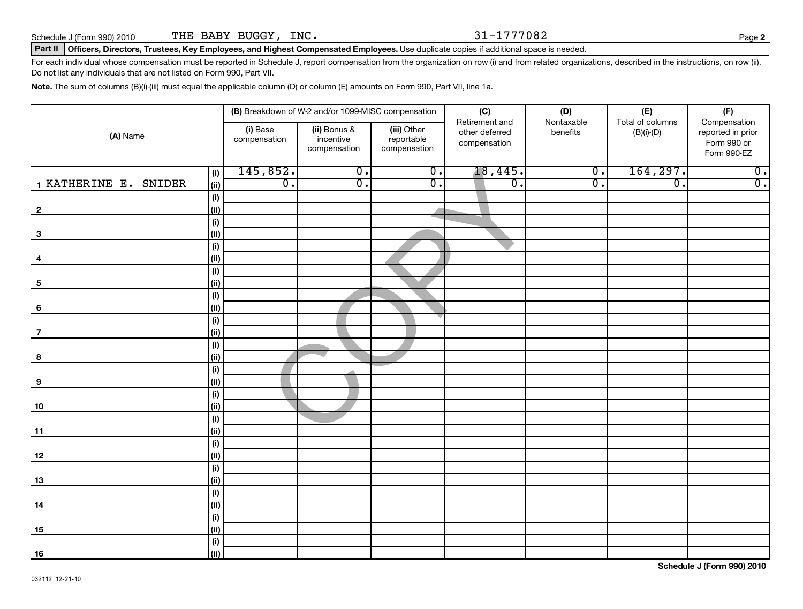Schedule J (Form 990) 2010  $THE$   $BABY$   $BUGGY$ ,  $INC$ .  $31-1777082$ 

### Part II | Officers, Directors, Trustees, Key Employees, and Highest Compensated Employees. Use duplicate copies if additional space is needed.

For each individual whose compensation must be reported in Schedule J, report compensation from the organization on row (i) and from related organizations, described in the instructions, on row (ii). Do not list any individuals that are not listed on Form 990, Part VII.

**Note.**  The sum of columns (B)(i)-(iii) must equal the applicable column (D) or column (E) amounts on Form 990, Part VII, line 1a.

|                         |             | (B) Breakdown of W-2 and/or 1099-MISC compensation |                                           |                                           | (C)                            | (D)                                      | (E)<br>Total of columns | (F)                                                             |
|-------------------------|-------------|----------------------------------------------------|-------------------------------------------|-------------------------------------------|--------------------------------|------------------------------------------|-------------------------|-----------------------------------------------------------------|
| (A) Name                |             | (i) Base<br>compensation                           | (ii) Bonus &<br>incentive<br>compensation | (iii) Other<br>reportable<br>compensation | other deferred<br>compensation | Retirement and<br>Nontaxable<br>benefits |                         | Compensation<br>reported in prior<br>Form 990 or<br>Form 990-EZ |
|                         | (i)         | 145,852.                                           | $\overline{0}$ .                          | $\overline{0}$ .                          | 18,445.                        | $\overline{\mathbf{0}}$ .                | 164, 297.               | $\overline{0}$ .                                                |
| 1 KATHERINE E. SNIDER   | (ii)        | $\overline{0}$ .                                   | $\overline{0}$ .                          | $\overline{\mathfrak{o}}$ .               | $\overline{0}$ .               | $\overline{0}$ .                         | σ.                      | $\overline{0}$ .                                                |
|                         | (i)         |                                                    |                                           |                                           |                                |                                          |                         |                                                                 |
| $\overline{\mathbf{2}}$ | (ii)        |                                                    |                                           |                                           |                                |                                          |                         |                                                                 |
|                         | (i)         |                                                    |                                           |                                           |                                |                                          |                         |                                                                 |
| $\mathbf{3}$            | (ii)        |                                                    |                                           |                                           |                                |                                          |                         |                                                                 |
|                         | (i)         |                                                    |                                           |                                           |                                |                                          |                         |                                                                 |
| 4                       | (ii)        |                                                    |                                           |                                           |                                |                                          |                         |                                                                 |
|                         | (i)         |                                                    |                                           |                                           |                                |                                          |                         |                                                                 |
| $\sqrt{5}$              | (ii)        |                                                    |                                           |                                           |                                |                                          |                         |                                                                 |
| $6\phantom{1}6$         | (i)<br>(ii) |                                                    |                                           |                                           |                                |                                          |                         |                                                                 |
|                         | (i)         |                                                    |                                           |                                           |                                |                                          |                         |                                                                 |
| $\overline{7}$          | (ii)        |                                                    |                                           |                                           |                                |                                          |                         |                                                                 |
|                         | (i)         |                                                    |                                           |                                           |                                |                                          |                         |                                                                 |
| 8                       | (ii)        |                                                    |                                           |                                           |                                |                                          |                         |                                                                 |
|                         | (i)         |                                                    |                                           |                                           |                                |                                          |                         |                                                                 |
| 9                       | (ii)        |                                                    |                                           |                                           |                                |                                          |                         |                                                                 |
|                         | (i)         |                                                    |                                           |                                           |                                |                                          |                         |                                                                 |
| 10                      | (ii)        |                                                    |                                           |                                           |                                |                                          |                         |                                                                 |
|                         | (i)         |                                                    |                                           |                                           |                                |                                          |                         |                                                                 |
| 11                      | (ii)        |                                                    |                                           |                                           |                                |                                          |                         |                                                                 |
|                         | (i)         |                                                    |                                           |                                           |                                |                                          |                         |                                                                 |
| 12                      | (ii)        |                                                    |                                           |                                           |                                |                                          |                         |                                                                 |
|                         | (i)         |                                                    |                                           |                                           |                                |                                          |                         |                                                                 |
| 13                      | (ii)        |                                                    |                                           |                                           |                                |                                          |                         |                                                                 |
|                         | (i)         |                                                    |                                           |                                           |                                |                                          |                         |                                                                 |
| 14                      | (ii)        |                                                    |                                           |                                           |                                |                                          |                         |                                                                 |
|                         | (i)         |                                                    |                                           |                                           |                                |                                          |                         |                                                                 |
| 15                      | (ii)        |                                                    |                                           |                                           |                                |                                          |                         |                                                                 |
|                         | (i)         |                                                    |                                           |                                           |                                |                                          |                         |                                                                 |
| 16                      | (ii)        |                                                    |                                           |                                           |                                |                                          |                         |                                                                 |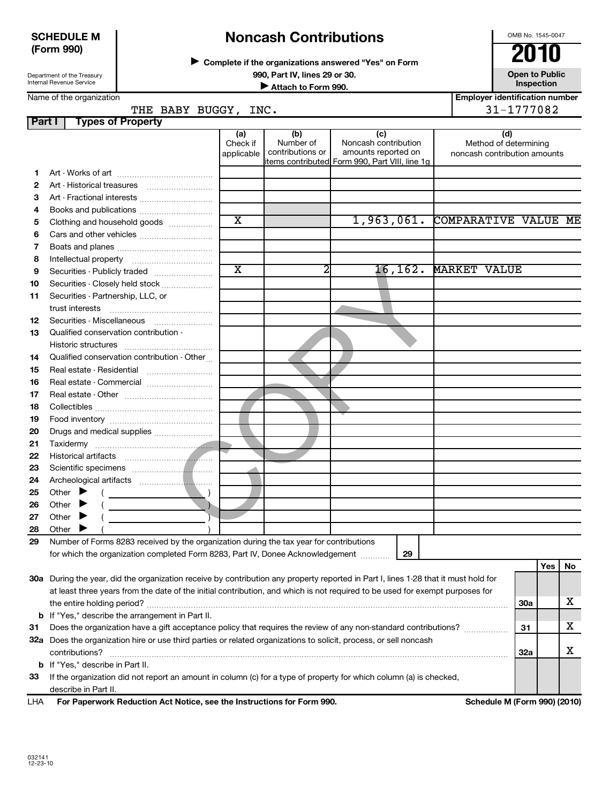### **SCHEDULE M (Form 990)**

# **Noncash Contributions**

**Complete if the organizations answered "Yes" on Form** <sup>J</sup>**2010**

**990, Part IV, lines 29 or 30. Open to Public University of Attach to Form 990. Open to Public University of Attach to Form 990. Inspection Inspection Inspection Inspection Inspection** 

OMB No. 1545-0047

**Employer identification number**

| Department of the Treasury |
|----------------------------|
| Internal Revenue Service   |

Name of the organization

**Part I Types of Property** THE BABY BUGGY, INC. 21-1777082

|     |                                                                                                                                     | (a)<br>Check if<br>applicable | (b)<br>Number of<br>contributions or | (c)<br>Noncash contribution<br>amounts reported on<br>items contributed Form 990, Part VIII, line 1g |          | (d)<br>Method of determining<br>noncash contribution amounts |            |     |    |
|-----|-------------------------------------------------------------------------------------------------------------------------------------|-------------------------------|--------------------------------------|------------------------------------------------------------------------------------------------------|----------|--------------------------------------------------------------|------------|-----|----|
| 1.  |                                                                                                                                     |                               |                                      |                                                                                                      |          |                                                              |            |     |    |
| 2   |                                                                                                                                     |                               |                                      |                                                                                                      |          |                                                              |            |     |    |
| З   | Art - Fractional interests                                                                                                          |                               |                                      |                                                                                                      |          |                                                              |            |     |    |
| 4   | Books and publications                                                                                                              |                               |                                      |                                                                                                      |          |                                                              |            |     |    |
| 5   | Clothing and household goods                                                                                                        | $\overline{\textbf{x}}$       |                                      | 1,963,061.                                                                                           |          | COMPARATIVE VALUE ME                                         |            |     |    |
| 6   |                                                                                                                                     |                               |                                      |                                                                                                      |          |                                                              |            |     |    |
| 7   |                                                                                                                                     |                               |                                      |                                                                                                      |          |                                                              |            |     |    |
| 8   |                                                                                                                                     |                               |                                      |                                                                                                      |          |                                                              |            |     |    |
| 9   | Securities - Publicly traded                                                                                                        | $\overline{\textbf{x}}$       | 2                                    |                                                                                                      | 16, 162. | <b>MARKET VALUE</b>                                          |            |     |    |
| 10  | Securities - Closely held stock                                                                                                     |                               |                                      |                                                                                                      |          |                                                              |            |     |    |
| 11  | Securities - Partnership, LLC, or                                                                                                   |                               |                                      |                                                                                                      |          |                                                              |            |     |    |
|     | trust interests                                                                                                                     |                               |                                      |                                                                                                      |          |                                                              |            |     |    |
| 12  |                                                                                                                                     |                               |                                      |                                                                                                      |          |                                                              |            |     |    |
| 13  | Qualified conservation contribution -                                                                                               |                               |                                      |                                                                                                      |          |                                                              |            |     |    |
|     | Historic structures                                                                                                                 |                               |                                      |                                                                                                      |          |                                                              |            |     |    |
| 14  | Qualified conservation contribution - Other                                                                                         |                               |                                      |                                                                                                      |          |                                                              |            |     |    |
| 15  | Real estate - Residential                                                                                                           |                               |                                      |                                                                                                      |          |                                                              |            |     |    |
| 16  |                                                                                                                                     |                               |                                      |                                                                                                      |          |                                                              |            |     |    |
| 17  |                                                                                                                                     |                               |                                      |                                                                                                      |          |                                                              |            |     |    |
| 18  |                                                                                                                                     |                               |                                      |                                                                                                      |          |                                                              |            |     |    |
| 19  |                                                                                                                                     |                               |                                      |                                                                                                      |          |                                                              |            |     |    |
| 20  | Drugs and medical supplies                                                                                                          |                               |                                      |                                                                                                      |          |                                                              |            |     |    |
| 21  |                                                                                                                                     |                               |                                      |                                                                                                      |          |                                                              |            |     |    |
| 22  |                                                                                                                                     |                               |                                      |                                                                                                      |          |                                                              |            |     |    |
| 23  |                                                                                                                                     |                               |                                      |                                                                                                      |          |                                                              |            |     |    |
| 24  |                                                                                                                                     |                               |                                      |                                                                                                      |          |                                                              |            |     |    |
| 25  | Other $\blacktriangleright$                                                                                                         |                               |                                      |                                                                                                      |          |                                                              |            |     |    |
| 26  | Other $\blacktriangleright$                                                                                                         |                               |                                      |                                                                                                      |          |                                                              |            |     |    |
| 27  | Other $\blacktriangleright$                                                                                                         |                               |                                      |                                                                                                      |          |                                                              |            |     |    |
| 28  | Other                                                                                                                               |                               |                                      |                                                                                                      |          |                                                              |            |     |    |
| 29  | Number of Forms 8283 received by the organization during the tax year for contributions                                             |                               |                                      |                                                                                                      |          |                                                              |            |     |    |
|     | for which the organization completed Form 8283, Part IV, Donee Acknowledgement                                                      |                               |                                      |                                                                                                      | 29       |                                                              |            |     |    |
|     |                                                                                                                                     |                               |                                      |                                                                                                      |          |                                                              |            | Yes | No |
|     | 30a During the year, did the organization receive by contribution any property reported in Part I, lines 1-28 that it must hold for |                               |                                      |                                                                                                      |          |                                                              |            |     |    |
|     | at least three years from the date of the initial contribution, and which is not required to be used for exempt purposes for        |                               |                                      |                                                                                                      |          |                                                              |            |     |    |
|     |                                                                                                                                     |                               |                                      |                                                                                                      |          |                                                              | <b>30a</b> |     | x  |
|     | <b>b</b> If "Yes," describe the arrangement in Part II.                                                                             |                               |                                      |                                                                                                      |          |                                                              |            |     |    |
| 31  | Does the organization have a gift acceptance policy that requires the review of any non-standard contributions?                     |                               |                                      |                                                                                                      |          |                                                              | 31         |     | x  |
|     | 32a Does the organization hire or use third parties or related organizations to solicit, process, or sell noncash                   |                               |                                      |                                                                                                      |          |                                                              |            |     |    |
|     | contributions?                                                                                                                      |                               |                                      |                                                                                                      |          |                                                              | 32a        |     | х  |
|     | <b>b</b> If "Yes," describe in Part II.                                                                                             |                               |                                      |                                                                                                      |          |                                                              |            |     |    |
| 33  | If the organization did not report an amount in column (c) for a type of property for which column (a) is checked,                  |                               |                                      |                                                                                                      |          |                                                              |            |     |    |
|     | describe in Part II.                                                                                                                |                               |                                      |                                                                                                      |          |                                                              |            |     |    |
| LHA | For Paperwork Reduction Act Notice, see the Instructions for Form 990.                                                              |                               |                                      |                                                                                                      |          | Schedule M (Form 990) (2010)                                 |            |     |    |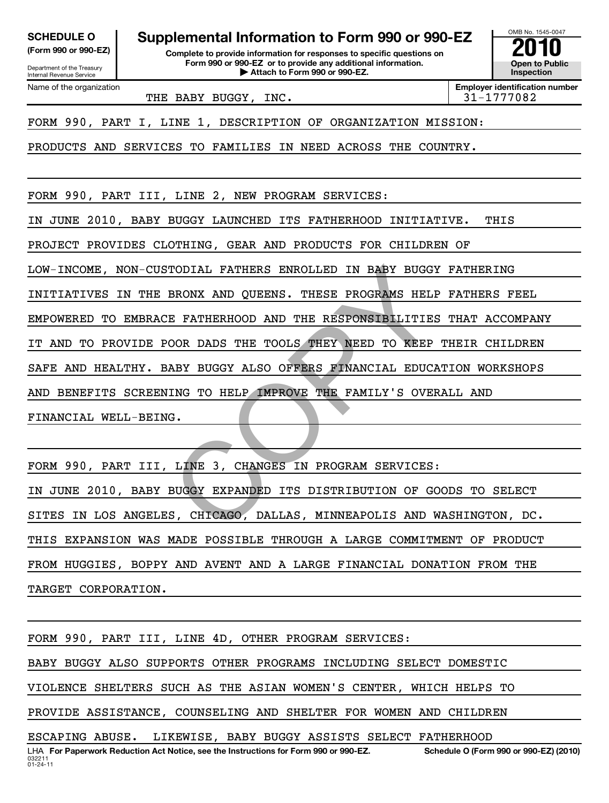| <b>SCHEDULE O</b> |  |
|-------------------|--|
|                   |  |

Department of the Treasury Internal Revenue Service Name of the organization **Supplemental Information to Form 990 or 990-EZ**<br> **Supplemental Information for responses to specific questions on**<br>
Form 990 or 990-EZ or to provide any additional information.

**(Form 990 or 990-EZ) Complete to provide information for responses to specific questions on Form 990 or 990-EZ or to provide any additional information. | Attach to Form 990 or 990-EZ. Open to Public**

**Inspection**

**Employer identification number**

OMB No. 1545-0047

THE BABY BUGGY, INC.  $\vert$  31-1777082

FORM 990, PART I, LINE 1, DESCRIPTION OF ORGANIZATION MISSION:

PRODUCTS AND SERVICES TO FAMILIES IN NEED ACROSS THE COUNTRY.

FORM 990, PART III, LINE 2, NEW PROGRAM SERVICES:

IN JUNE 2010, BABY BUGGY LAUNCHED ITS FATHERHOOD INITIATIVE. THIS

PROJECT PROVIDES CLOTHING, GEAR AND PRODUCTS FOR CHILDREN OF

LOW-INCOME, NON-CUSTODIAL FATHERS ENROLLED IN BABY BUGGY FATHERING

INITIATIVES IN THE BRONX AND QUEENS. THESE PROGRAMS HELP FATHERS FEEL

EMPOWERED TO EMBRACE FATHERHOOD AND THE RESPONSIBILITIES THAT ACCOMPANY

IT AND TO PROVIDE POOR DADS THE TOOLS THEY NEED TO KEEP THEIR CHILDREN

SAFE AND HEALTHY. BABY BUGGY ALSO OFFERS FINANCIAL EDUCATION WORKSHOPS

AND BENEFITS SCREENING TO HELP IMPROVE THE FAMILY'S OVERALL AND

FINANCIAL WELL-BEING.

FORM 990, PART III, LINE 3, CHANGES IN PROGRAM SERVICES: IN JUNE 2010, BABY BUGGY EXPANDED ITS DISTRIBUTION OF GOODS TO SELECT SITES IN LOS ANGELES, CHICAGO, DALLAS, MINNEAPOLIS AND WASHINGTON, DC. THIS EXPANSION WAS MADE POSSIBLE THROUGH A LARGE COMMITMENT OF PRODUCT FROM HUGGIES, BOPPY AND AVENT AND A LARGE FINANCIAL DONATION FROM THE TARGET CORPORATION. TODIAL FATHERS ENROLLED IN BABY BUGGY<br>BRONX AND QUEENS. THESE PROGRAMS HELP<br>E FATHERHOOD AND THE RESPONSIBILITIES<br>OOR DADS THE TOOLS THEY NEED TO KEEP<br>ABY BUGGY ALSO OFFERS FINANCIAL EDUCA<br>ING TO HELP IMPROVE THE FAMILY'S

FORM 990, PART III, LINE 4D, OTHER PROGRAM SERVICES: BABY BUGGY ALSO SUPPORTS OTHER PROGRAMS INCLUDING SELECT DOMESTIC VIOLENCE SHELTERS SUCH AS THE ASIAN WOMEN'S CENTER, WHICH HELPS TO PROVIDE ASSISTANCE, COUNSELING AND SHELTER FOR WOMEN AND CHILDREN ESCAPING ABUSE. LIKEWISE, BABY BUGGY ASSISTS SELECT FATHERHOOD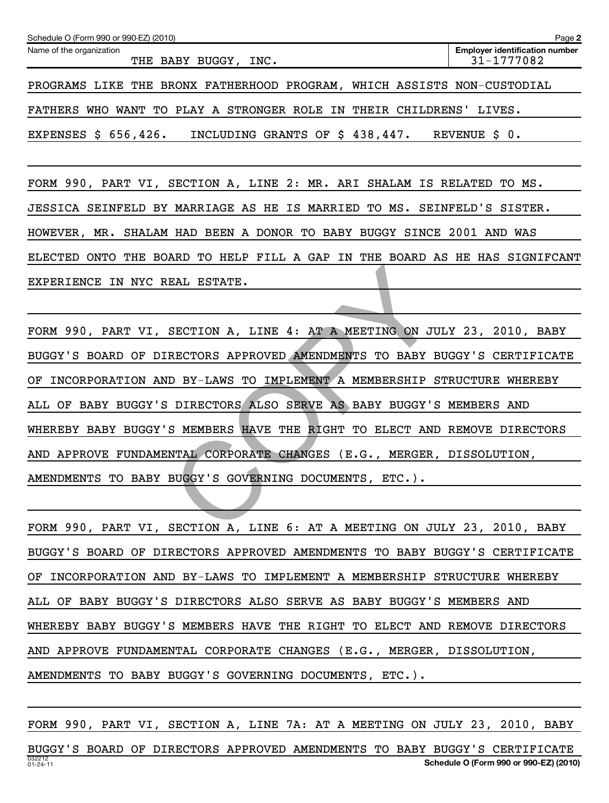| Schedule O (Form 990 or 990-EZ) (2010)                                  | Page 2                                              |
|-------------------------------------------------------------------------|-----------------------------------------------------|
| Name of the organization<br>THE BABY BUGGY, INC.                        | <b>Employer identification number</b><br>31-1777082 |
| PROGRAMS LIKE THE BRONX FATHERHOOD PROGRAM, WHICH ASSISTS NON-CUSTODIAL |                                                     |
| FATHERS WHO WANT TO PLAY A STRONGER ROLE IN THEIR CHILDRENS'            | LIVES.                                              |
| EXPENSES \$ 656,426.<br>INCLUDING GRANTS OF \$ 438,447.                 | REVENUE \$ 0.                                       |
|                                                                         |                                                     |
| FORM 990, PART VI, SECTION A, LINE 2: MR. ARI SHALAM IS RELATED TO MS.  |                                                     |

JESSICA SEINFELD BY MARRIAGE AS HE IS MARRIED TO MS. SEINFELD'S SISTER.

HOWEVER, MR. SHALAM HAD BEEN A DONOR TO BABY BUGGY SINCE 2001 AND WAS

ELECTED ONTO THE BOARD TO HELP FILL A GAP IN THE BOARD AS HE HAS SIGNIFCANT EXPERIENCE IN NYC REAL ESTATE.

FORM 990, PART VI, SECTION A, LINE 4: AT A MEETING ON JULY 23, 2010, BABY BUGGY'S BOARD OF DIRECTORS APPROVED AMENDMENTS TO BABY BUGGY'S CERTIFICATE OF INCORPORATION AND BY-LAWS TO IMPLEMENT A MEMBERSHIP STRUCTURE WHEREBY ALL OF BABY BUGGY'S DIRECTORS ALSO SERVE AS BABY BUGGY'S MEMBERS AND WHEREBY BABY BUGGY'S MEMBERS HAVE THE RIGHT TO ELECT AND REMOVE DIRECTORS AND APPROVE FUNDAMENTAL CORPORATE CHANGES (E.G., MERGER, DISSOLUTION, AMENDMENTS TO BABY BUGGY'S GOVERNING DOCUMENTS, ETC.). EAL ESTATE.<br>
SECTION A, LINE 4: AT A MEETING ON JU<br>
RECTORS APPROVED AMENDMENTS TO BABY E<br>
D BY-LAWS TO IMPLEMENT A MEMBERSHIP S<br>
DIRECTORS ALSO SERVE AS BABY BUGGY'S<br>
S MEMBERS HAVE THE RIGHT TO ELECT AND<br>
NTAL CORPORATE

FORM 990, PART VI, SECTION A, LINE 6: AT A MEETING ON JULY 23, 2010, BABY BUGGY'S BOARD OF DIRECTORS APPROVED AMENDMENTS TO BABY BUGGY'S CERTIFICATE OF INCORPORATION AND BY-LAWS TO IMPLEMENT A MEMBERSHIP STRUCTURE WHEREBY ALL OF BABY BUGGY'S DIRECTORS ALSO SERVE AS BABY BUGGY'S MEMBERS AND WHEREBY BABY BUGGY'S MEMBERS HAVE THE RIGHT TO ELECT AND REMOVE DIRECTORS AND APPROVE FUNDAMENTAL CORPORATE CHANGES (E.G., MERGER, DISSOLUTION, AMENDMENTS TO BABY BUGGY'S GOVERNING DOCUMENTS, ETC.).

FORM 990, PART VI, SECTION A, LINE 7A: AT A MEETING ON JULY 23, 2010, BABY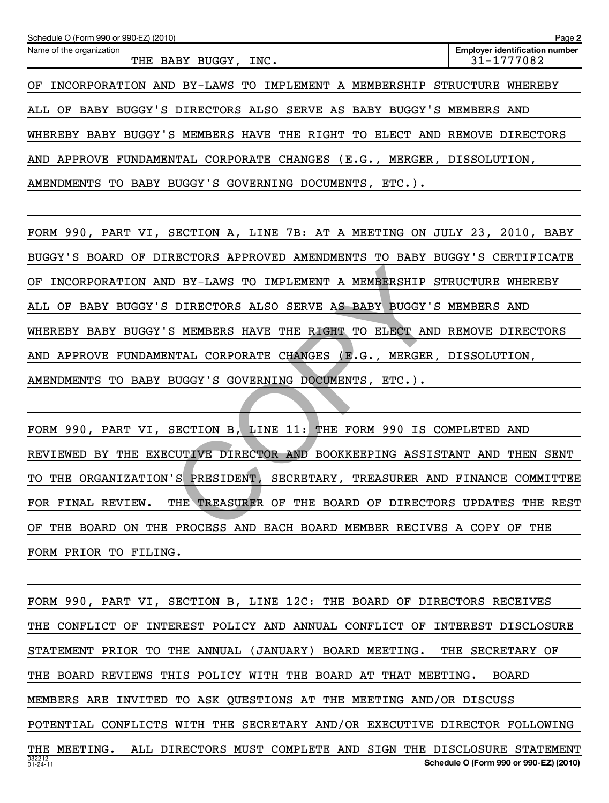| Schedule O (Form 990 or 990-EZ) (2010)                                    | Page 2                                              |
|---------------------------------------------------------------------------|-----------------------------------------------------|
| Name of the organization<br>THE BABY BUGGY, INC.                          | <b>Employer identification number</b><br>31-1777082 |
| INCORPORATION AND BY-LAWS TO IMPLEMENT A MEMBERSHIP STRUCTURE<br>OF       | WHEREBY                                             |
| ALL OF BABY BUGGY'S DIRECTORS ALSO SERVE AS BABY BUGGY'S MEMBERS AND      |                                                     |
| WHEREBY BABY BUGGY'S MEMBERS HAVE THE RIGHT TO ELECT AND REMOVE DIRECTORS |                                                     |
| AND APPROVE FUNDAMENTAL CORPORATE CHANGES (E.G., MERGER, DISSOLUTION,     |                                                     |
| BUGGY'S GOVERNING DOCUMENTS,<br>BABY<br>$ETC.$ ).<br>AMENDMENTS TO        |                                                     |

FORM 990, PART VI, SECTION A, LINE 7B: AT A MEETING ON JULY 23, 2010, BABY BUGGY'S BOARD OF DIRECTORS APPROVED AMENDMENTS TO BABY BUGGY'S CERTIFICATE OF INCORPORATION AND BY-LAWS TO IMPLEMENT A MEMBERSHIP STRUCTURE WHEREBY ALL OF BABY BUGGY'S DIRECTORS ALSO SERVE AS BABY BUGGY'S MEMBERS AND WHEREBY BABY BUGGY'S MEMBERS HAVE THE RIGHT TO ELECT AND REMOVE DIRECTORS AND APPROVE FUNDAMENTAL CORPORATE CHANGES (E.G., MERGER, DISSOLUTION, AMENDMENTS TO BABY BUGGY'S GOVERNING DOCUMENTS, ETC.). D BY-LAWS TO IMPLEMENT A MEMBERSHIP S<br>DIRECTORS ALSO SERVE AS BABY BUGGY'S<br>S MEMBERS HAVE THE RIGHT TO ELECT AND<br>NTAL CORPORATE CHANGES (E.G., MERGER,<br>BUGGY'S GOVERNING DOCUMENTS, ETC.).<br>SECTION B, LINE 11: THE FORM 990 IS

FORM 990, PART VI, SECTION B, LINE 11: THE FORM 990 IS COMPLETED AND REVIEWED BY THE EXECUTIVE DIRECTOR AND BOOKKEEPING ASSISTANT AND THEN SENT TO THE ORGANIZATION'S PRESIDENT, SECRETARY, TREASURER AND FINANCE COMMITTEE FOR FINAL REVIEW. THE TREASURER OF THE BOARD OF DIRECTORS UPDATES THE REST OF THE BOARD ON THE PROCESS AND EACH BOARD MEMBER RECIVES A COPY OF THE FORM PRIOR TO FILING.

032212 01-24-11 **Schedule O (Form 990 or 990-EZ) (2010)** FORM 990, PART VI, SECTION B, LINE 12C: THE BOARD OF DIRECTORS RECEIVES THE CONFLICT OF INTEREST POLICY AND ANNUAL CONFLICT OF INTEREST DISCLOSURE STATEMENT PRIOR TO THE ANNUAL (JANUARY) BOARD MEETING. THE SECRETARY OF THE BOARD REVIEWS THIS POLICY WITH THE BOARD AT THAT MEETING. BOARD MEMBERS ARE INVITED TO ASK QUESTIONS AT THE MEETING AND/OR DISCUSS POTENTIAL CONFLICTS WITH THE SECRETARY AND/OR EXECUTIVE DIRECTOR FOLLOWING THE MEETING. ALL DIRECTORS MUST COMPLETE AND SIGN THE DISCLOSURE STATEMENT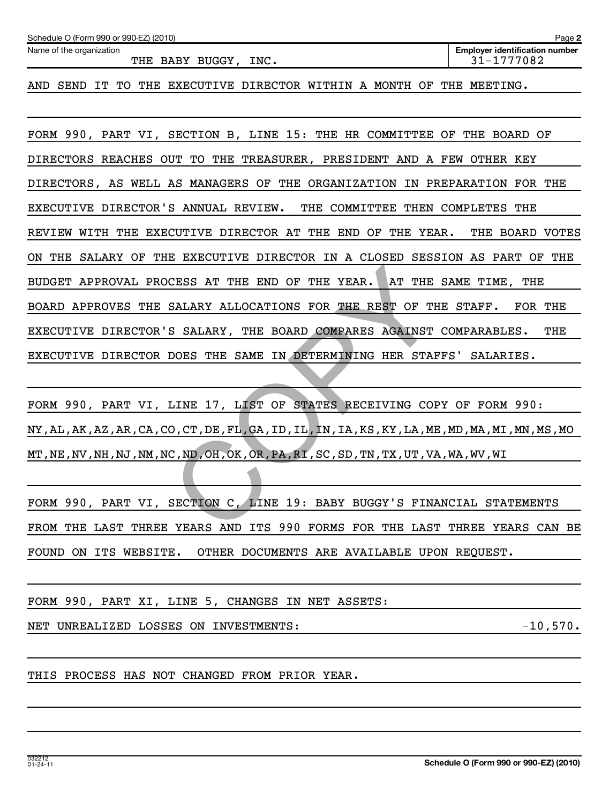| Schedule O (Form 990 or 990-EZ) (2010) | Page 2                                |
|----------------------------------------|---------------------------------------|
| Name of the organization               | <b>Employer identification number</b> |
| INC.<br>THE BABY BUGGY,                | 31-1777082                            |

AND SEND IT TO THE EXECUTIVE DIRECTOR WITHIN A MONTH OF THE MEETING.

FORM 990, PART VI, SECTION B, LINE 15: THE HR COMMITTEE OF THE BOARD OF DIRECTORS REACHES OUT TO THE TREASURER, PRESIDENT AND A FEW OTHER KEY DIRECTORS, AS WELL AS MANAGERS OF THE ORGANIZATION IN PREPARATION FOR THE EXECUTIVE DIRECTOR'S ANNUAL REVIEW. THE COMMITTEE THEN COMPLETES THE REVIEW WITH THE EXECUTIVE DIRECTOR AT THE END OF THE YEAR. THE BOARD VOTES ON THE SALARY OF THE EXECUTIVE DIRECTOR IN A CLOSED SESSION AS PART OF THE BUDGET APPROVAL PROCESS AT THE END OF THE YEAR. AT THE SAME TIME, THE BOARD APPROVES THE SALARY ALLOCATIONS FOR THE REST OF THE STAFF. FOR THE EXECUTIVE DIRECTOR'S SALARY, THE BOARD COMPARES AGAINST COMPARABLES. THE EXECUTIVE DIRECTOR DOES THE SAME IN DETERMINING HER STAFFS' SALARIES. CESS AT THE END OF THE YEAR. AT THE<br>SALARY ALLOCATIONS FOR THE REST OF TH<br>S SALARY, THE BOARD COMPARES AGAINST<br>DOES THE SAME IN DETERMINING HER STAF<br>DOES THE SAME IN DETERMINING HER STAF<br>LINE 17, LIST OF STATES RECEIVING C

FORM 990, PART VI, LINE 17, LIST OF STATES RECEIVING COPY OF FORM 990: NY,AL,AK,AZ,AR,CA,CO,CT,DE,FL,GA,ID,IL,IN,IA,KS,KY,LA,ME,MD,MA,MI,MN,MS,MO MT,NE,NV,NH,NJ,NM,NC,ND,OH,OK,OR,PA,RI,SC,SD,TN,TX,UT,VA,WA,WV,WI

FORM 990, PART VI, SECTION C, LINE 19: BABY BUGGY'S FINANCIAL STATEMENTS FROM THE LAST THREE YEARS AND ITS 990 FORMS FOR THE LAST THREE YEARS CAN BE FOUND ON ITS WEBSITE. OTHER DOCUMENTS ARE AVAILABLE UPON REQUEST.

FORM 990, PART XI, LINE 5, CHANGES IN NET ASSETS:

NET UNREALIZED LOSSES ON INVESTMENTS:  $-10,570$ .

THIS PROCESS HAS NOT CHANGED FROM PRIOR YEAR.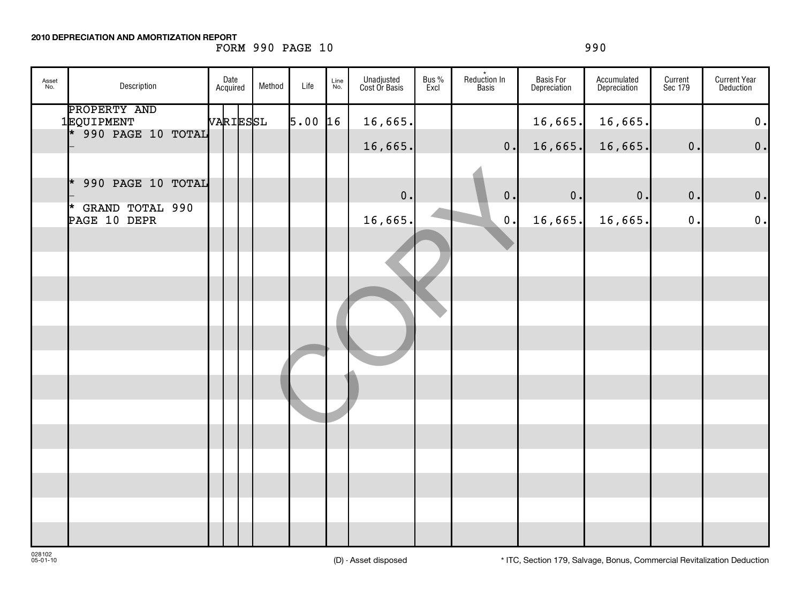**2010 DEPRECIATION AND AMORTIZATION REPORT**

# FORM 990 PAGE 10 990

| Asset<br>No. | Description                                       | Date<br>Acquired | Method | Life | Line<br>No. | Unadjusted<br>Cost Or Basis | Bus %<br>Excl | Reduction In<br>Basis | Basis For<br>Depreciation | Accumulated<br>Depreciation | Current<br>Sec 179 | <b>Current Year</b><br>Deduction |
|--------------|---------------------------------------------------|------------------|--------|------|-------------|-----------------------------|---------------|-----------------------|---------------------------|-----------------------------|--------------------|----------------------------------|
|              | PROPERTY AND<br>1EQUIPMENT<br>* 990 PAGE 10 TOTAL | VARIESSL         |        | 5.00 | 16          | 16,665.                     |               |                       | 16,665.                   | 16,665.                     |                    | $\mathbf 0$ .                    |
|              |                                                   |                  |        |      |             | 16,665.                     |               | 0.                    | 16,665.                   | 16,665.                     | 0.                 | $\mathbf 0$ .                    |
|              | 990 PAGE 10 TOTAL<br>$\star$                      |                  |        |      |             | 0.                          |               | $\mathbf 0$ .         | 0.                        | 0.                          | 0.                 | $\mathbf 0$ .                    |
|              | * GRAND TOTAL 990<br>PAGE 10 DEPR                 |                  |        |      |             | 16,665.                     |               | $\mathbf 0$ .         | 16,665.                   | 16,665.                     | 0.                 | 0.                               |
|              |                                                   |                  |        |      |             |                             |               |                       |                           |                             |                    |                                  |
|              |                                                   |                  |        |      |             |                             |               |                       |                           |                             |                    |                                  |
|              |                                                   |                  |        |      |             |                             |               |                       |                           |                             |                    |                                  |
|              |                                                   |                  |        |      |             |                             |               |                       |                           |                             |                    |                                  |
|              |                                                   |                  |        |      |             |                             |               |                       |                           |                             |                    |                                  |
|              |                                                   |                  |        |      |             |                             |               |                       |                           |                             |                    |                                  |
|              |                                                   |                  |        |      |             |                             |               |                       |                           |                             |                    |                                  |
|              |                                                   |                  |        |      |             |                             |               |                       |                           |                             |                    |                                  |
|              |                                                   |                  |        |      |             |                             |               |                       |                           |                             |                    |                                  |
|              |                                                   |                  |        |      |             |                             |               |                       |                           |                             |                    |                                  |
|              |                                                   |                  |        |      |             |                             |               |                       |                           |                             |                    |                                  |
|              |                                                   |                  |        |      |             |                             |               |                       |                           |                             |                    |                                  |
|              |                                                   |                  |        |      |             |                             |               |                       |                           |                             |                    |                                  |